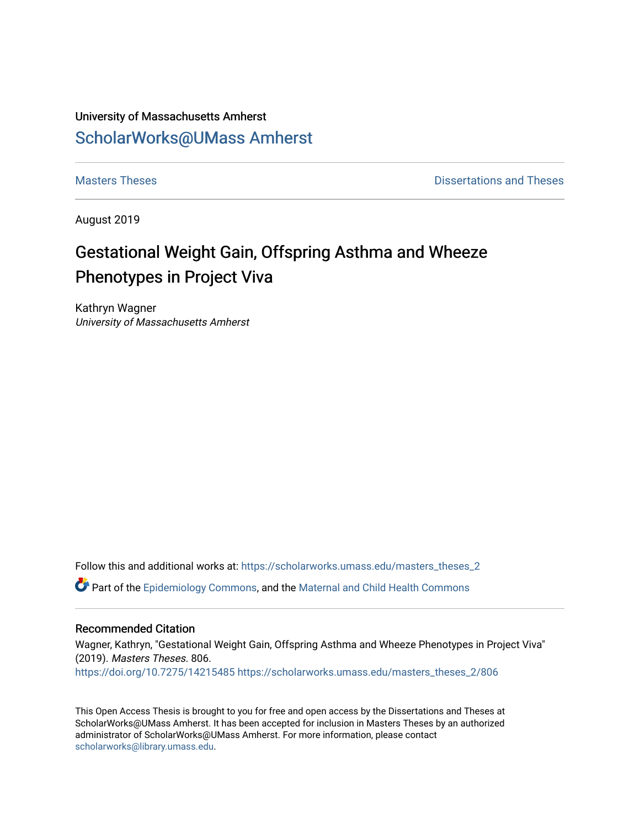### University of Massachusetts Amherst [ScholarWorks@UMass Amherst](https://scholarworks.umass.edu/)

**[Masters Theses](https://scholarworks.umass.edu/masters_theses_2) Contract Contract Contract Contract Contract Contract Contract Contract Contract Contract Contract Contract Contract Contract Contract Contract Contract Contract Contract Contract Contract Contract Contra** 

August 2019

## Gestational Weight Gain, Offspring Asthma and Wheeze Phenotypes in Project Viva

Kathryn Wagner University of Massachusetts Amherst

Follow this and additional works at: [https://scholarworks.umass.edu/masters\\_theses\\_2](https://scholarworks.umass.edu/masters_theses_2?utm_source=scholarworks.umass.edu%2Fmasters_theses_2%2F806&utm_medium=PDF&utm_campaign=PDFCoverPages) 

Part of the [Epidemiology Commons,](http://network.bepress.com/hgg/discipline/740?utm_source=scholarworks.umass.edu%2Fmasters_theses_2%2F806&utm_medium=PDF&utm_campaign=PDFCoverPages) and the [Maternal and Child Health Commons](http://network.bepress.com/hgg/discipline/745?utm_source=scholarworks.umass.edu%2Fmasters_theses_2%2F806&utm_medium=PDF&utm_campaign=PDFCoverPages) 

#### Recommended Citation

Wagner, Kathryn, "Gestational Weight Gain, Offspring Asthma and Wheeze Phenotypes in Project Viva" (2019). Masters Theses. 806. <https://doi.org/10.7275/14215485> [https://scholarworks.umass.edu/masters\\_theses\\_2/806](https://scholarworks.umass.edu/masters_theses_2/806?utm_source=scholarworks.umass.edu%2Fmasters_theses_2%2F806&utm_medium=PDF&utm_campaign=PDFCoverPages) 

This Open Access Thesis is brought to you for free and open access by the Dissertations and Theses at ScholarWorks@UMass Amherst. It has been accepted for inclusion in Masters Theses by an authorized administrator of ScholarWorks@UMass Amherst. For more information, please contact [scholarworks@library.umass.edu.](mailto:scholarworks@library.umass.edu)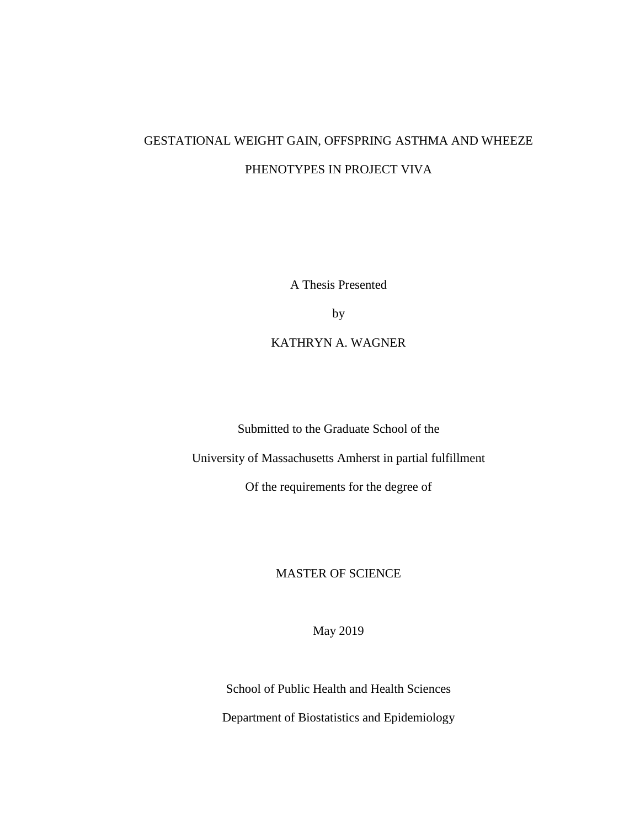## GESTATIONAL WEIGHT GAIN, OFFSPRING ASTHMA AND WHEEZE PHENOTYPES IN PROJECT VIVA

A Thesis Presented

by

KATHRYN A. WAGNER

Submitted to the Graduate School of the

University of Massachusetts Amherst in partial fulfillment

Of the requirements for the degree of

### MASTER OF SCIENCE

May 2019

School of Public Health and Health Sciences

Department of Biostatistics and Epidemiology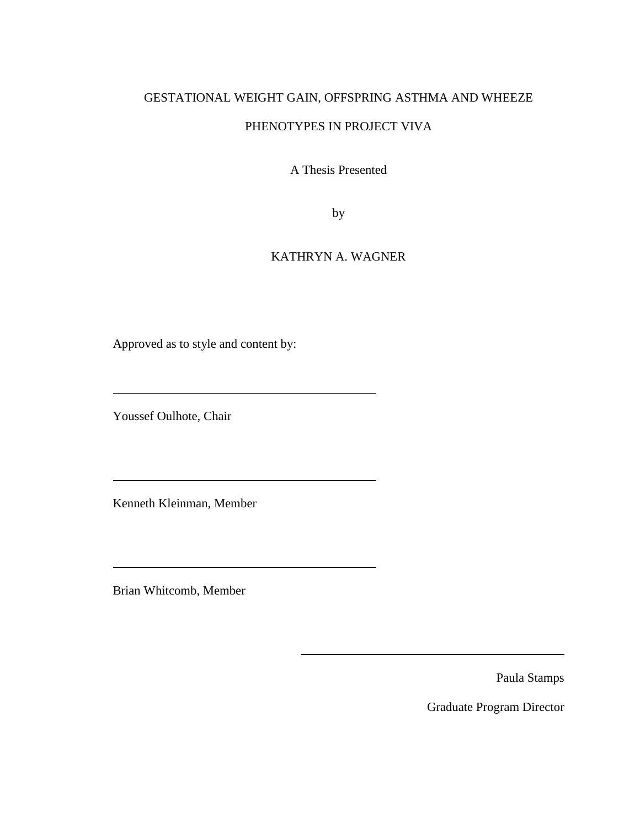# GESTATIONAL WEIGHT GAIN, OFFSPRING ASTHMA AND WHEEZE

### PHENOTYPES IN PROJECT VIVA

A Thesis Presented

by

### KATHRYN A. WAGNER

Approved as to style and content by:

Youssef Oulhote, Chair

Kenneth Kleinman, Member

<u> 1989 - Johann Barbara, martxa amerikan per</u>

Brian Whitcomb, Member

Paula Stamps

Graduate Program Director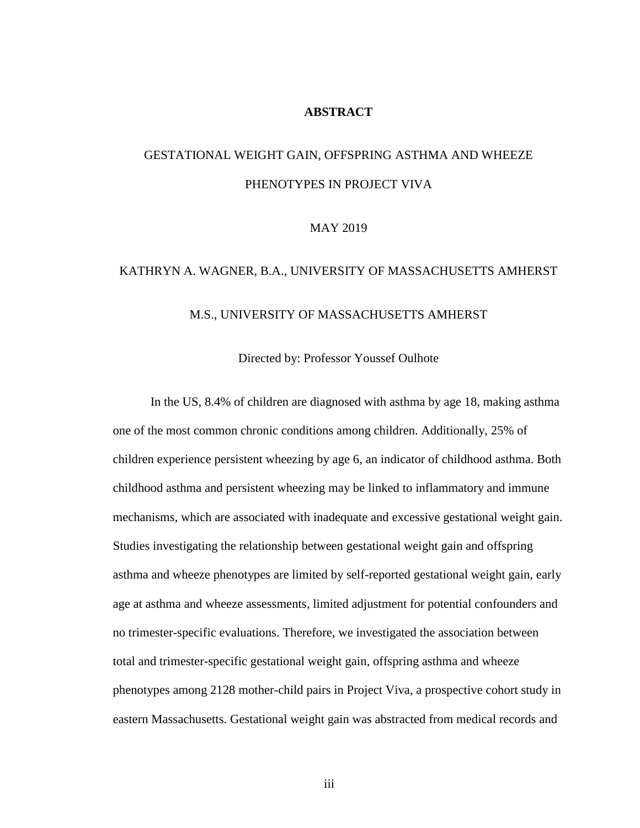#### **ABSTRACT**

## GESTATIONAL WEIGHT GAIN, OFFSPRING ASTHMA AND WHEEZE PHENOTYPES IN PROJECT VIVA

#### MAY 2019

# KATHRYN A. WAGNER, B.A., UNIVERSITY OF MASSACHUSETTS AMHERST M.S., UNIVERSITY OF MASSACHUSETTS AMHERST

Directed by: Professor Youssef Oulhote

In the US, 8.4% of children are diagnosed with asthma by age 18, making asthma one of the most common chronic conditions among children. Additionally, 25% of children experience persistent wheezing by age 6, an indicator of childhood asthma. Both childhood asthma and persistent wheezing may be linked to inflammatory and immune mechanisms, which are associated with inadequate and excessive gestational weight gain. Studies investigating the relationship between gestational weight gain and offspring asthma and wheeze phenotypes are limited by self-reported gestational weight gain, early age at asthma and wheeze assessments, limited adjustment for potential confounders and no trimester-specific evaluations. Therefore, we investigated the association between total and trimester-specific gestational weight gain, offspring asthma and wheeze phenotypes among 2128 mother-child pairs in Project Viva, a prospective cohort study in eastern Massachusetts. Gestational weight gain was abstracted from medical records and

iii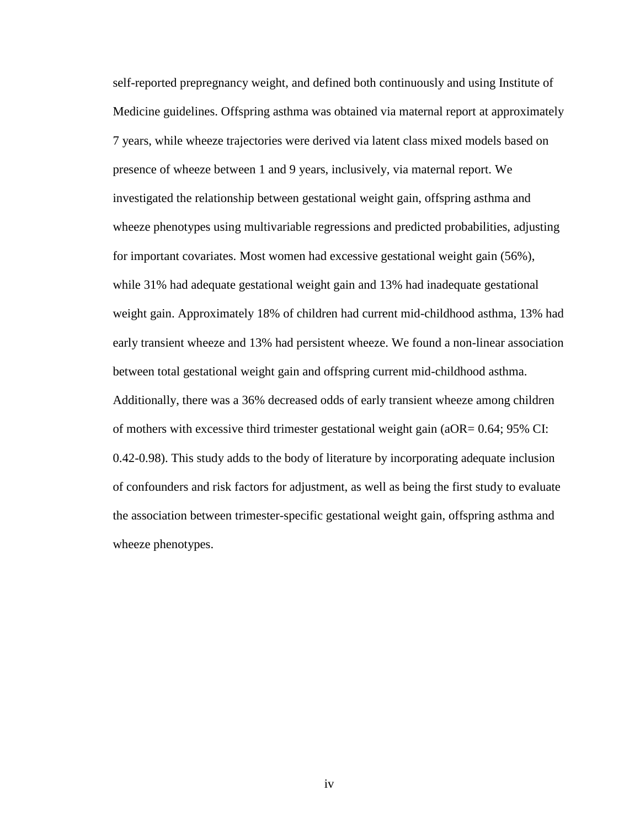self-reported prepregnancy weight, and defined both continuously and using Institute of Medicine guidelines. Offspring asthma was obtained via maternal report at approximately 7 years, while wheeze trajectories were derived via latent class mixed models based on presence of wheeze between 1 and 9 years, inclusively, via maternal report. We investigated the relationship between gestational weight gain, offspring asthma and wheeze phenotypes using multivariable regressions and predicted probabilities, adjusting for important covariates. Most women had excessive gestational weight gain (56%), while 31% had adequate gestational weight gain and 13% had inadequate gestational weight gain. Approximately 18% of children had current mid-childhood asthma, 13% had early transient wheeze and 13% had persistent wheeze. We found a non-linear association between total gestational weight gain and offspring current mid-childhood asthma. Additionally, there was a 36% decreased odds of early transient wheeze among children of mothers with excessive third trimester gestational weight gain (aOR= 0.64; 95% CI: 0.42-0.98). This study adds to the body of literature by incorporating adequate inclusion of confounders and risk factors for adjustment, as well as being the first study to evaluate the association between trimester-specific gestational weight gain, offspring asthma and wheeze phenotypes.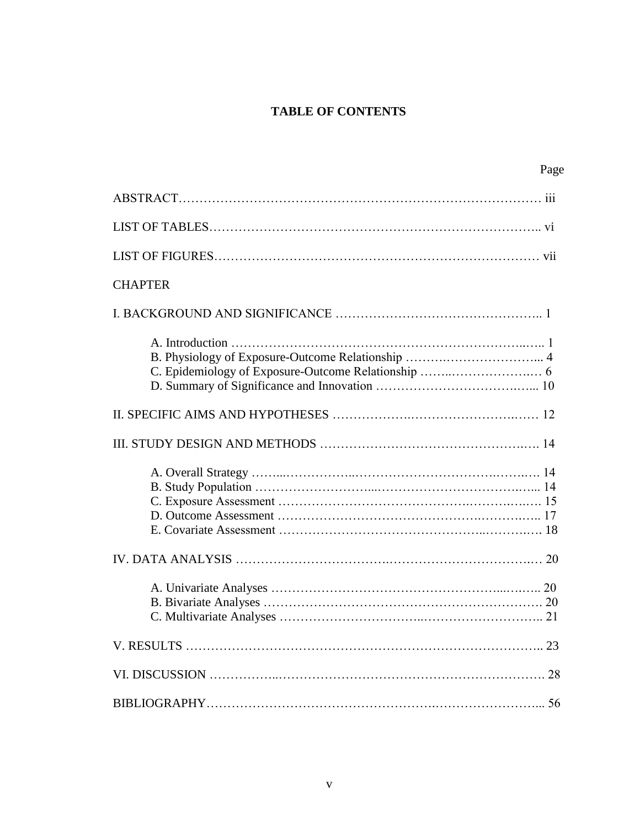### **TABLE OF CONTENTS**

| Page                                              |
|---------------------------------------------------|
|                                                   |
|                                                   |
|                                                   |
| <b>CHAPTER</b>                                    |
|                                                   |
| B. Physiology of Exposure-Outcome Relationship  4 |
|                                                   |
|                                                   |
|                                                   |
|                                                   |
|                                                   |
|                                                   |
|                                                   |
|                                                   |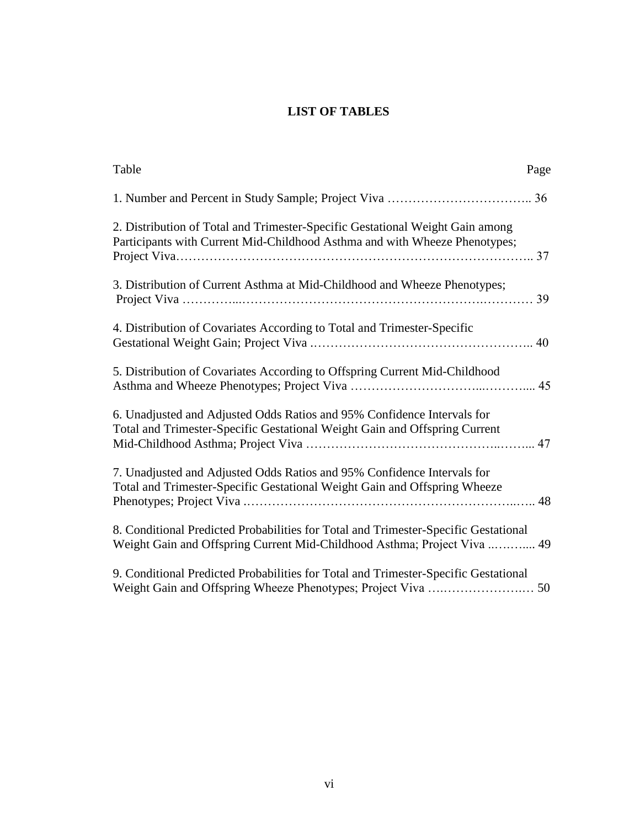### **LIST OF TABLES**

| Table<br>Page                                                                                                                                                   |
|-----------------------------------------------------------------------------------------------------------------------------------------------------------------|
|                                                                                                                                                                 |
| 2. Distribution of Total and Trimester-Specific Gestational Weight Gain among<br>Participants with Current Mid-Childhood Asthma and with Wheeze Phenotypes;     |
| 3. Distribution of Current Asthma at Mid-Childhood and Wheeze Phenotypes;                                                                                       |
| 4. Distribution of Covariates According to Total and Trimester-Specific                                                                                         |
| 5. Distribution of Covariates According to Offspring Current Mid-Childhood                                                                                      |
| 6. Unadjusted and Adjusted Odds Ratios and 95% Confidence Intervals for<br>Total and Trimester-Specific Gestational Weight Gain and Offspring Current           |
| 7. Unadjusted and Adjusted Odds Ratios and 95% Confidence Intervals for<br>Total and Trimester-Specific Gestational Weight Gain and Offspring Wheeze            |
| 8. Conditional Predicted Probabilities for Total and Trimester-Specific Gestational<br>Weight Gain and Offspring Current Mid-Childhood Asthma; Project Viva  49 |
| 9. Conditional Predicted Probabilities for Total and Trimester-Specific Gestational                                                                             |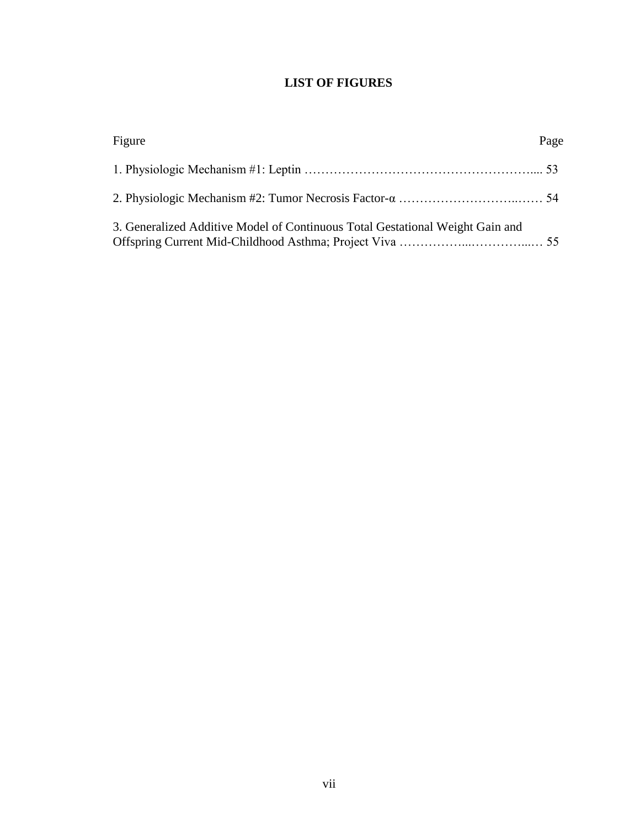### **LIST OF FIGURES**

| Figure                                                                        | Page |
|-------------------------------------------------------------------------------|------|
|                                                                               |      |
|                                                                               |      |
| 3. Generalized Additive Model of Continuous Total Gestational Weight Gain and |      |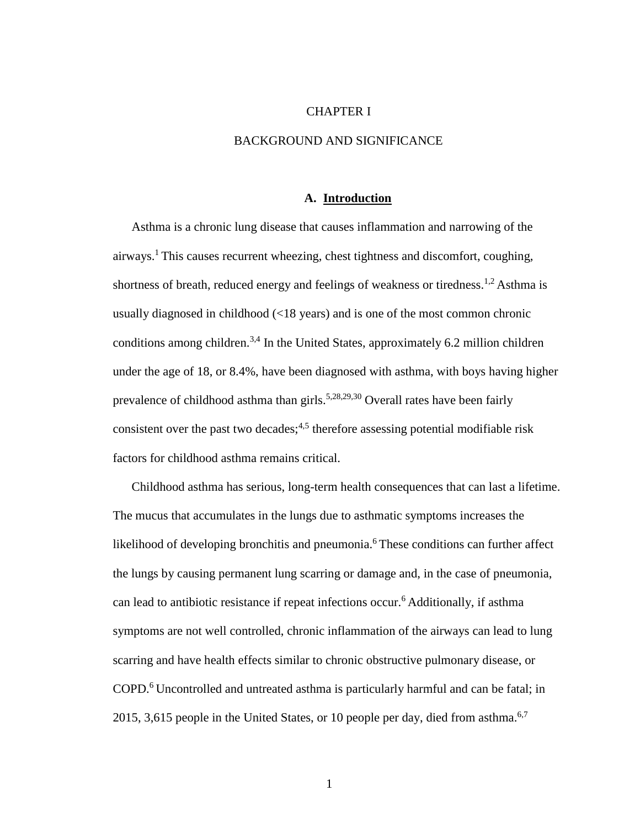#### CHAPTER I

#### BACKGROUND AND SIGNIFICANCE

#### **A. Introduction**

Asthma is a chronic lung disease that causes inflammation and narrowing of the airways.<sup>1</sup> This causes recurrent wheezing, chest tightness and discomfort, coughing, shortness of breath, reduced energy and feelings of weakness or tiredness.<sup>1,2</sup> Asthma is usually diagnosed in childhood (<18 years) and is one of the most common chronic conditions among children.<sup>3,4</sup> In the United States, approximately 6.2 million children under the age of 18, or 8.4%, have been diagnosed with asthma, with boys having higher prevalence of childhood asthma than girls.<sup>5,28,29,30</sup> Overall rates have been fairly consistent over the past two decades;<sup>4,5</sup> therefore assessing potential modifiable risk factors for childhood asthma remains critical.

Childhood asthma has serious, long-term health consequences that can last a lifetime. The mucus that accumulates in the lungs due to asthmatic symptoms increases the likelihood of developing bronchitis and pneumonia.<sup>6</sup> These conditions can further affect the lungs by causing permanent lung scarring or damage and, in the case of pneumonia, can lead to antibiotic resistance if repeat infections occur.<sup>6</sup> Additionally, if asthma symptoms are not well controlled, chronic inflammation of the airways can lead to lung scarring and have health effects similar to chronic obstructive pulmonary disease, or COPD.<sup>6</sup> Uncontrolled and untreated asthma is particularly harmful and can be fatal; in 2015, 3,615 people in the United States, or 10 people per day, died from asthma. $6,7$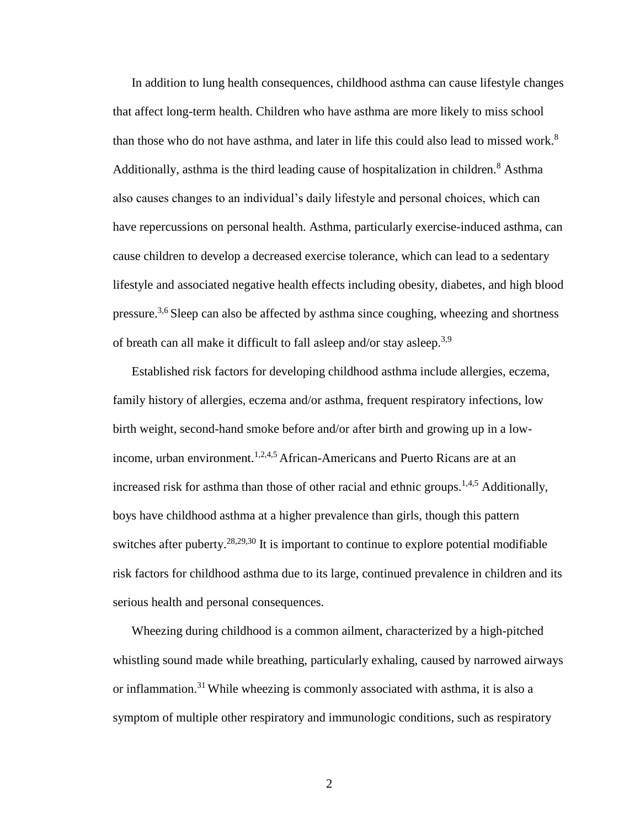In addition to lung health consequences, childhood asthma can cause lifestyle changes that affect long-term health. Children who have asthma are more likely to miss school than those who do not have asthma, and later in life this could also lead to missed work.<sup>8</sup> Additionally, asthma is the third leading cause of hospitalization in children.<sup>8</sup> Asthma also causes changes to an individual's daily lifestyle and personal choices, which can have repercussions on personal health. Asthma, particularly exercise-induced asthma, can cause children to develop a decreased exercise tolerance, which can lead to a sedentary lifestyle and associated negative health effects including obesity, diabetes, and high blood pressure.<sup>3,6</sup> Sleep can also be affected by asthma since coughing, wheezing and shortness of breath can all make it difficult to fall asleep and/or stay asleep.3,9

Established risk factors for developing childhood asthma include allergies, eczema, family history of allergies, eczema and/or asthma, frequent respiratory infections, low birth weight, second-hand smoke before and/or after birth and growing up in a lowincome, urban environment.<sup>1,2,4,5</sup> African-Americans and Puerto Ricans are at an increased risk for asthma than those of other racial and ethnic groups.<sup>1,4,5</sup> Additionally, boys have childhood asthma at a higher prevalence than girls, though this pattern switches after puberty.<sup>28,29,30</sup> It is important to continue to explore potential modifiable risk factors for childhood asthma due to its large, continued prevalence in children and its serious health and personal consequences.

Wheezing during childhood is a common ailment, characterized by a high-pitched whistling sound made while breathing, particularly exhaling, caused by narrowed airways or inflammation.<sup>31</sup> While wheezing is commonly associated with asthma, it is also a symptom of multiple other respiratory and immunologic conditions, such as respiratory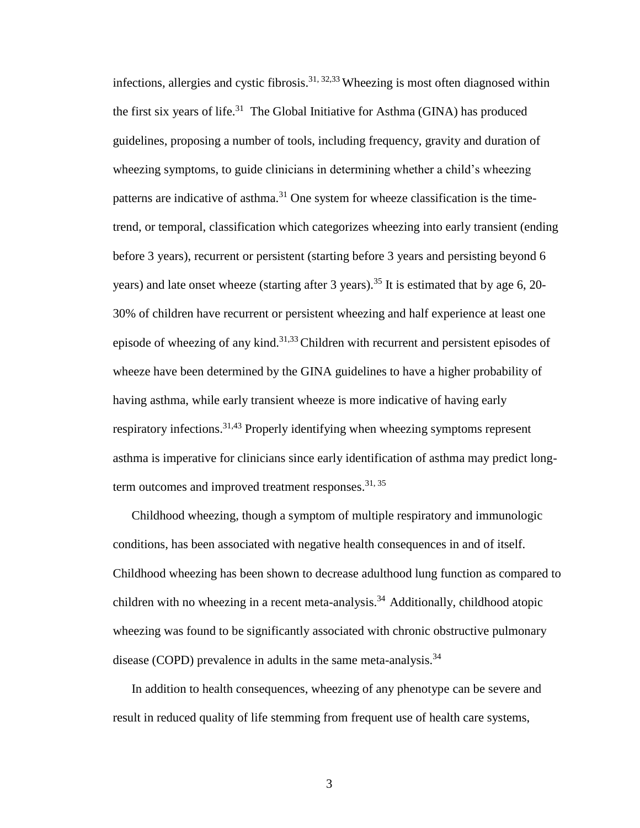infections, allergies and cystic fibrosis.<sup>31, 32,33</sup> Wheezing is most often diagnosed within the first six years of life.<sup>31</sup> The Global Initiative for Asthma (GINA) has produced guidelines, proposing a number of tools, including frequency, gravity and duration of wheezing symptoms, to guide clinicians in determining whether a child's wheezing patterns are indicative of asthma.<sup>31</sup> One system for wheeze classification is the timetrend, or temporal, classification which categorizes wheezing into early transient (ending before 3 years), recurrent or persistent (starting before 3 years and persisting beyond 6 years) and late onset wheeze (starting after 3 years).<sup>35</sup> It is estimated that by age 6, 20-30% of children have recurrent or persistent wheezing and half experience at least one episode of wheezing of any kind.<sup>31,33</sup>Children with recurrent and persistent episodes of wheeze have been determined by the GINA guidelines to have a higher probability of having asthma, while early transient wheeze is more indicative of having early respiratory infections.<sup>31,43</sup> Properly identifying when wheezing symptoms represent asthma is imperative for clinicians since early identification of asthma may predict longterm outcomes and improved treatment responses.<sup>31, 35</sup>

Childhood wheezing, though a symptom of multiple respiratory and immunologic conditions, has been associated with negative health consequences in and of itself. Childhood wheezing has been shown to decrease adulthood lung function as compared to children with no wheezing in a recent meta-analysis.<sup>34</sup> Additionally, childhood atopic wheezing was found to be significantly associated with chronic obstructive pulmonary disease (COPD) prevalence in adults in the same meta-analysis.<sup>34</sup>

In addition to health consequences, wheezing of any phenotype can be severe and result in reduced quality of life stemming from frequent use of health care systems,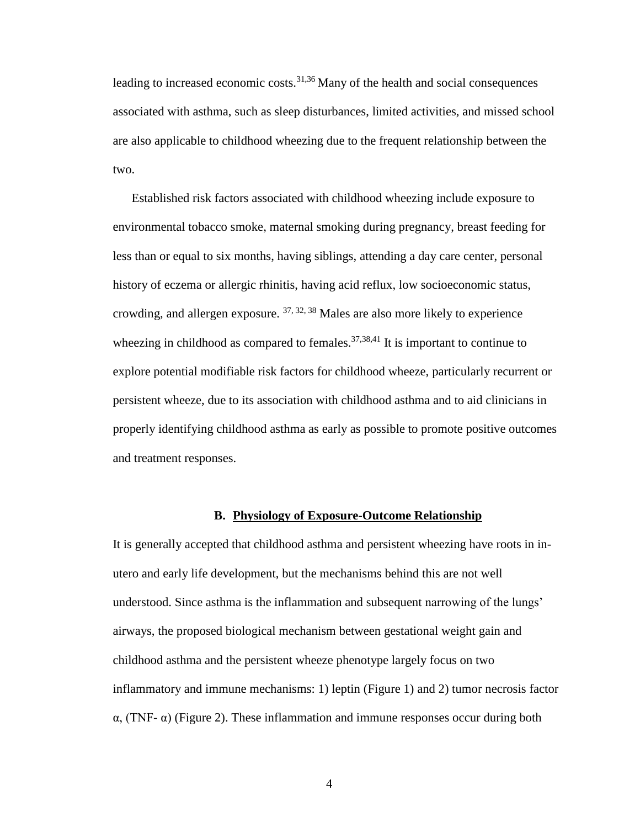leading to increased economic costs. $31,36$  Many of the health and social consequences associated with asthma, such as sleep disturbances, limited activities, and missed school are also applicable to childhood wheezing due to the frequent relationship between the two.

Established risk factors associated with childhood wheezing include exposure to environmental tobacco smoke, maternal smoking during pregnancy, breast feeding for less than or equal to six months, having siblings, attending a day care center, personal history of eczema or allergic rhinitis, having acid reflux, low socioeconomic status, crowding, and allergen exposure.  $37, 32, 38$  Males are also more likely to experience wheezing in childhood as compared to females.<sup>37,38,41</sup> It is important to continue to explore potential modifiable risk factors for childhood wheeze, particularly recurrent or persistent wheeze, due to its association with childhood asthma and to aid clinicians in properly identifying childhood asthma as early as possible to promote positive outcomes and treatment responses.

#### **B. Physiology of Exposure-Outcome Relationship**

It is generally accepted that childhood asthma and persistent wheezing have roots in inutero and early life development, but the mechanisms behind this are not well understood. Since asthma is the inflammation and subsequent narrowing of the lungs' airways, the proposed biological mechanism between gestational weight gain and childhood asthma and the persistent wheeze phenotype largely focus on two inflammatory and immune mechanisms: 1) leptin (Figure 1) and 2) tumor necrosis factor  $\alpha$ , (TNF- $\alpha$ ) (Figure 2). These inflammation and immune responses occur during both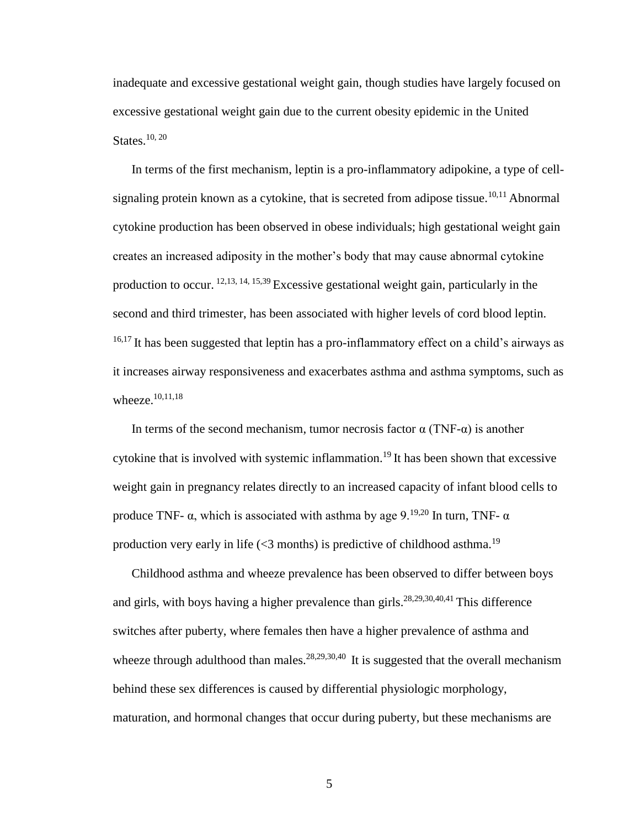inadequate and excessive gestational weight gain, though studies have largely focused on excessive gestational weight gain due to the current obesity epidemic in the United States.<sup>10, 20</sup>

In terms of the first mechanism, leptin is a pro-inflammatory adipokine, a type of cellsignaling protein known as a cytokine, that is secreted from adipose tissue.<sup>10,11</sup> Abnormal cytokine production has been observed in obese individuals; high gestational weight gain creates an increased adiposity in the mother's body that may cause abnormal cytokine production to occur. 12,13, 14, 15,39 Excessive gestational weight gain, particularly in the second and third trimester, has been associated with higher levels of cord blood leptin. <sup>16,17</sup> It has been suggested that leptin has a pro-inflammatory effect on a child's airways as it increases airway responsiveness and exacerbates asthma and asthma symptoms, such as wheeze. 10,11,18

In terms of the second mechanism, tumor necrosis factor  $\alpha$  (TNF- $\alpha$ ) is another cytokine that is involved with systemic inflammation.<sup>19</sup> It has been shown that excessive weight gain in pregnancy relates directly to an increased capacity of infant blood cells to produce TNF-  $\alpha$ , which is associated with asthma by age 9.<sup>19,20</sup> In turn, TNF-  $\alpha$ production very early in life ( $\leq$ 3 months) is predictive of childhood asthma.<sup>19</sup>

Childhood asthma and wheeze prevalence has been observed to differ between boys and girls, with boys having a higher prevalence than girls.<sup>28,29,30,40,41</sup> This difference switches after puberty, where females then have a higher prevalence of asthma and wheeze through adulthood than males.<sup>28,29,30,40</sup> It is suggested that the overall mechanism behind these sex differences is caused by differential physiologic morphology, maturation, and hormonal changes that occur during puberty, but these mechanisms are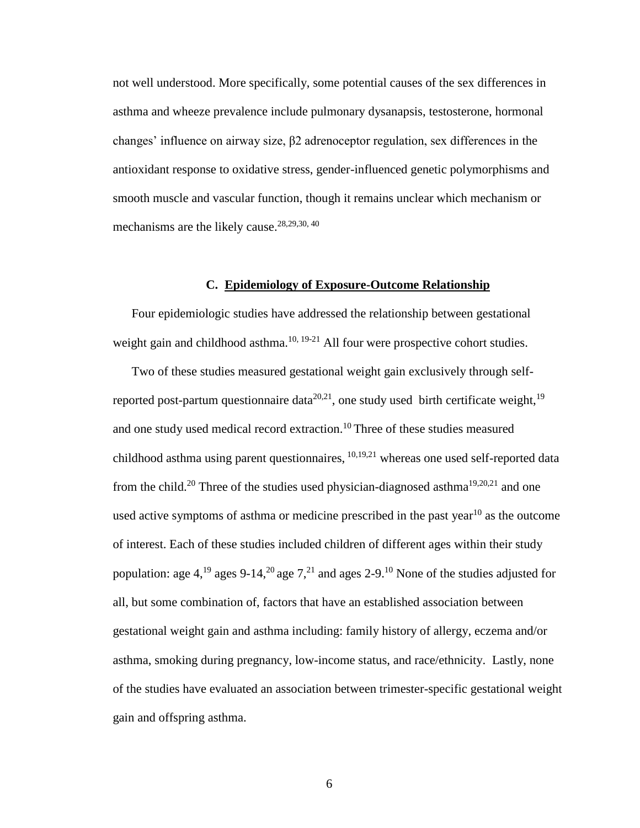not well understood. More specifically, some potential causes of the sex differences in asthma and wheeze prevalence include pulmonary dysanapsis, testosterone, hormonal changes' influence on airway size, β2 adrenoceptor regulation, sex differences in the antioxidant response to oxidative stress, gender-influenced genetic polymorphisms and smooth muscle and vascular function, though it remains unclear which mechanism or mechanisms are the likely cause.<sup>28,29,30,40</sup>

#### **C. Epidemiology of Exposure-Outcome Relationship**

Four epidemiologic studies have addressed the relationship between gestational weight gain and childhood asthma.<sup>10, 19-21</sup> All four were prospective cohort studies.

Two of these studies measured gestational weight gain exclusively through selfreported post-partum questionnaire data<sup>20,21</sup>, one study used birth certificate weight,<sup>19</sup> and one study used medical record extraction.<sup>10</sup>Three of these studies measured childhood asthma using parent questionnaires, 10,19,21 whereas one used self-reported data from the child.<sup>20</sup> Three of the studies used physician-diagnosed asthma<sup>19,20,21</sup> and one used active symptoms of asthma or medicine prescribed in the past year<sup>10</sup> as the outcome of interest. Each of these studies included children of different ages within their study population: age 4,<sup>19</sup> ages 9-14,<sup>20</sup> age 7,<sup>21</sup> and ages 2-9.<sup>10</sup> None of the studies adjusted for all, but some combination of, factors that have an established association between gestational weight gain and asthma including: family history of allergy, eczema and/or asthma, smoking during pregnancy, low-income status, and race/ethnicity. Lastly, none of the studies have evaluated an association between trimester-specific gestational weight gain and offspring asthma.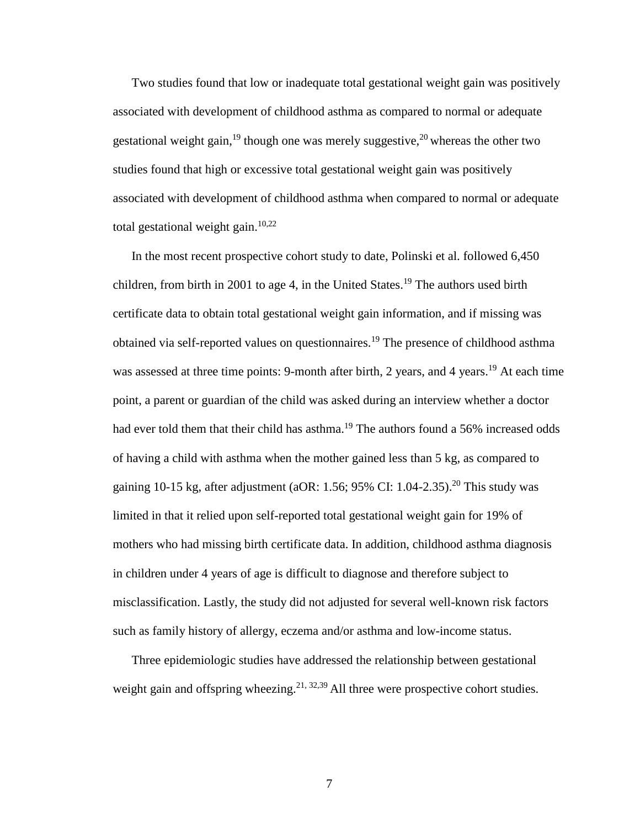Two studies found that low or inadequate total gestational weight gain was positively associated with development of childhood asthma as compared to normal or adequate gestational weight gain, <sup>19</sup> though one was merely suggestive,  $20$  whereas the other two studies found that high or excessive total gestational weight gain was positively associated with development of childhood asthma when compared to normal or adequate total gestational weight gain.<sup>10,22</sup>

In the most recent prospective cohort study to date, Polinski et al. followed 6,450 children, from birth in 2001 to age 4, in the United States.<sup>19</sup> The authors used birth certificate data to obtain total gestational weight gain information, and if missing was obtained via self-reported values on questionnaires.<sup>19</sup> The presence of childhood asthma was assessed at three time points: 9-month after birth, 2 years, and 4 years.<sup>19</sup> At each time point, a parent or guardian of the child was asked during an interview whether a doctor had ever told them that their child has asthma.<sup>19</sup> The authors found a 56% increased odds of having a child with asthma when the mother gained less than 5 kg, as compared to gaining 10-15 kg, after adjustment (aOR: 1.56; 95% CI: 1.04-2.35).<sup>20</sup> This study was limited in that it relied upon self-reported total gestational weight gain for 19% of mothers who had missing birth certificate data. In addition, childhood asthma diagnosis in children under 4 years of age is difficult to diagnose and therefore subject to misclassification. Lastly, the study did not adjusted for several well-known risk factors such as family history of allergy, eczema and/or asthma and low-income status.

Three epidemiologic studies have addressed the relationship between gestational weight gain and offspring wheezing.<sup>21, 32,39</sup> All three were prospective cohort studies.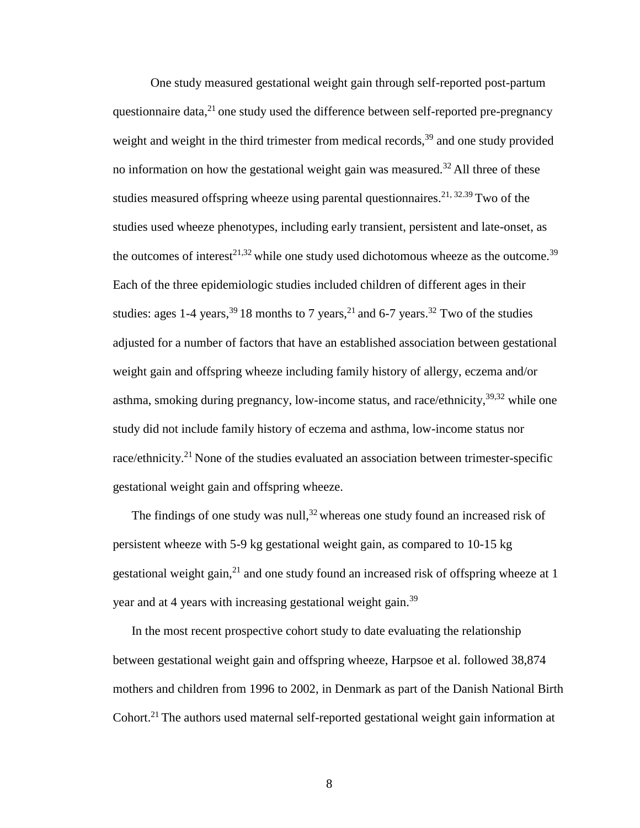One study measured gestational weight gain through self-reported post-partum questionnaire data, $^{21}$  one study used the difference between self-reported pre-pregnancy weight and weight in the third trimester from medical records,<sup>39</sup> and one study provided no information on how the gestational weight gain was measured.<sup>32</sup> All three of these studies measured offspring wheeze using parental questionnaires.<sup>21, 32.39</sup> Two of the studies used wheeze phenotypes, including early transient, persistent and late-onset, as the outcomes of interest<sup>21,32</sup> while one study used dichotomous wheeze as the outcome.<sup>39</sup> Each of the three epidemiologic studies included children of different ages in their studies: ages 1-4 years,  $39\overline{18}$  months to 7 years,  $21\overline{1}$  and 6-7 years,  $32\overline{1}$  wo of the studies adjusted for a number of factors that have an established association between gestational weight gain and offspring wheeze including family history of allergy, eczema and/or asthma, smoking during pregnancy, low-income status, and race/ethnicity,  $39,32$  while one study did not include family history of eczema and asthma, low-income status nor race/ethnicity.<sup>21</sup> None of the studies evaluated an association between trimester-specific gestational weight gain and offspring wheeze.

The findings of one study was null,  $32$  whereas one study found an increased risk of persistent wheeze with 5-9 kg gestational weight gain, as compared to 10-15 kg gestational weight gain, $2<sup>1</sup>$  and one study found an increased risk of offspring wheeze at 1 year and at 4 years with increasing gestational weight gain.<sup>39</sup>

In the most recent prospective cohort study to date evaluating the relationship between gestational weight gain and offspring wheeze, Harpsoe et al. followed 38,874 mothers and children from 1996 to 2002, in Denmark as part of the Danish National Birth Cohort.<sup>21</sup> The authors used maternal self-reported gestational weight gain information at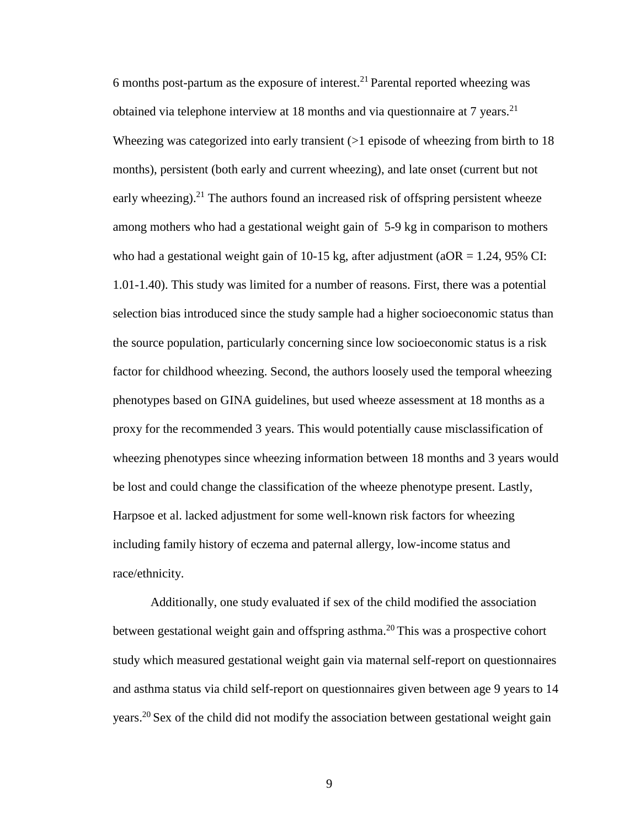6 months post-partum as the exposure of interest.<sup>21</sup> Parental reported wheezing was obtained via telephone interview at 18 months and via questionnaire at 7 years.<sup>21</sup> Wheezing was categorized into early transient ( $>1$  episode of wheezing from birth to 18 months), persistent (both early and current wheezing), and late onset (current but not early wheezing).<sup>21</sup> The authors found an increased risk of offspring persistent wheeze among mothers who had a gestational weight gain of 5-9 kg in comparison to mothers who had a gestational weight gain of 10-15 kg, after adjustment ( $aOR = 1.24$ , 95% CI: 1.01-1.40). This study was limited for a number of reasons. First, there was a potential selection bias introduced since the study sample had a higher socioeconomic status than the source population, particularly concerning since low socioeconomic status is a risk factor for childhood wheezing. Second, the authors loosely used the temporal wheezing phenotypes based on GINA guidelines, but used wheeze assessment at 18 months as a proxy for the recommended 3 years. This would potentially cause misclassification of wheezing phenotypes since wheezing information between 18 months and 3 years would be lost and could change the classification of the wheeze phenotype present. Lastly, Harpsoe et al. lacked adjustment for some well-known risk factors for wheezing including family history of eczema and paternal allergy, low-income status and race/ethnicity.

Additionally, one study evaluated if sex of the child modified the association between gestational weight gain and offspring asthma.<sup>20</sup> This was a prospective cohort study which measured gestational weight gain via maternal self-report on questionnaires and asthma status via child self-report on questionnaires given between age 9 years to 14 years.<sup>20</sup> Sex of the child did not modify the association between gestational weight gain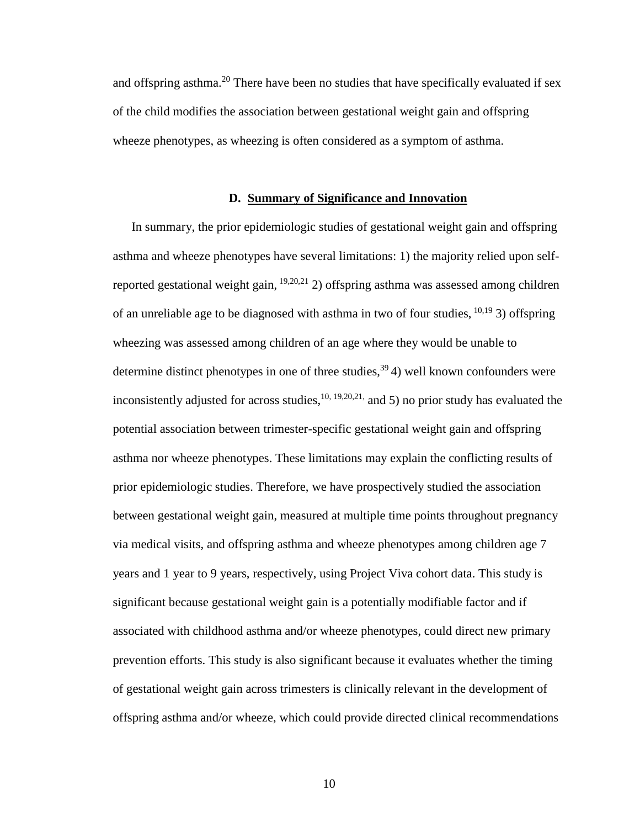and offspring asthma.<sup>20</sup> There have been no studies that have specifically evaluated if sex of the child modifies the association between gestational weight gain and offspring wheeze phenotypes, as wheezing is often considered as a symptom of asthma.

#### **D. Summary of Significance and Innovation**

In summary, the prior epidemiologic studies of gestational weight gain and offspring asthma and wheeze phenotypes have several limitations: 1) the majority relied upon selfreported gestational weight gain,  $\frac{19,20,21}{2}$  offspring asthma was assessed among children of an unreliable age to be diagnosed with asthma in two of four studies,  $^{10,19}$  3) offspring wheezing was assessed among children of an age where they would be unable to determine distinct phenotypes in one of three studies,  $39/4$ ) well known confounders were inconsistently adjusted for across studies,  $^{10, 19, 20, 21}$ , and 5) no prior study has evaluated the potential association between trimester-specific gestational weight gain and offspring asthma nor wheeze phenotypes. These limitations may explain the conflicting results of prior epidemiologic studies. Therefore, we have prospectively studied the association between gestational weight gain, measured at multiple time points throughout pregnancy via medical visits, and offspring asthma and wheeze phenotypes among children age 7 years and 1 year to 9 years, respectively, using Project Viva cohort data. This study is significant because gestational weight gain is a potentially modifiable factor and if associated with childhood asthma and/or wheeze phenotypes, could direct new primary prevention efforts. This study is also significant because it evaluates whether the timing of gestational weight gain across trimesters is clinically relevant in the development of offspring asthma and/or wheeze, which could provide directed clinical recommendations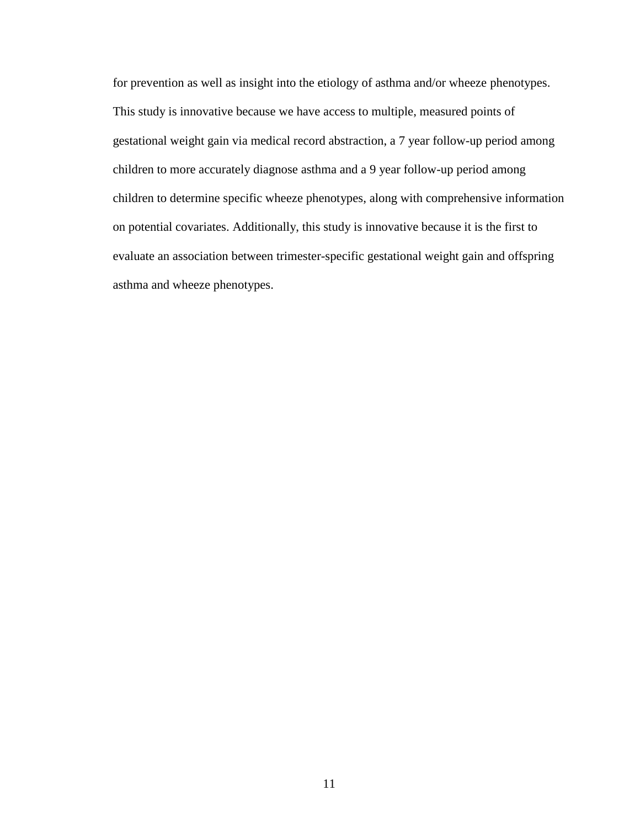for prevention as well as insight into the etiology of asthma and/or wheeze phenotypes. This study is innovative because we have access to multiple, measured points of gestational weight gain via medical record abstraction, a 7 year follow-up period among children to more accurately diagnose asthma and a 9 year follow-up period among children to determine specific wheeze phenotypes, along with comprehensive information on potential covariates. Additionally, this study is innovative because it is the first to evaluate an association between trimester-specific gestational weight gain and offspring asthma and wheeze phenotypes.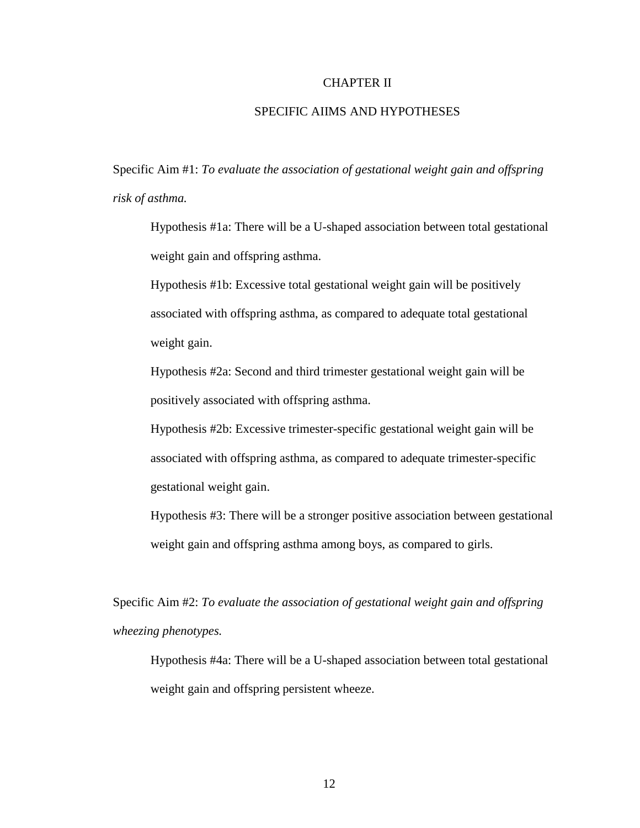#### CHAPTER II

#### SPECIFIC AIIMS AND HYPOTHESES

Specific Aim #1: *To evaluate the association of gestational weight gain and offspring risk of asthma.*

Hypothesis #1a: There will be a U-shaped association between total gestational weight gain and offspring asthma.

Hypothesis #1b: Excessive total gestational weight gain will be positively associated with offspring asthma, as compared to adequate total gestational weight gain.

Hypothesis #2a: Second and third trimester gestational weight gain will be positively associated with offspring asthma.

Hypothesis #2b: Excessive trimester-specific gestational weight gain will be associated with offspring asthma, as compared to adequate trimester-specific gestational weight gain.

Hypothesis #3: There will be a stronger positive association between gestational weight gain and offspring asthma among boys, as compared to girls.

Specific Aim #2: *To evaluate the association of gestational weight gain and offspring wheezing phenotypes.*

Hypothesis #4a: There will be a U-shaped association between total gestational weight gain and offspring persistent wheeze.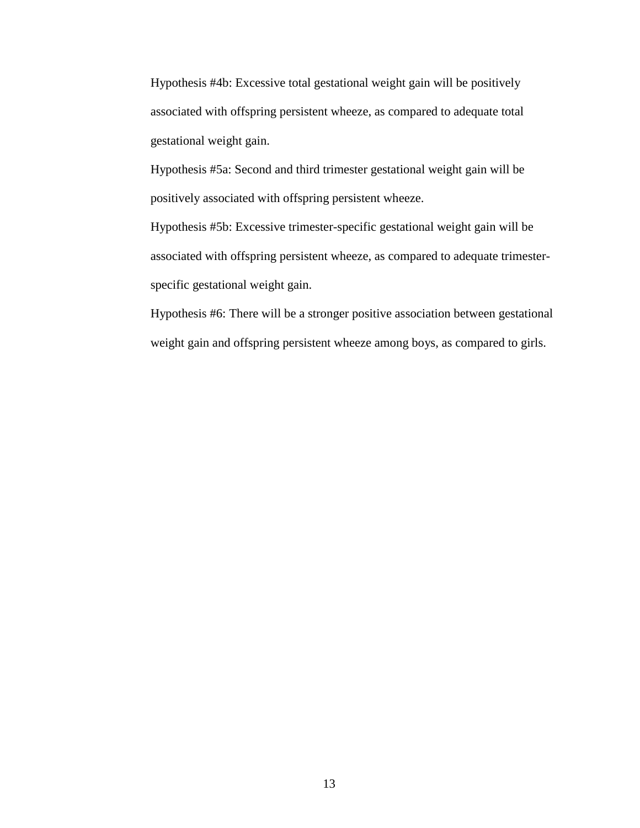Hypothesis #4b: Excessive total gestational weight gain will be positively associated with offspring persistent wheeze, as compared to adequate total gestational weight gain.

Hypothesis #5a: Second and third trimester gestational weight gain will be positively associated with offspring persistent wheeze.

Hypothesis #5b: Excessive trimester-specific gestational weight gain will be associated with offspring persistent wheeze, as compared to adequate trimesterspecific gestational weight gain.

Hypothesis #6: There will be a stronger positive association between gestational weight gain and offspring persistent wheeze among boys, as compared to girls.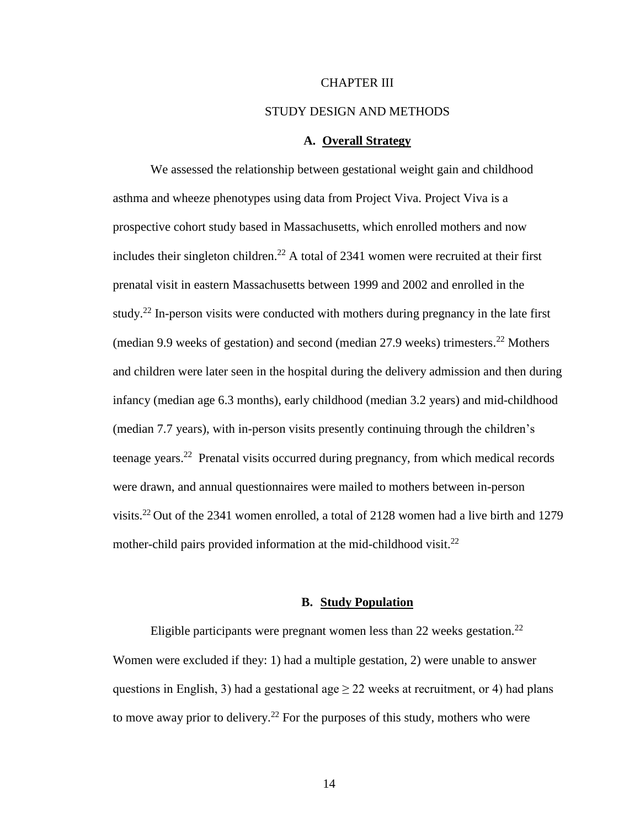#### CHAPTER III

#### STUDY DESIGN AND METHODS

#### **A. Overall Strategy**

We assessed the relationship between gestational weight gain and childhood asthma and wheeze phenotypes using data from Project Viva. Project Viva is a prospective cohort study based in Massachusetts, which enrolled mothers and now includes their singleton children.<sup>22</sup> A total of 2341 women were recruited at their first prenatal visit in eastern Massachusetts between 1999 and 2002 and enrolled in the study.<sup>22</sup> In-person visits were conducted with mothers during pregnancy in the late first (median 9.9 weeks of gestation) and second (median  $27.9$  weeks) trimesters.<sup>22</sup> Mothers and children were later seen in the hospital during the delivery admission and then during infancy (median age 6.3 months), early childhood (median 3.2 years) and mid-childhood (median 7.7 years), with in-person visits presently continuing through the children's teenage years.<sup>22</sup> Prenatal visits occurred during pregnancy, from which medical records were drawn, and annual questionnaires were mailed to mothers between in-person visits.<sup>22</sup> Out of the 2341 women enrolled, a total of 2128 women had a live birth and 1279 mother-child pairs provided information at the mid-childhood visit. $^{22}$ 

#### **B. Study Population**

Eligible participants were pregnant women less than 22 weeks gestation.<sup>22</sup> Women were excluded if they: 1) had a multiple gestation, 2) were unable to answer questions in English, 3) had a gestational age  $\geq$  22 weeks at recruitment, or 4) had plans to move away prior to delivery.<sup>22</sup> For the purposes of this study, mothers who were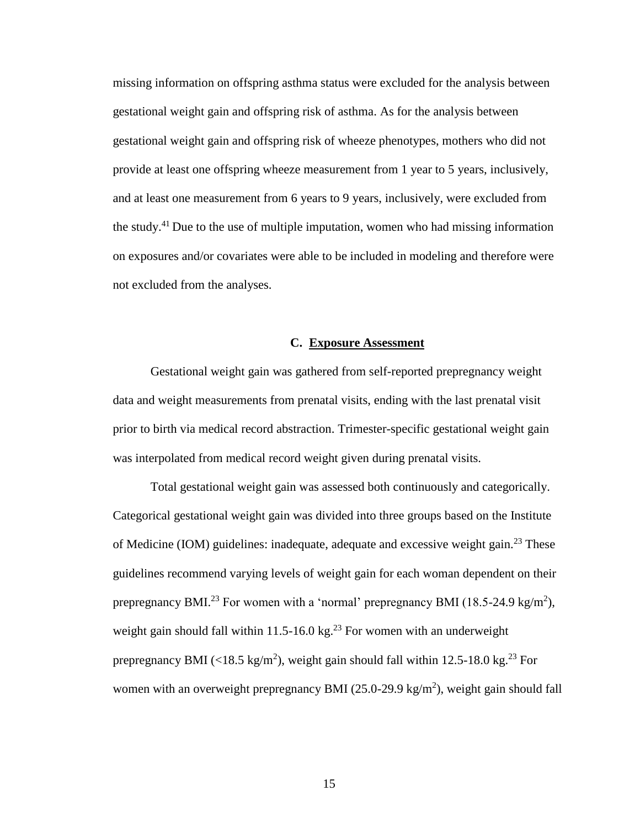missing information on offspring asthma status were excluded for the analysis between gestational weight gain and offspring risk of asthma. As for the analysis between gestational weight gain and offspring risk of wheeze phenotypes, mothers who did not provide at least one offspring wheeze measurement from 1 year to 5 years, inclusively, and at least one measurement from 6 years to 9 years, inclusively, were excluded from the study.<sup>41</sup> Due to the use of multiple imputation, women who had missing information on exposures and/or covariates were able to be included in modeling and therefore were not excluded from the analyses.

#### **C. Exposure Assessment**

Gestational weight gain was gathered from self-reported prepregnancy weight data and weight measurements from prenatal visits, ending with the last prenatal visit prior to birth via medical record abstraction. Trimester-specific gestational weight gain was interpolated from medical record weight given during prenatal visits.

Total gestational weight gain was assessed both continuously and categorically. Categorical gestational weight gain was divided into three groups based on the Institute of Medicine (IOM) guidelines: inadequate, adequate and excessive weight gain.<sup>23</sup> These guidelines recommend varying levels of weight gain for each woman dependent on their prepregnancy BMI.<sup>23</sup> For women with a 'normal' prepregnancy BMI (18.5-24.9 kg/m<sup>2</sup>), weight gain should fall within 11.5-16.0 kg.<sup>23</sup> For women with an underweight prepregnancy BMI (<18.5 kg/m<sup>2</sup>), weight gain should fall within 12.5-18.0 kg.<sup>23</sup> For women with an overweight prepregnancy BMI  $(25.0{\text -}29.9 \text{ kg/m}^2)$ , weight gain should fall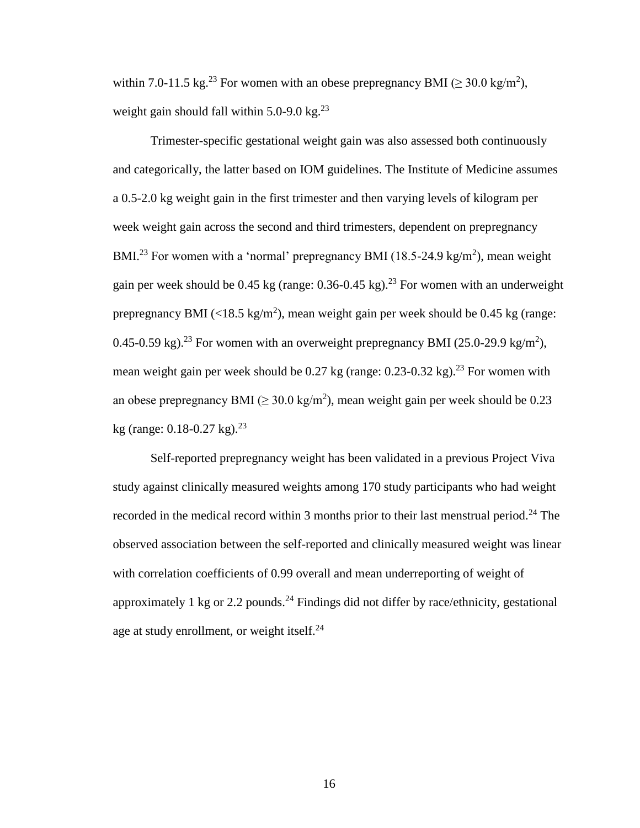within 7.0-11.5 kg.<sup>23</sup> For women with an obese prepregnancy BMI ( $\geq$  30.0 kg/m<sup>2</sup>), weight gain should fall within  $5.0$ -9.0 kg.<sup>23</sup>

Trimester-specific gestational weight gain was also assessed both continuously and categorically, the latter based on IOM guidelines. The Institute of Medicine assumes a 0.5-2.0 kg weight gain in the first trimester and then varying levels of kilogram per week weight gain across the second and third trimesters, dependent on prepregnancy BMI.<sup>23</sup> For women with a 'normal' prepregnancy BMI (18.5-24.9 kg/m<sup>2</sup>), mean weight gain per week should be 0.45 kg (range:  $0.36$ -0.45 kg).<sup>23</sup> For women with an underweight prepregnancy BMI (<18.5 kg/m<sup>2</sup>), mean weight gain per week should be 0.45 kg (range: 0.45-0.59 kg).<sup>23</sup> For women with an overweight prepregnancy BMI (25.0-29.9 kg/m<sup>2</sup>), mean weight gain per week should be 0.27 kg (range:  $0.23$ -0.32 kg).<sup>23</sup> For women with an obese prepregnancy BMI ( $\geq 30.0 \text{ kg/m}^2$ ), mean weight gain per week should be 0.23 kg (range:  $0.18 - 0.27$  kg).<sup>23</sup>

Self-reported prepregnancy weight has been validated in a previous Project Viva study against clinically measured weights among 170 study participants who had weight recorded in the medical record within 3 months prior to their last menstrual period.<sup>24</sup> The observed association between the self-reported and clinically measured weight was linear with correlation coefficients of 0.99 overall and mean underreporting of weight of approximately 1 kg or 2.2 pounds.<sup>24</sup> Findings did not differ by race/ethnicity, gestational age at study enrollment, or weight itself.<sup>24</sup>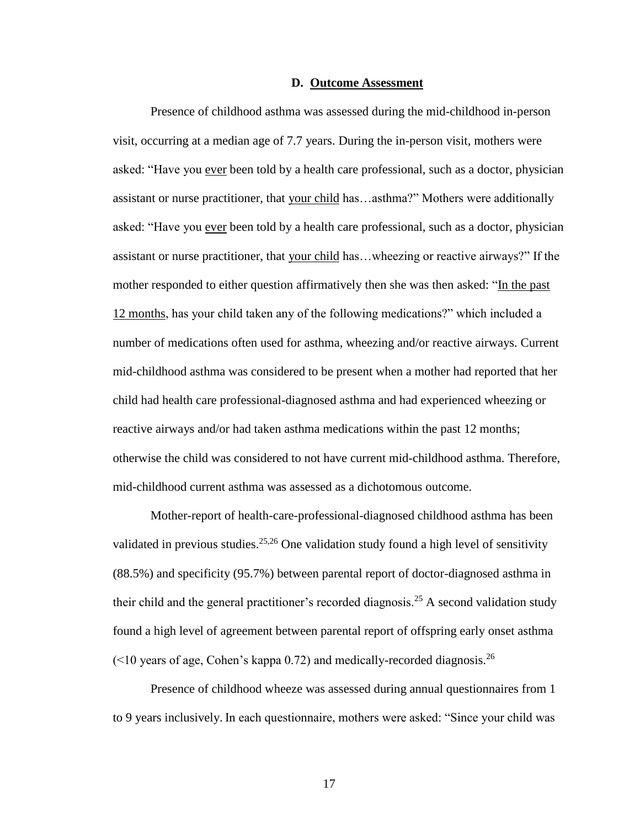#### **D. Outcome Assessment**

Presence of childhood asthma was assessed during the mid-childhood in-person visit, occurring at a median age of 7.7 years. During the in-person visit, mothers were asked: "Have you ever been told by a health care professional, such as a doctor, physician assistant or nurse practitioner, that your child has…asthma?" Mothers were additionally asked: "Have you ever been told by a health care professional, such as a doctor, physician assistant or nurse practitioner, that your child has…wheezing or reactive airways?" If the mother responded to either question affirmatively then she was then asked: "In the past 12 months, has your child taken any of the following medications?" which included a number of medications often used for asthma, wheezing and/or reactive airways. Current mid-childhood asthma was considered to be present when a mother had reported that her child had health care professional-diagnosed asthma and had experienced wheezing or reactive airways and/or had taken asthma medications within the past 12 months; otherwise the child was considered to not have current mid-childhood asthma. Therefore, mid-childhood current asthma was assessed as a dichotomous outcome.

Mother-report of health-care-professional-diagnosed childhood asthma has been validated in previous studies.<sup>25,26</sup> One validation study found a high level of sensitivity (88.5%) and specificity (95.7%) between parental report of doctor-diagnosed asthma in their child and the general practitioner's recorded diagnosis.<sup>25</sup> A second validation study found a high level of agreement between parental report of offspring early onset asthma  $($  <10 years of age, Cohen's kappa 0.72) and medically-recorded diagnosis.<sup>26</sup>

Presence of childhood wheeze was assessed during annual questionnaires from 1 to 9 years inclusively. In each questionnaire, mothers were asked: "Since your child was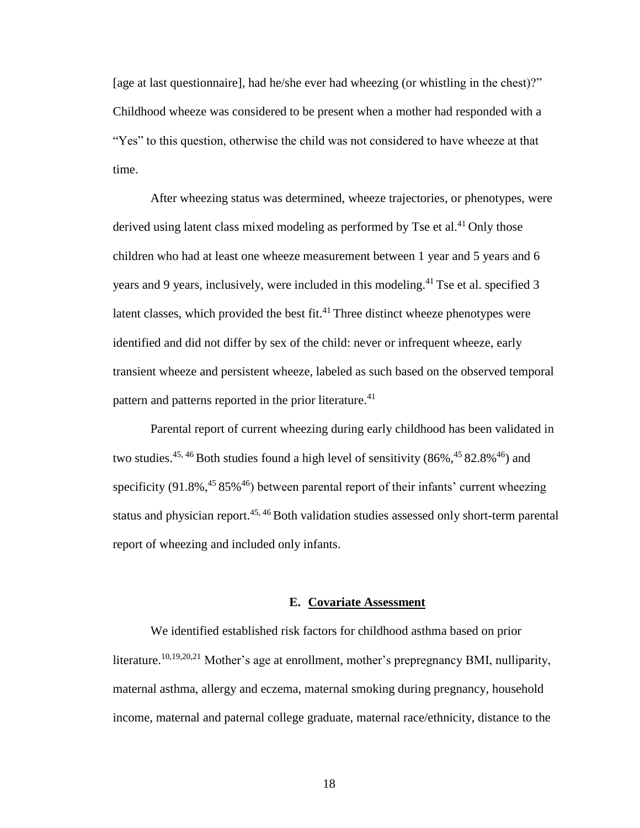[age at last questionnaire], had he/she ever had wheezing (or whistling in the chest)?" Childhood wheeze was considered to be present when a mother had responded with a "Yes" to this question, otherwise the child was not considered to have wheeze at that time.

After wheezing status was determined, wheeze trajectories, or phenotypes, were derived using latent class mixed modeling as performed by Tse et al.<sup>41</sup> Only those children who had at least one wheeze measurement between 1 year and 5 years and 6 years and 9 years, inclusively, were included in this modeling.<sup>41</sup> Tse et al. specified 3 latent classes, which provided the best fit. $41$  Three distinct wheeze phenotypes were identified and did not differ by sex of the child: never or infrequent wheeze, early transient wheeze and persistent wheeze, labeled as such based on the observed temporal pattern and patterns reported in the prior literature.<sup>41</sup>

Parental report of current wheezing during early childhood has been validated in two studies.<sup>45, 46</sup> Both studies found a high level of sensitivity  $(86\%,<sup>45</sup> 82.8\%<sup>46</sup>)$  and specificity  $(91.8\%,^{45}85\%^{46})$  between parental report of their infants' current wheezing status and physician report.<sup>45, 46</sup> Both validation studies assessed only short-term parental report of wheezing and included only infants.

#### **E. Covariate Assessment**

We identified established risk factors for childhood asthma based on prior literature.<sup>10,19,20,21</sup> Mother's age at enrollment, mother's prepregnancy BMI, nulliparity, maternal asthma, allergy and eczema, maternal smoking during pregnancy, household income, maternal and paternal college graduate, maternal race/ethnicity, distance to the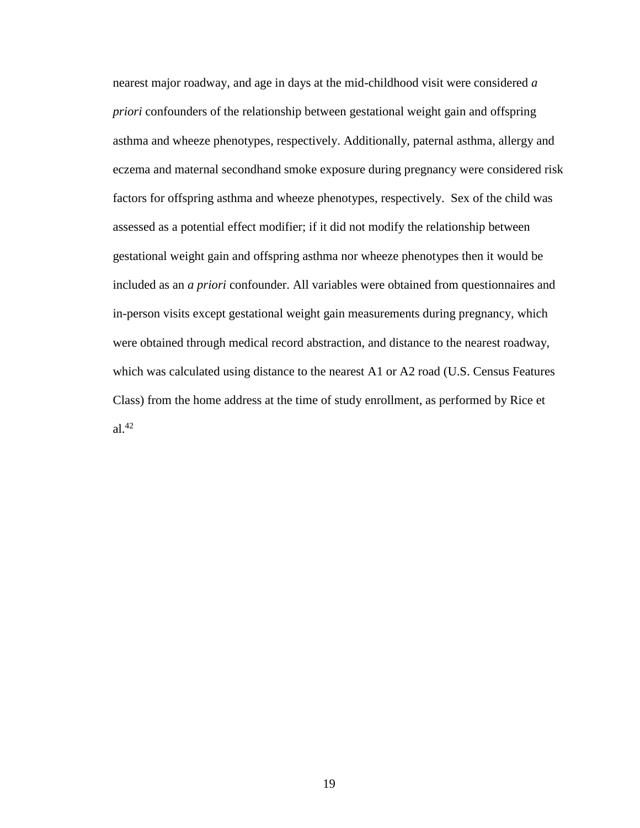nearest major roadway, and age in days at the mid-childhood visit were considered *a priori* confounders of the relationship between gestational weight gain and offspring asthma and wheeze phenotypes, respectively. Additionally, paternal asthma, allergy and eczema and maternal secondhand smoke exposure during pregnancy were considered risk factors for offspring asthma and wheeze phenotypes, respectively. Sex of the child was assessed as a potential effect modifier; if it did not modify the relationship between gestational weight gain and offspring asthma nor wheeze phenotypes then it would be included as an *a priori* confounder. All variables were obtained from questionnaires and in-person visits except gestational weight gain measurements during pregnancy, which were obtained through medical record abstraction, and distance to the nearest roadway, which was calculated using distance to the nearest A1 or A2 road (U.S. Census Features Class) from the home address at the time of study enrollment, as performed by Rice et al.<sup>42</sup>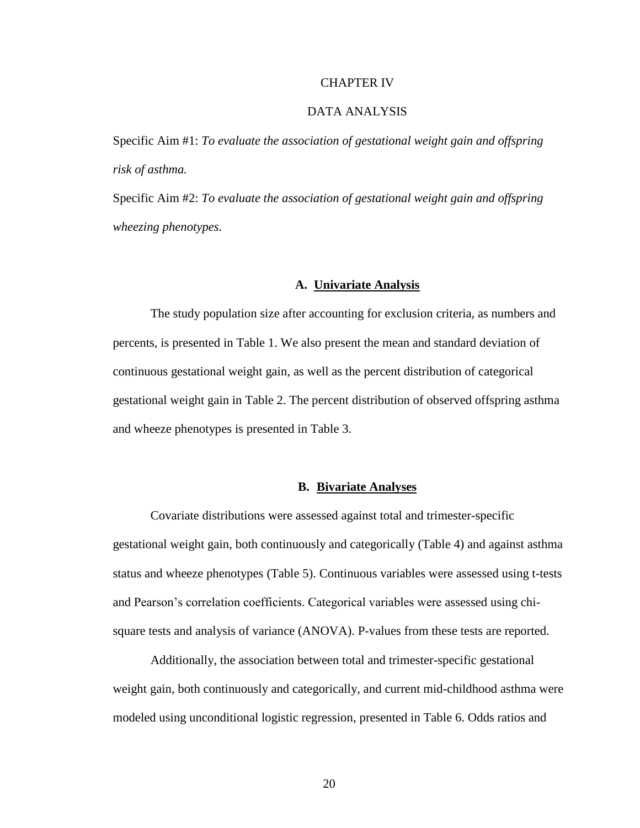#### CHAPTER IV

#### DATA ANALYSIS

Specific Aim #1: *To evaluate the association of gestational weight gain and offspring risk of asthma.* 

Specific Aim #2: *To evaluate the association of gestational weight gain and offspring wheezing phenotypes.* 

### **A. Univariate Analysis**

The study population size after accounting for exclusion criteria, as numbers and percents, is presented in Table 1. We also present the mean and standard deviation of continuous gestational weight gain, as well as the percent distribution of categorical gestational weight gain in Table 2. The percent distribution of observed offspring asthma and wheeze phenotypes is presented in Table 3.

#### **B. Bivariate Analyses**

Covariate distributions were assessed against total and trimester-specific gestational weight gain, both continuously and categorically (Table 4) and against asthma status and wheeze phenotypes (Table 5). Continuous variables were assessed using t-tests and Pearson's correlation coefficients. Categorical variables were assessed using chisquare tests and analysis of variance (ANOVA). P-values from these tests are reported.

Additionally, the association between total and trimester-specific gestational weight gain, both continuously and categorically, and current mid-childhood asthma were modeled using unconditional logistic regression, presented in Table 6. Odds ratios and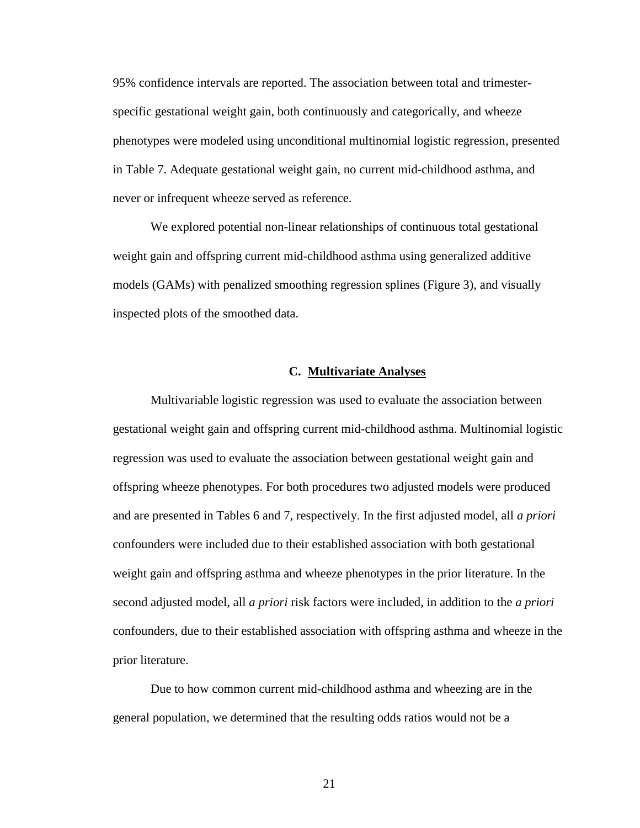95% confidence intervals are reported. The association between total and trimesterspecific gestational weight gain, both continuously and categorically, and wheeze phenotypes were modeled using unconditional multinomial logistic regression, presented in Table 7. Adequate gestational weight gain, no current mid-childhood asthma, and never or infrequent wheeze served as reference.

We explored potential non-linear relationships of continuous total gestational weight gain and offspring current mid-childhood asthma using generalized additive models (GAMs) with penalized smoothing regression splines (Figure 3), and visually inspected plots of the smoothed data.

#### **C. Multivariate Analyses**

Multivariable logistic regression was used to evaluate the association between gestational weight gain and offspring current mid-childhood asthma. Multinomial logistic regression was used to evaluate the association between gestational weight gain and offspring wheeze phenotypes. For both procedures two adjusted models were produced and are presented in Tables 6 and 7, respectively. In the first adjusted model, all *a priori* confounders were included due to their established association with both gestational weight gain and offspring asthma and wheeze phenotypes in the prior literature. In the second adjusted model, all *a priori* risk factors were included, in addition to the *a priori* confounders, due to their established association with offspring asthma and wheeze in the prior literature.

Due to how common current mid-childhood asthma and wheezing are in the general population, we determined that the resulting odds ratios would not be a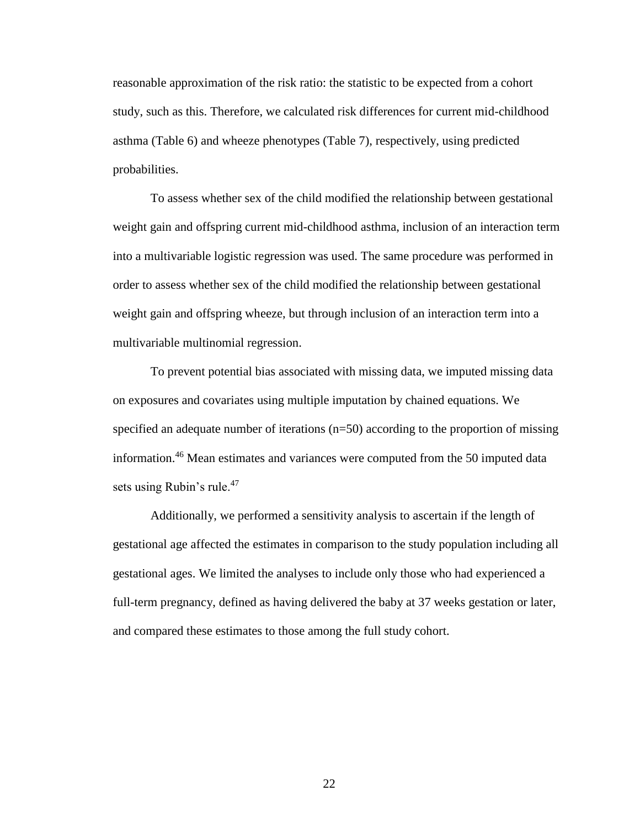reasonable approximation of the risk ratio: the statistic to be expected from a cohort study, such as this. Therefore, we calculated risk differences for current mid-childhood asthma (Table 6) and wheeze phenotypes (Table 7), respectively, using predicted probabilities.

To assess whether sex of the child modified the relationship between gestational weight gain and offspring current mid-childhood asthma, inclusion of an interaction term into a multivariable logistic regression was used. The same procedure was performed in order to assess whether sex of the child modified the relationship between gestational weight gain and offspring wheeze, but through inclusion of an interaction term into a multivariable multinomial regression.

To prevent potential bias associated with missing data, we imputed missing data on exposures and covariates using multiple imputation by chained equations. We specified an adequate number of iterations (n=50) according to the proportion of missing information.<sup>46</sup> Mean estimates and variances were computed from the 50 imputed data sets using Rubin's rule.<sup>47</sup>

Additionally, we performed a sensitivity analysis to ascertain if the length of gestational age affected the estimates in comparison to the study population including all gestational ages. We limited the analyses to include only those who had experienced a full-term pregnancy, defined as having delivered the baby at 37 weeks gestation or later, and compared these estimates to those among the full study cohort.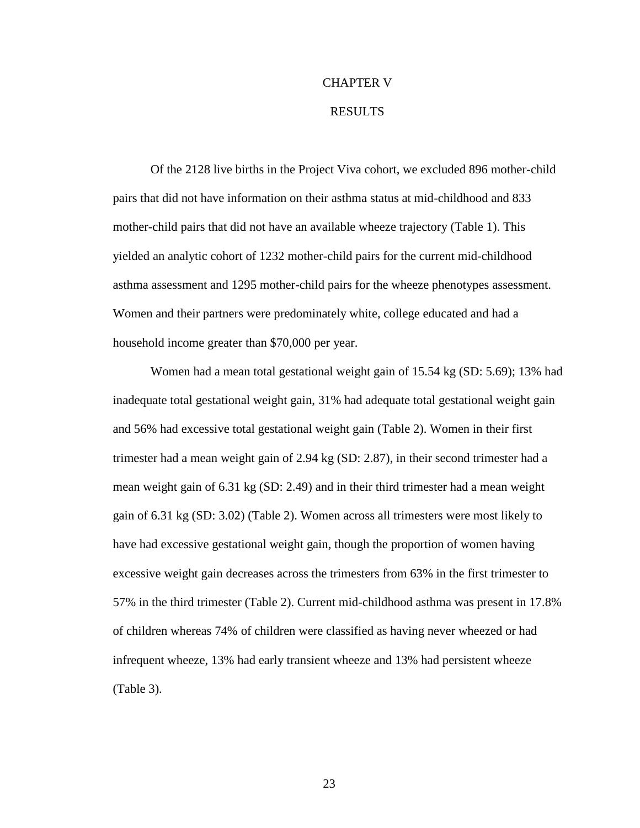# CHAPTER V

### RESULTS

Of the 2128 live births in the Project Viva cohort, we excluded 896 mother-child pairs that did not have information on their asthma status at mid-childhood and 833 mother-child pairs that did not have an available wheeze trajectory (Table 1). This yielded an analytic cohort of 1232 mother-child pairs for the current mid-childhood asthma assessment and 1295 mother-child pairs for the wheeze phenotypes assessment. Women and their partners were predominately white, college educated and had a household income greater than \$70,000 per year.

Women had a mean total gestational weight gain of 15.54 kg (SD: 5.69); 13% had inadequate total gestational weight gain, 31% had adequate total gestational weight gain and 56% had excessive total gestational weight gain (Table 2). Women in their first trimester had a mean weight gain of 2.94 kg (SD: 2.87), in their second trimester had a mean weight gain of 6.31 kg (SD: 2.49) and in their third trimester had a mean weight gain of 6.31 kg (SD: 3.02) (Table 2). Women across all trimesters were most likely to have had excessive gestational weight gain, though the proportion of women having excessive weight gain decreases across the trimesters from 63% in the first trimester to 57% in the third trimester (Table 2). Current mid-childhood asthma was present in 17.8% of children whereas 74% of children were classified as having never wheezed or had infrequent wheeze, 13% had early transient wheeze and 13% had persistent wheeze (Table 3).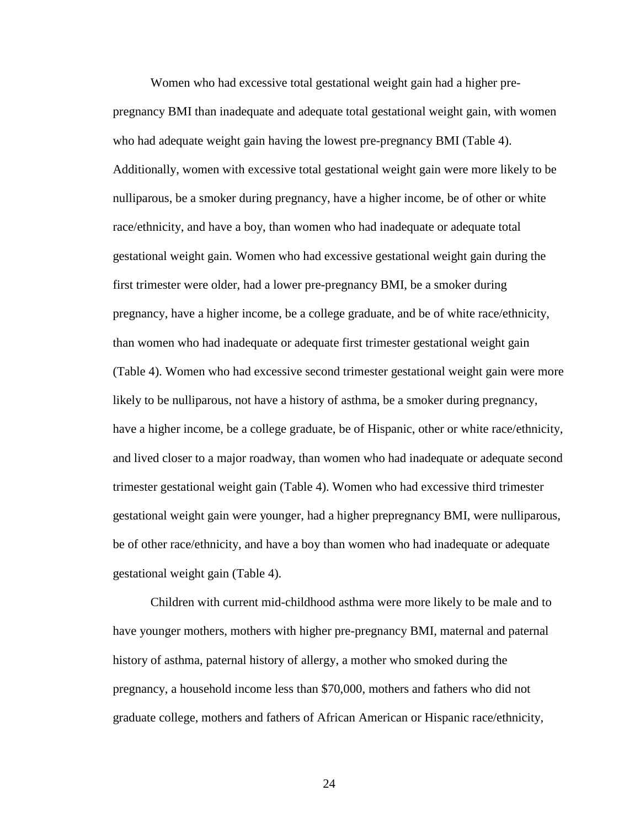Women who had excessive total gestational weight gain had a higher prepregnancy BMI than inadequate and adequate total gestational weight gain, with women who had adequate weight gain having the lowest pre-pregnancy BMI (Table 4). Additionally, women with excessive total gestational weight gain were more likely to be nulliparous, be a smoker during pregnancy, have a higher income, be of other or white race/ethnicity, and have a boy, than women who had inadequate or adequate total gestational weight gain. Women who had excessive gestational weight gain during the first trimester were older, had a lower pre-pregnancy BMI, be a smoker during pregnancy, have a higher income, be a college graduate, and be of white race/ethnicity, than women who had inadequate or adequate first trimester gestational weight gain (Table 4). Women who had excessive second trimester gestational weight gain were more likely to be nulliparous, not have a history of asthma, be a smoker during pregnancy, have a higher income, be a college graduate, be of Hispanic, other or white race/ethnicity, and lived closer to a major roadway, than women who had inadequate or adequate second trimester gestational weight gain (Table 4). Women who had excessive third trimester gestational weight gain were younger, had a higher prepregnancy BMI, were nulliparous, be of other race/ethnicity, and have a boy than women who had inadequate or adequate gestational weight gain (Table 4).

Children with current mid-childhood asthma were more likely to be male and to have younger mothers, mothers with higher pre-pregnancy BMI, maternal and paternal history of asthma, paternal history of allergy, a mother who smoked during the pregnancy, a household income less than \$70,000, mothers and fathers who did not graduate college, mothers and fathers of African American or Hispanic race/ethnicity,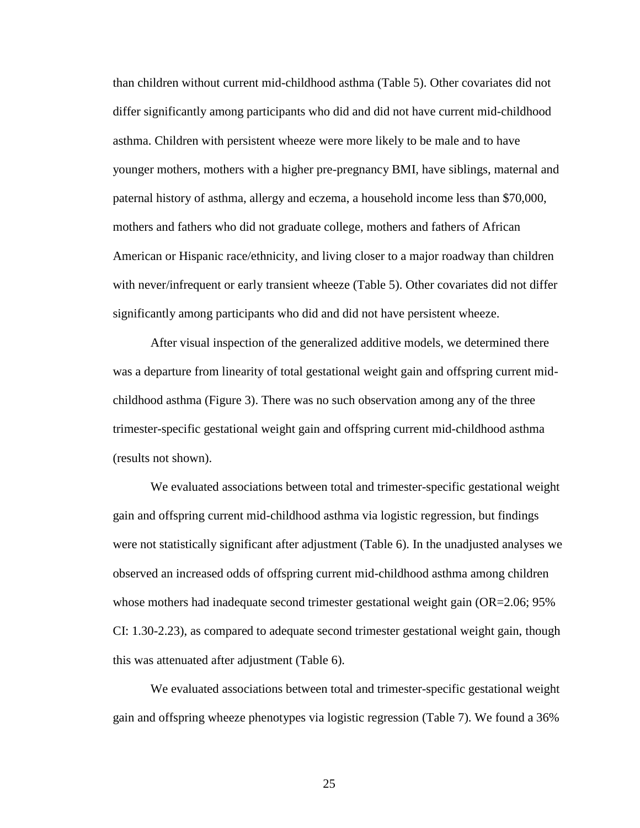than children without current mid-childhood asthma (Table 5). Other covariates did not differ significantly among participants who did and did not have current mid-childhood asthma. Children with persistent wheeze were more likely to be male and to have younger mothers, mothers with a higher pre-pregnancy BMI, have siblings, maternal and paternal history of asthma, allergy and eczema, a household income less than \$70,000, mothers and fathers who did not graduate college, mothers and fathers of African American or Hispanic race/ethnicity, and living closer to a major roadway than children with never/infrequent or early transient wheeze (Table 5). Other covariates did not differ significantly among participants who did and did not have persistent wheeze.

After visual inspection of the generalized additive models, we determined there was a departure from linearity of total gestational weight gain and offspring current midchildhood asthma (Figure 3). There was no such observation among any of the three trimester-specific gestational weight gain and offspring current mid-childhood asthma (results not shown).

We evaluated associations between total and trimester-specific gestational weight gain and offspring current mid-childhood asthma via logistic regression, but findings were not statistically significant after adjustment (Table 6). In the unadjusted analyses we observed an increased odds of offspring current mid-childhood asthma among children whose mothers had inadequate second trimester gestational weight gain (OR=2.06; 95%) CI: 1.30-2.23), as compared to adequate second trimester gestational weight gain, though this was attenuated after adjustment (Table 6).

We evaluated associations between total and trimester-specific gestational weight gain and offspring wheeze phenotypes via logistic regression (Table 7). We found a 36%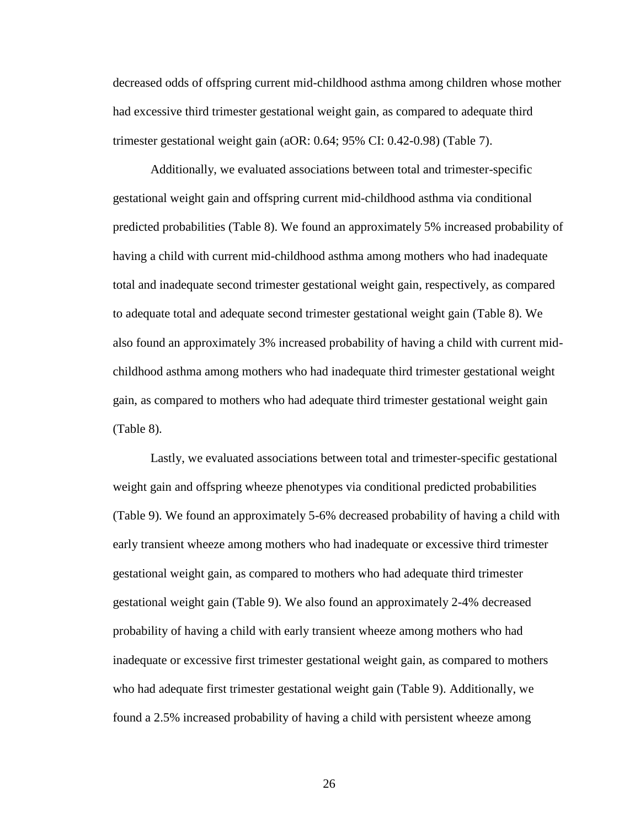decreased odds of offspring current mid-childhood asthma among children whose mother had excessive third trimester gestational weight gain, as compared to adequate third trimester gestational weight gain (aOR: 0.64; 95% CI: 0.42-0.98) (Table 7).

Additionally, we evaluated associations between total and trimester-specific gestational weight gain and offspring current mid-childhood asthma via conditional predicted probabilities (Table 8). We found an approximately 5% increased probability of having a child with current mid-childhood asthma among mothers who had inadequate total and inadequate second trimester gestational weight gain, respectively, as compared to adequate total and adequate second trimester gestational weight gain (Table 8). We also found an approximately 3% increased probability of having a child with current midchildhood asthma among mothers who had inadequate third trimester gestational weight gain, as compared to mothers who had adequate third trimester gestational weight gain (Table 8).

Lastly, we evaluated associations between total and trimester-specific gestational weight gain and offspring wheeze phenotypes via conditional predicted probabilities (Table 9). We found an approximately 5-6% decreased probability of having a child with early transient wheeze among mothers who had inadequate or excessive third trimester gestational weight gain, as compared to mothers who had adequate third trimester gestational weight gain (Table 9). We also found an approximately 2-4% decreased probability of having a child with early transient wheeze among mothers who had inadequate or excessive first trimester gestational weight gain, as compared to mothers who had adequate first trimester gestational weight gain (Table 9). Additionally, we found a 2.5% increased probability of having a child with persistent wheeze among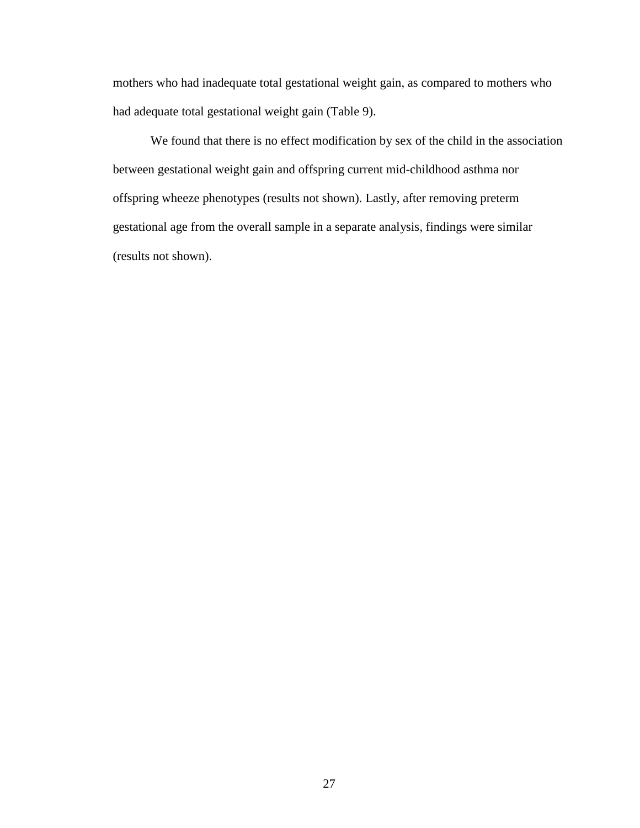mothers who had inadequate total gestational weight gain, as compared to mothers who had adequate total gestational weight gain (Table 9).

We found that there is no effect modification by sex of the child in the association between gestational weight gain and offspring current mid-childhood asthma nor offspring wheeze phenotypes (results not shown). Lastly, after removing preterm gestational age from the overall sample in a separate analysis, findings were similar (results not shown).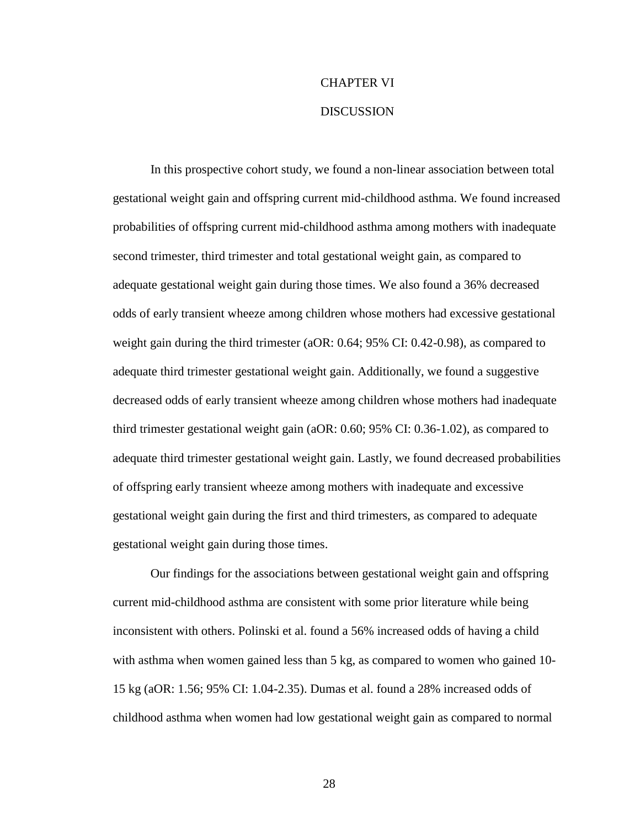## CHAPTER VI **DISCUSSION**

In this prospective cohort study, we found a non-linear association between total gestational weight gain and offspring current mid-childhood asthma. We found increased probabilities of offspring current mid-childhood asthma among mothers with inadequate second trimester, third trimester and total gestational weight gain, as compared to adequate gestational weight gain during those times. We also found a 36% decreased odds of early transient wheeze among children whose mothers had excessive gestational weight gain during the third trimester (aOR: 0.64; 95% CI: 0.42-0.98), as compared to adequate third trimester gestational weight gain. Additionally, we found a suggestive decreased odds of early transient wheeze among children whose mothers had inadequate third trimester gestational weight gain (aOR: 0.60; 95% CI: 0.36-1.02), as compared to adequate third trimester gestational weight gain. Lastly, we found decreased probabilities of offspring early transient wheeze among mothers with inadequate and excessive gestational weight gain during the first and third trimesters, as compared to adequate gestational weight gain during those times.

Our findings for the associations between gestational weight gain and offspring current mid-childhood asthma are consistent with some prior literature while being inconsistent with others. Polinski et al. found a 56% increased odds of having a child with asthma when women gained less than 5 kg, as compared to women who gained 10-15 kg (aOR: 1.56; 95% CI: 1.04-2.35). Dumas et al. found a 28% increased odds of childhood asthma when women had low gestational weight gain as compared to normal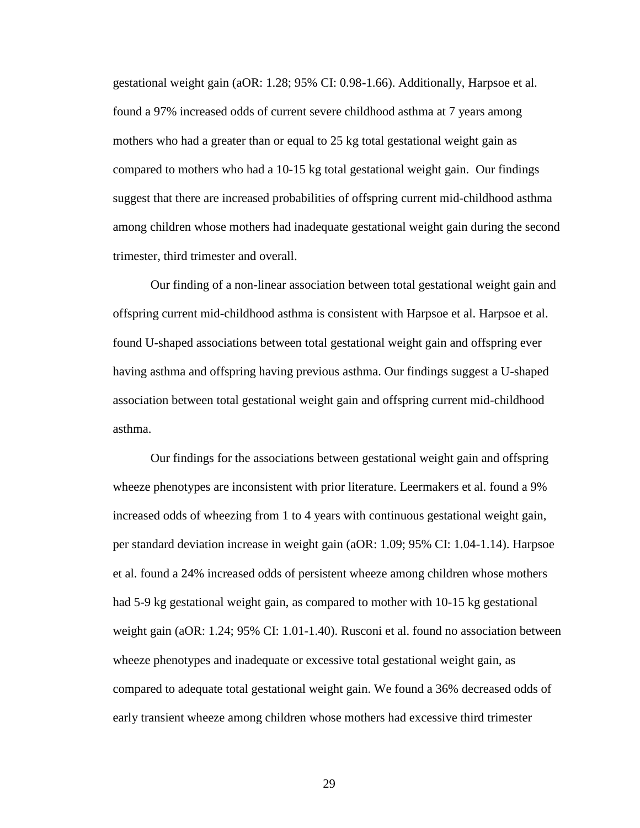gestational weight gain (aOR: 1.28; 95% CI: 0.98-1.66). Additionally, Harpsoe et al. found a 97% increased odds of current severe childhood asthma at 7 years among mothers who had a greater than or equal to 25 kg total gestational weight gain as compared to mothers who had a 10-15 kg total gestational weight gain. Our findings suggest that there are increased probabilities of offspring current mid-childhood asthma among children whose mothers had inadequate gestational weight gain during the second trimester, third trimester and overall.

Our finding of a non-linear association between total gestational weight gain and offspring current mid-childhood asthma is consistent with Harpsoe et al. Harpsoe et al. found U-shaped associations between total gestational weight gain and offspring ever having asthma and offspring having previous asthma. Our findings suggest a U-shaped association between total gestational weight gain and offspring current mid-childhood asthma.

Our findings for the associations between gestational weight gain and offspring wheeze phenotypes are inconsistent with prior literature. Leermakers et al. found a 9% increased odds of wheezing from 1 to 4 years with continuous gestational weight gain, per standard deviation increase in weight gain (aOR: 1.09; 95% CI: 1.04-1.14). Harpsoe et al. found a 24% increased odds of persistent wheeze among children whose mothers had 5-9 kg gestational weight gain, as compared to mother with 10-15 kg gestational weight gain (aOR: 1.24; 95% CI: 1.01-1.40). Rusconi et al. found no association between wheeze phenotypes and inadequate or excessive total gestational weight gain, as compared to adequate total gestational weight gain. We found a 36% decreased odds of early transient wheeze among children whose mothers had excessive third trimester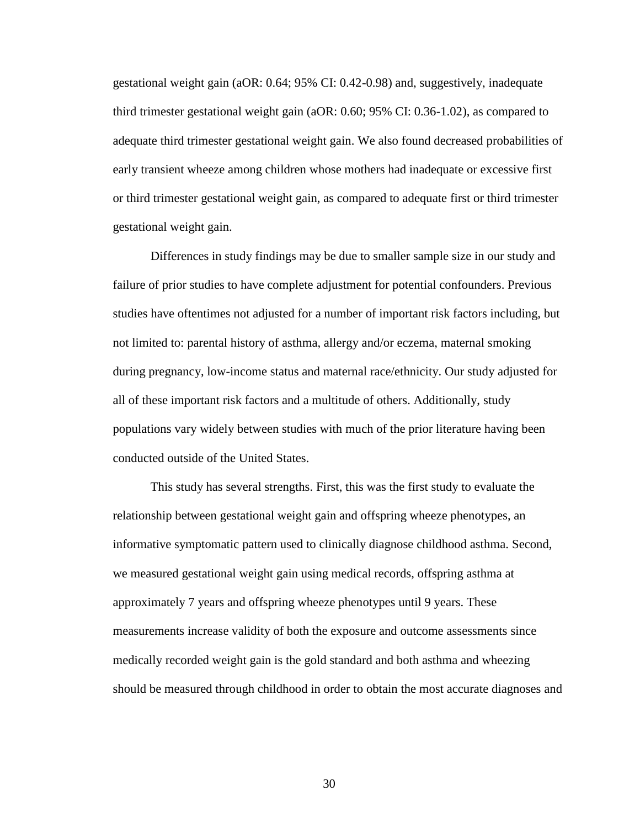gestational weight gain (aOR: 0.64; 95% CI: 0.42-0.98) and, suggestively, inadequate third trimester gestational weight gain (aOR: 0.60; 95% CI: 0.36-1.02), as compared to adequate third trimester gestational weight gain. We also found decreased probabilities of early transient wheeze among children whose mothers had inadequate or excessive first or third trimester gestational weight gain, as compared to adequate first or third trimester gestational weight gain.

Differences in study findings may be due to smaller sample size in our study and failure of prior studies to have complete adjustment for potential confounders. Previous studies have oftentimes not adjusted for a number of important risk factors including, but not limited to: parental history of asthma, allergy and/or eczema, maternal smoking during pregnancy, low-income status and maternal race/ethnicity. Our study adjusted for all of these important risk factors and a multitude of others. Additionally, study populations vary widely between studies with much of the prior literature having been conducted outside of the United States.

This study has several strengths. First, this was the first study to evaluate the relationship between gestational weight gain and offspring wheeze phenotypes, an informative symptomatic pattern used to clinically diagnose childhood asthma. Second, we measured gestational weight gain using medical records, offspring asthma at approximately 7 years and offspring wheeze phenotypes until 9 years. These measurements increase validity of both the exposure and outcome assessments since medically recorded weight gain is the gold standard and both asthma and wheezing should be measured through childhood in order to obtain the most accurate diagnoses and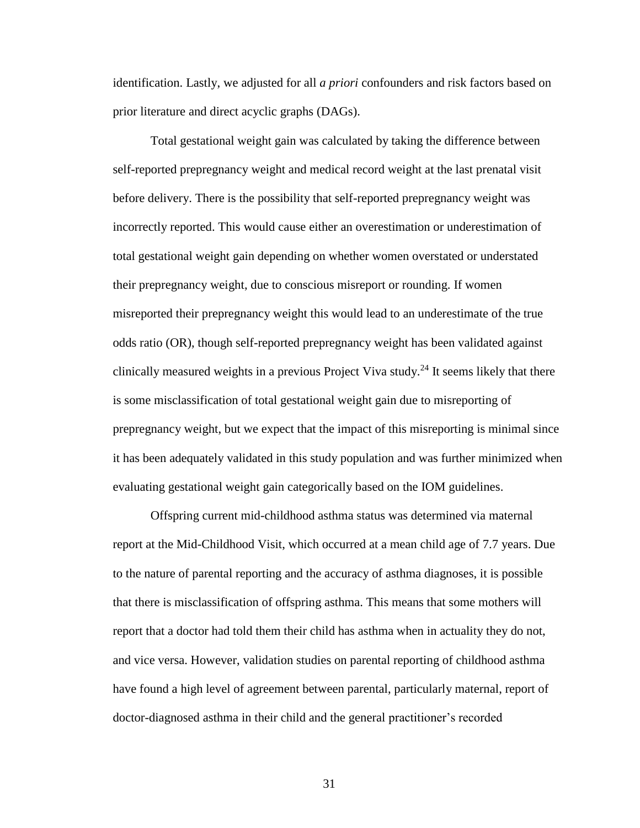identification. Lastly, we adjusted for all *a priori* confounders and risk factors based on prior literature and direct acyclic graphs (DAGs).

Total gestational weight gain was calculated by taking the difference between self-reported prepregnancy weight and medical record weight at the last prenatal visit before delivery. There is the possibility that self-reported prepregnancy weight was incorrectly reported. This would cause either an overestimation or underestimation of total gestational weight gain depending on whether women overstated or understated their prepregnancy weight, due to conscious misreport or rounding. If women misreported their prepregnancy weight this would lead to an underestimate of the true odds ratio (OR), though self-reported prepregnancy weight has been validated against clinically measured weights in a previous Project Viva study.<sup>24</sup> It seems likely that there is some misclassification of total gestational weight gain due to misreporting of prepregnancy weight, but we expect that the impact of this misreporting is minimal since it has been adequately validated in this study population and was further minimized when evaluating gestational weight gain categorically based on the IOM guidelines.

Offspring current mid-childhood asthma status was determined via maternal report at the Mid-Childhood Visit, which occurred at a mean child age of 7.7 years. Due to the nature of parental reporting and the accuracy of asthma diagnoses, it is possible that there is misclassification of offspring asthma. This means that some mothers will report that a doctor had told them their child has asthma when in actuality they do not, and vice versa. However, validation studies on parental reporting of childhood asthma have found a high level of agreement between parental, particularly maternal, report of doctor-diagnosed asthma in their child and the general practitioner's recorded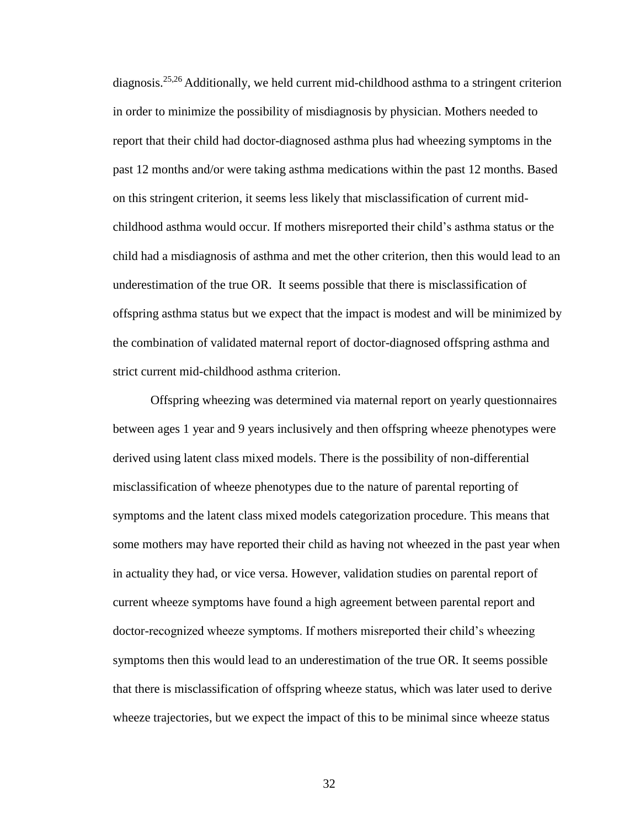diagnosis.<sup>25,26</sup> Additionally, we held current mid-childhood asthma to a stringent criterion in order to minimize the possibility of misdiagnosis by physician. Mothers needed to report that their child had doctor-diagnosed asthma plus had wheezing symptoms in the past 12 months and/or were taking asthma medications within the past 12 months. Based on this stringent criterion, it seems less likely that misclassification of current midchildhood asthma would occur. If mothers misreported their child's asthma status or the child had a misdiagnosis of asthma and met the other criterion, then this would lead to an underestimation of the true OR. It seems possible that there is misclassification of offspring asthma status but we expect that the impact is modest and will be minimized by the combination of validated maternal report of doctor-diagnosed offspring asthma and strict current mid-childhood asthma criterion.

Offspring wheezing was determined via maternal report on yearly questionnaires between ages 1 year and 9 years inclusively and then offspring wheeze phenotypes were derived using latent class mixed models. There is the possibility of non-differential misclassification of wheeze phenotypes due to the nature of parental reporting of symptoms and the latent class mixed models categorization procedure. This means that some mothers may have reported their child as having not wheezed in the past year when in actuality they had, or vice versa. However, validation studies on parental report of current wheeze symptoms have found a high agreement between parental report and doctor-recognized wheeze symptoms. If mothers misreported their child's wheezing symptoms then this would lead to an underestimation of the true OR. It seems possible that there is misclassification of offspring wheeze status, which was later used to derive wheeze trajectories, but we expect the impact of this to be minimal since wheeze status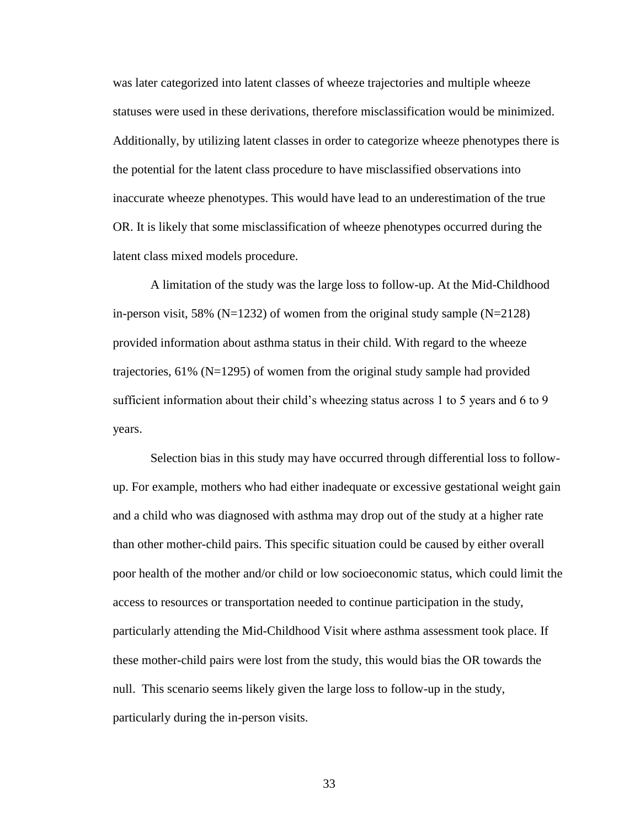was later categorized into latent classes of wheeze trajectories and multiple wheeze statuses were used in these derivations, therefore misclassification would be minimized. Additionally, by utilizing latent classes in order to categorize wheeze phenotypes there is the potential for the latent class procedure to have misclassified observations into inaccurate wheeze phenotypes. This would have lead to an underestimation of the true OR. It is likely that some misclassification of wheeze phenotypes occurred during the latent class mixed models procedure.

A limitation of the study was the large loss to follow-up. At the Mid-Childhood in-person visit, 58% ( $N=1232$ ) of women from the original study sample ( $N=2128$ ) provided information about asthma status in their child. With regard to the wheeze trajectories, 61% (N=1295) of women from the original study sample had provided sufficient information about their child's wheezing status across 1 to 5 years and 6 to 9 years.

Selection bias in this study may have occurred through differential loss to followup. For example, mothers who had either inadequate or excessive gestational weight gain and a child who was diagnosed with asthma may drop out of the study at a higher rate than other mother-child pairs. This specific situation could be caused by either overall poor health of the mother and/or child or low socioeconomic status, which could limit the access to resources or transportation needed to continue participation in the study, particularly attending the Mid-Childhood Visit where asthma assessment took place. If these mother-child pairs were lost from the study, this would bias the OR towards the null. This scenario seems likely given the large loss to follow-up in the study, particularly during the in-person visits.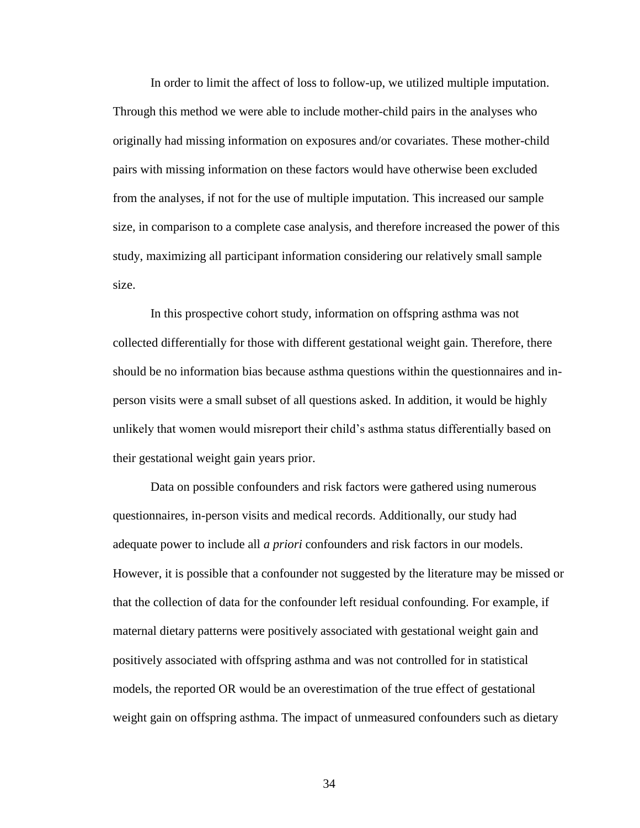In order to limit the affect of loss to follow-up, we utilized multiple imputation. Through this method we were able to include mother-child pairs in the analyses who originally had missing information on exposures and/or covariates. These mother-child pairs with missing information on these factors would have otherwise been excluded from the analyses, if not for the use of multiple imputation. This increased our sample size, in comparison to a complete case analysis, and therefore increased the power of this study, maximizing all participant information considering our relatively small sample size.

In this prospective cohort study, information on offspring asthma was not collected differentially for those with different gestational weight gain. Therefore, there should be no information bias because asthma questions within the questionnaires and inperson visits were a small subset of all questions asked. In addition, it would be highly unlikely that women would misreport their child's asthma status differentially based on their gestational weight gain years prior.

Data on possible confounders and risk factors were gathered using numerous questionnaires, in-person visits and medical records. Additionally, our study had adequate power to include all *a priori* confounders and risk factors in our models. However, it is possible that a confounder not suggested by the literature may be missed or that the collection of data for the confounder left residual confounding. For example, if maternal dietary patterns were positively associated with gestational weight gain and positively associated with offspring asthma and was not controlled for in statistical models, the reported OR would be an overestimation of the true effect of gestational weight gain on offspring asthma. The impact of unmeasured confounders such as dietary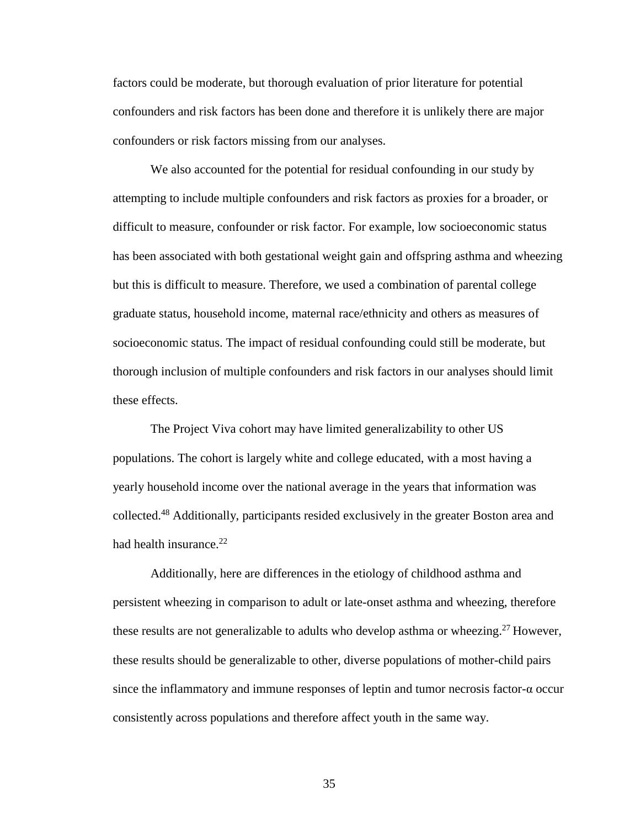factors could be moderate, but thorough evaluation of prior literature for potential confounders and risk factors has been done and therefore it is unlikely there are major confounders or risk factors missing from our analyses.

We also accounted for the potential for residual confounding in our study by attempting to include multiple confounders and risk factors as proxies for a broader, or difficult to measure, confounder or risk factor. For example, low socioeconomic status has been associated with both gestational weight gain and offspring asthma and wheezing but this is difficult to measure. Therefore, we used a combination of parental college graduate status, household income, maternal race/ethnicity and others as measures of socioeconomic status. The impact of residual confounding could still be moderate, but thorough inclusion of multiple confounders and risk factors in our analyses should limit these effects.

The Project Viva cohort may have limited generalizability to other US populations. The cohort is largely white and college educated, with a most having a yearly household income over the national average in the years that information was collected.<sup>48</sup> Additionally, participants resided exclusively in the greater Boston area and had health insurance. $22$ 

Additionally, here are differences in the etiology of childhood asthma and persistent wheezing in comparison to adult or late-onset asthma and wheezing, therefore these results are not generalizable to adults who develop asthma or wheezing.<sup>27</sup> However, these results should be generalizable to other, diverse populations of mother-child pairs since the inflammatory and immune responses of leptin and tumor necrosis factor-α occur consistently across populations and therefore affect youth in the same way.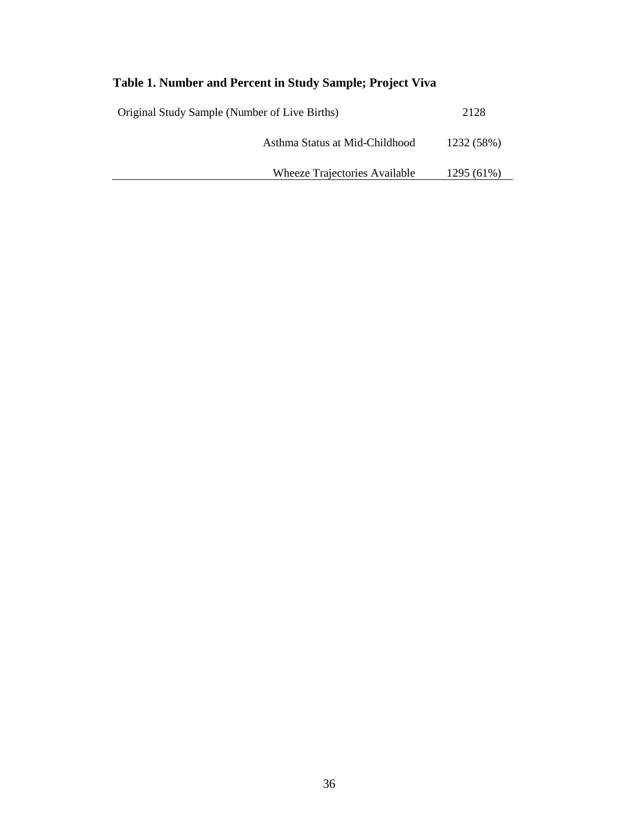### **Table 1. Number and Percent in Study Sample; Project Viva**

| Original Study Sample (Number of Live Births) | 2128       |
|-----------------------------------------------|------------|
| Asthma Status at Mid-Childhood                | 1232 (58%) |
| <b>Wheeze Trajectories Available</b>          | 1295 (61%) |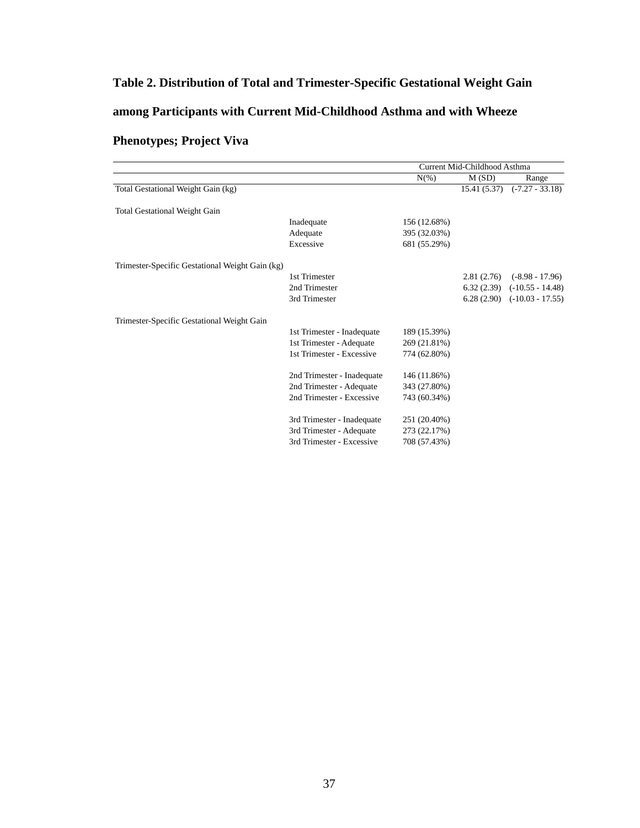### **Table 2. Distribution of Total and Trimester-Specific Gestational Weight Gain**

### **among Participants with Current Mid-Childhood Asthma and with Wheeze**

### **Phenotypes; Project Viva**

|                                                 |                            |              | Current Mid-Childhood Asthma |                                 |  |
|-------------------------------------------------|----------------------------|--------------|------------------------------|---------------------------------|--|
|                                                 |                            | $N(\%)$      | M(SD)                        | Range                           |  |
| Total Gestational Weight Gain (kg)              |                            |              | 15.41(5.37)                  | $(-7.27 - 33.18)$               |  |
|                                                 |                            |              |                              |                                 |  |
| <b>Total Gestational Weight Gain</b>            |                            |              |                              |                                 |  |
|                                                 | Inadequate                 | 156 (12.68%) |                              |                                 |  |
|                                                 | Adequate                   | 395 (32.03%) |                              |                                 |  |
|                                                 | Excessive                  | 681 (55.29%) |                              |                                 |  |
| Trimester-Specific Gestational Weight Gain (kg) |                            |              |                              |                                 |  |
|                                                 | 1st Trimester              |              | 2.81(2.76)                   | $(-8.98 - 17.96)$               |  |
|                                                 | 2nd Trimester              |              | 6.32(2.39)                   | $(-10.55 - 14.48)$              |  |
|                                                 | 3rd Trimester              |              |                              | $6.28(2.90)$ $(-10.03 - 17.55)$ |  |
|                                                 |                            |              |                              |                                 |  |
| Trimester-Specific Gestational Weight Gain      |                            |              |                              |                                 |  |
|                                                 | 1st Trimester - Inadequate | 189 (15.39%) |                              |                                 |  |
|                                                 | 1st Trimester - Adequate   | 269 (21.81%) |                              |                                 |  |
|                                                 | 1st Trimester - Excessive  | 774 (62.80%) |                              |                                 |  |
|                                                 |                            |              |                              |                                 |  |
|                                                 | 2nd Trimester - Inadequate | 146 (11.86%) |                              |                                 |  |
|                                                 | 2nd Trimester - Adequate   | 343 (27.80%) |                              |                                 |  |
|                                                 | 2nd Trimester - Excessive  | 743 (60.34%) |                              |                                 |  |
|                                                 | 3rd Trimester - Inadequate | 251 (20.40%) |                              |                                 |  |
|                                                 | 3rd Trimester - Adequate   | 273 (22.17%) |                              |                                 |  |
|                                                 | 3rd Trimester - Excessive  | 708 (57.43%) |                              |                                 |  |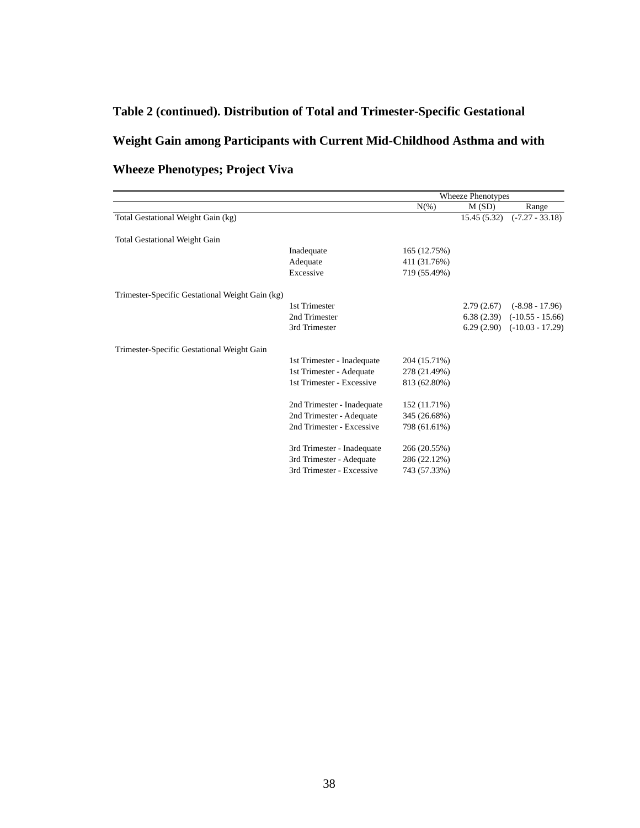# **Table 2 (continued). Distribution of Total and Trimester-Specific Gestational Weight Gain among Participants with Current Mid-Childhood Asthma and with Table 2 (Continued). Distribution of Total and Trimester-Specific Gestation of Trimester-Specific Gestation of Trimester-Specific Gain among Participants with Current Mid-Among Participants with Current Mid-Among Particip**

|                                                 |                            | <b>Wheeze Phenotypes</b> |             |                    |
|-------------------------------------------------|----------------------------|--------------------------|-------------|--------------------|
|                                                 |                            | $N(\%)$                  | M(SD)       | Range              |
| Total Gestational Weight Gain (kg)              |                            |                          | 15.45(5.32) | $(-7.27 - 33.18)$  |
| <b>Total Gestational Weight Gain</b>            |                            |                          |             |                    |
|                                                 | Inadequate                 | 165 (12.75%)             |             |                    |
|                                                 | Adequate                   | 411 (31.76%)             |             |                    |
|                                                 | Excessive                  | 719 (55.49%)             |             |                    |
| Trimester-Specific Gestational Weight Gain (kg) |                            |                          |             |                    |
|                                                 | 1st Trimester              |                          | 2.79(2.67)  | $(-8.98 - 17.96)$  |
|                                                 | 2nd Trimester              |                          | 6.38(2.39)  | $(-10.55 - 15.66)$ |
|                                                 | 3rd Trimester              |                          | 6.29(2.90)  | $(-10.03 - 17.29)$ |
| Trimester-Specific Gestational Weight Gain      |                            |                          |             |                    |
|                                                 | 1st Trimester - Inadequate | 204 (15.71%)             |             |                    |
|                                                 | 1st Trimester - Adequate   | 278 (21.49%)             |             |                    |
|                                                 | 1st Trimester - Excessive  | 813 (62.80%)             |             |                    |
|                                                 | 2nd Trimester - Inadequate | 152 (11.71%)             |             |                    |
|                                                 | 2nd Trimester - Adequate   | 345 (26.68%)             |             |                    |
|                                                 | 2nd Trimester - Excessive  | 798 (61.61%)             |             |                    |
|                                                 | 3rd Trimester - Inadequate | 266 (20.55%)             |             |                    |
|                                                 | 3rd Trimester - Adequate   | 286 (22.12%)             |             |                    |
|                                                 | 3rd Trimester - Excessive  | 743 (57.33%)             |             |                    |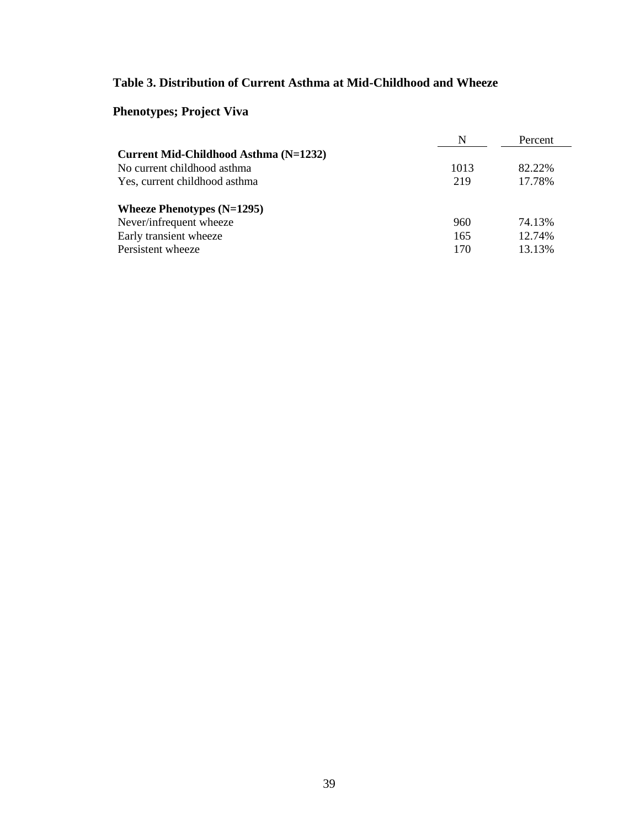### **Table 3. Distribution of Current Asthma at Mid-Childhood and Wheeze**

### **Phenotypes; Project Viva**

|                                       | N    | Percent |
|---------------------------------------|------|---------|
| Current Mid-Childhood Asthma (N=1232) |      |         |
| No current childhood asthma           | 1013 | 82.22%  |
| Yes, current childhood asthma         | 219  | 17.78%  |
| Wheeze Phenotypes $(N=1295)$          |      |         |
| Never/infrequent wheeze               | 960  | 74.13%  |
| Early transient wheeze                | 165  | 12.74%  |
| Persistent wheeze                     | 170  | 13.13%  |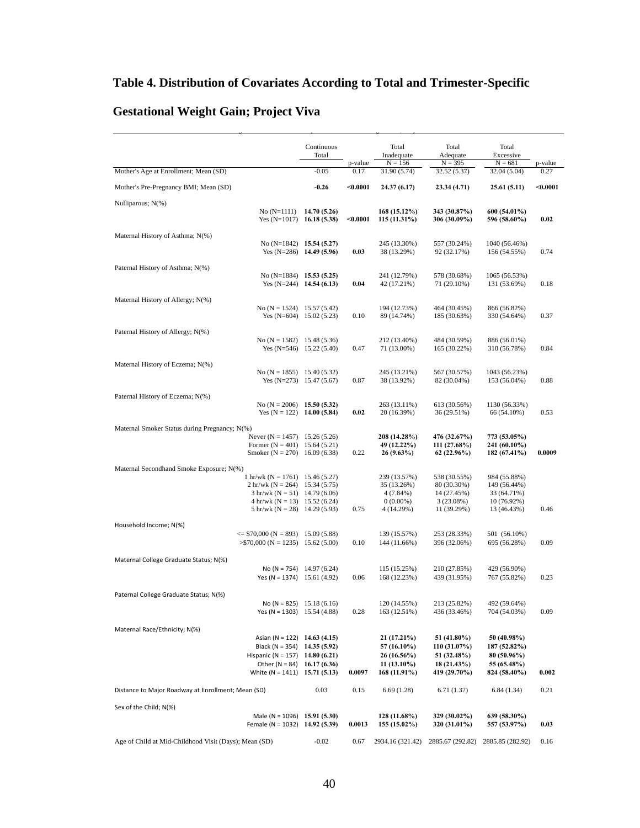### **Table 4. Distribution of Covariates According to Total and Trimester-Specific**

Table 4. Distribution of Covariates According to Total and Trimester-Specific Gestational Weight Gain; Project Viva

### **Gestational Weight Gain; Project Viva**

|                                                                                    | Continuous<br>Total |                 | Total<br>Inadequate            | Total<br>Adequate            | Total<br>Excessive            |                 |
|------------------------------------------------------------------------------------|---------------------|-----------------|--------------------------------|------------------------------|-------------------------------|-----------------|
| Mother's Age at Enrollment; Mean (SD)                                              | $-0.05$             | p-value<br>0.17 | $N = 156$<br>31.90 (5.74)      | $N = 395$<br>32.52 (5.37)    | $N = 681$<br>32.04 (5.04)     | p-value<br>0.27 |
|                                                                                    |                     |                 |                                |                              |                               |                 |
| Mother's Pre-Pregnancy BMI; Mean (SD)                                              | $-0.26$             | $0.0001$        | 24.37 (6.17)                   | 23.34 (4.71)                 | 25.61 (5.11)                  | $0.0001$        |
| Nulliparous; N(%)<br>$No (N=1111)$<br>Yes $(N=1017)$ 16.18 (5.38)                  | 14.70 (5.26)        | $0.0001$        | 168 (15.12%)<br>115(11.31%)    | 343 (30.87%)<br>306 (30.09%) | 600 (54.01%)<br>596 (58.60%)  | 0.02            |
| Maternal History of Asthma; N(%)                                                   |                     |                 |                                |                              |                               |                 |
| No $(N=1842)$ 15.54 (5.27)<br>Yes $(N=286)$ 14.49 (5.96)                           |                     | 0.03            | 245 (13.30%)<br>38 (13.29%)    | 557 (30.24%)<br>92 (32.17%)  | 1040 (56.46%)<br>156 (54.55%) | 0.74            |
| Paternal History of Asthma; N(%)                                                   |                     |                 |                                |                              |                               |                 |
| No (N=1884) 15.53 (5.25)<br>Yes $(N=244)$ 14.54 (6.13)                             |                     | 0.04            | 241 (12.79%)<br>42 (17.21%)    | 578 (30.68%)<br>71 (29.10%)  | 1065 (56.53%)<br>131 (53.69%) | 0.18            |
| Maternal History of Allergy; N(%)                                                  |                     |                 |                                |                              |                               |                 |
| No (N = 1524) 15.57 (5.42)<br>Yes $(N=604)$ 15.02 (5.23)                           |                     | 0.10            | 194 (12.73%)<br>89 (14.74%)    | 464 (30.45%)<br>185 (30.63%) | 866 (56.82%)<br>330 (54.64%)  | 0.37            |
| Paternal History of Allergy; N(%)                                                  |                     |                 |                                |                              |                               |                 |
| No $(N = 1582)$ 15.48 (5.36)<br>Yes $(N=546)$ 15.22 (5.40)                         |                     | 0.47            | 212 (13.40%)<br>71 (13.00%)    | 484 (30.59%)<br>165 (30.22%) | 886 (56.01%)<br>310 (56.78%)  | 0.84            |
| Maternal History of Eczema; N(%)                                                   |                     |                 |                                |                              |                               |                 |
| No $(N = 1855)$ 15.40 (5.32)<br>Yes $(N=273)$ 15.47 (5.67)                         |                     | 0.87            | 245 (13.21%)<br>38 (13.92%)    | 567 (30.57%)<br>82 (30.04%)  | 1043 (56.23%)<br>153 (56.04%) | 0.88            |
| Paternal History of Eczema; N(%)                                                   |                     |                 |                                |                              |                               |                 |
| No (N = 2006) 15.50 (5.32)<br>Yes $(N = 122)$ 14.00 (5.84)                         |                     | 0.02            | 263 (13.11%)<br>20 (16.39%)    | 613 (30.56%)<br>36 (29.51%)  | 1130 (56.33%)<br>66 (54.10%)  | 0.53            |
| Maternal Smoker Status during Pregnancy; N(%)                                      |                     |                 |                                |                              |                               |                 |
| Never (N = 1457) 15.26 (5.26)                                                      |                     |                 | 208 (14.28%)                   | 476 (32.67%)                 | 773 (53.05%)                  |                 |
| Former $(N = 401)$ 15.64 (5.21)<br>Smoker $(N = 270)$ 16.09 (6.38)                 |                     | 0.22            | 49 (12.22%)<br>26(9.63%)       | 111 (27.68%)<br>62(22.96%)   | 241 (60.10%)<br>182 (67.41%)  | 0.0009          |
|                                                                                    |                     |                 |                                |                              |                               |                 |
| Maternal Secondhand Smoke Exposure; N(%)<br>1 hr/wk ( $N = 1761$ ) 15.46 (5.27)    |                     |                 | 239 (13.57%)                   | 538 (30.55%)                 | 984 (55.88%)                  |                 |
| 2 hr/wk (N = 264) 15.34 (5.75)                                                     |                     |                 | 35 (13.26%)                    | 80 (30.30%)                  | 149 (56.44%)                  |                 |
| $3 \text{ hr/wk}$ (N = 51) 14.79 (6.06)<br>$4 \text{ hr/wk}$ (N = 13) 15.52 (6.24) |                     |                 | 4 (7.84%)<br>$0(0.00\%)$       | 14 (27.45%)<br>3(23.08%)     | 33 (64.71%)<br>10 (76.92%)    |                 |
| $5 \text{ hr/wk}$ (N = 28) 14.29 (5.93)                                            |                     | 0.75            | 4 (14.29%)                     | 11 (39.29%)                  | 13 (46.43%)                   | 0.46            |
| Household Income; N(%)                                                             |                     |                 |                                |                              |                               |                 |
| $\le$ \$70,000 (N = 893) 15.09 (5.88)                                              |                     |                 | 139 (15.57%)                   | 253 (28.33%)                 | 501 (56.10%)                  |                 |
| $>$ \$70,000 (N = 1235) 15.62 (5.00)                                               |                     | 0.10            | 144 (11.66%)                   | 396 (32.06%)                 | 695 (56.28%)                  | 0.09            |
| Maternal College Graduate Status; N(%)                                             |                     |                 |                                |                              |                               |                 |
| No (N = 754) $14.97(6.24)$<br>Yes (N = 1374) 15.61 $(4.92)$                        |                     | 0.06            | 115 (15.25%)<br>168 (12.23%)   | 210 (27.85%)<br>439 (31.95%) | 429 (56.90%)<br>767 (55.82%)  | 0.23            |
|                                                                                    |                     |                 |                                |                              |                               |                 |
| Paternal College Graduate Status; N(%)<br>No (N = 825) 15.18 (6.16)                |                     |                 | 120 (14.55%)                   | 213 (25.82%)                 | 492 (59.64%)                  |                 |
| Yes (N = 1303) 15.54 (4.88)                                                        |                     | 0.28            | 163 (12.51%)                   | 436 (33.46%)                 | 704 (54.03%)                  | 0.09            |
| Maternal Race/Ethnicity; N(%)                                                      |                     |                 |                                |                              |                               |                 |
| Asian (N = 122) 14.63 (4.15)                                                       |                     |                 | 21 (17.21%)                    | 51 (41.80%)                  | 50 (40.98%)                   |                 |
| Black (N = 354) 14.35 (5.92)                                                       |                     |                 | 57 (16.10%)                    | 110 (31.07%)                 | 187 (52.82%)                  |                 |
| Hispanic (N = 157) 14.80 (6.21)<br>Other (N = 84) $16.17(6.36)$                    |                     |                 | 26 (16.56%)<br>$11(13.10\%)$   | 51 (32.48%)<br>18 (21.43%)   | 80 (50.96%)<br>55 (65.48%)    |                 |
| White (N = 1411) $15.71(5.13)$                                                     |                     | 0.0097          | 168 (11.91%)                   | 419 (29.70%)                 | 824 (58.40%)                  | 0.002           |
| Distance to Major Roadway at Enrollment; Mean (SD)                                 | 0.03                | 0.15            | 6.69(1.28)                     | 6.71(1.37)                   | 6.84(1.34)                    | 0.21            |
| Sex of the Child; N(%)                                                             |                     |                 |                                |                              |                               |                 |
| Male (N = 1096) 15.91 (5.30)<br>Female (N = 1032) 14.92 (5.39)                     |                     | 0.0013          | 128 (11.68%)<br>$155(15.02\%)$ | 329 (30.02%)<br>320 (31.01%) | 639 (58.30%)<br>557 (53.97%)  | 0.03            |
| Age of Child at Mid-Childhood Visit (Days); Mean (SD)                              | $-0.02$             | 0.67            | 2934.16 (321.42)               | 2885.67 (292.82)             | 2885.85 (282.92)              | 0.16            |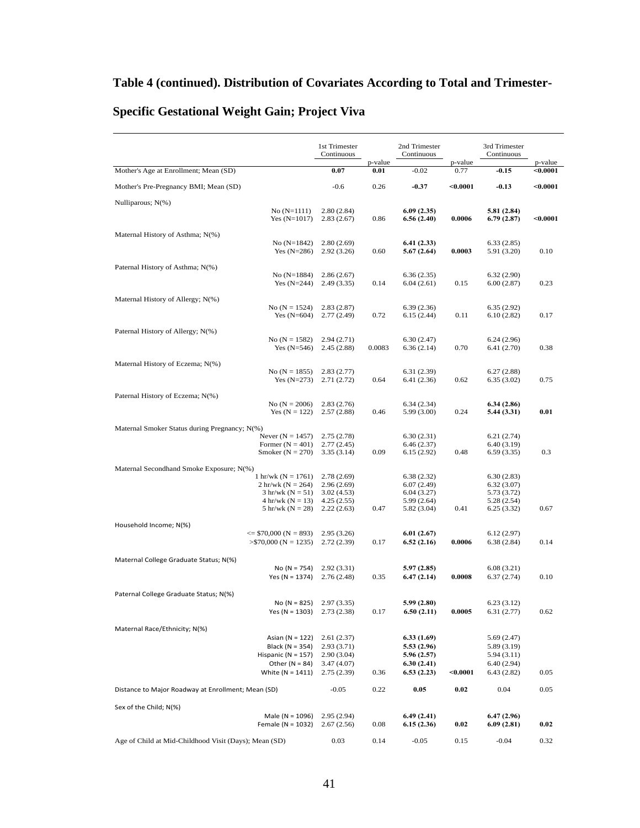|                                                                    | 1st Trimester<br>Continuous |                 | 2nd Trimester<br>Continuous |                 | 3rd Trimester<br>Continuous |                     |
|--------------------------------------------------------------------|-----------------------------|-----------------|-----------------------------|-----------------|-----------------------------|---------------------|
| Mother's Age at Enrollment; Mean (SD)                              | 0.07                        | p-value<br>0.01 | $-0.02$                     | p-value<br>0.77 | $-0.15$                     | p-value<br>$0.0001$ |
| Mother's Pre-Pregnancy BMI; Mean (SD)                              | $-0.6$                      | 0.26            | $-0.37$                     | $0.0001$        | $-0.13$                     | $0.0001$            |
| Nulliparous; $N(\%)$                                               |                             |                 |                             |                 |                             |                     |
| $No (N=1111)$<br>Yes $(N=1017)$                                    | 2.80(2.84)<br>2.83(2.67)    | 0.86            | 6.09(2.35)<br>6.56(2.40)    | 0.0006          | 5.81 (2.84)<br>6.79(2.87)   | $0.0001$            |
| Maternal History of Asthma; N(%)                                   |                             |                 |                             |                 |                             |                     |
| No $(N=1842)$                                                      | 2.80(2.69)                  |                 | 6.41(2.33)                  |                 | 6.33(2.85)                  |                     |
| Yes $(N=286)$                                                      | 2.92(3.26)                  | 0.60            | 5.67 (2.64)                 | 0.0003          | 5.91 (3.20)                 | 0.10                |
| Paternal History of Asthma; N(%)                                   |                             |                 |                             |                 |                             |                     |
| No (N=1884)<br>Yes $(N=244)$                                       | 2.86(2.67)<br>2.49(3.35)    | 0.14            | 6.36(2.35)<br>6.04(2.61)    | 0.15            | 6.32(2.90)<br>6.00(2.87)    | 0.23                |
| Maternal History of Allergy; N(%)                                  |                             |                 |                             |                 |                             |                     |
| No $(N = 1524)$                                                    | 2.83(2.87)                  |                 | 6.39(2.36)                  |                 | 6.35(2.92)                  |                     |
| Yes $(N=604)$                                                      | 2.77(2.49)                  | 0.72            | 6.15(2.44)                  | 0.11            | 6.10(2.82)                  | 0.17                |
| Paternal History of Allergy; N(%)                                  |                             |                 |                             |                 |                             |                     |
| No $(N = 1582)$<br>Yes $(N=546)$                                   | 2.94(2.71)<br>2.45(2.88)    | 0.0083          | 6.30(2.47)<br>6.36(2.14)    | 0.70            | 6.24(2.96)<br>6.41(2.70)    | 0.38                |
|                                                                    |                             |                 |                             |                 |                             |                     |
| Maternal History of Eczema; N(%)<br>No $(N = 1855)$                | 2.83(2.77)                  |                 | 6.31(2.39)                  |                 | 6.27(2.88)                  |                     |
| Yes $(N=273)$                                                      | 2.71(2.72)                  | 0.64            | 6.41 (2.36)                 | 0.62            | 6.35(3.02)                  | 0.75                |
| Paternal History of Eczema; N(%)                                   |                             |                 |                             |                 |                             |                     |
| No ( $N = 2006$ )                                                  | 2.83(2.76)                  |                 | 6.34(2.34)                  |                 | 6.34(2.86)                  |                     |
| Yes $(N = 122)$                                                    | 2.57(2.88)                  | 0.46            | 5.99 (3.00)                 | 0.24            | 5.44 (3.31)                 | 0.01                |
| Maternal Smoker Status during Pregnancy; N(%)                      |                             |                 |                             |                 |                             |                     |
| Never $(N = 1457)$                                                 | 2.75(2.78)                  |                 | 6.30(2.31)                  |                 | 6.21(2.74)                  |                     |
| Former $(N = 401)$<br>Smoker ( $N = 270$ )                         | 2.77(2.45)<br>3.35(3.14)    | 0.09            | 6.46(2.37)<br>6.15(2.92)    | 0.48            | 6.40(3.19)<br>6.59(3.35)    | 0.3                 |
|                                                                    |                             |                 |                             |                 |                             |                     |
| Maternal Secondhand Smoke Exposure; N(%)<br>1 hr/wk ( $N = 1761$ ) | 2.78(2.69)                  |                 | 6.38(2.32)                  |                 | 6.30(2.83)                  |                     |
| 2 hr/wk ( $N = 264$ )                                              | 2.96(2.69)                  |                 | 6.07(2.49)                  |                 | 6.32(3.07)                  |                     |
| $3 hr/wk (N = 51)$<br>4 hr/wk ( $N = 13$ )                         | 3.02(4.53)<br>4.25(2.55)    |                 | 6.04(3.27)<br>5.99(2.64)    |                 | 5.73 (3.72)<br>5.28 (2.54)  |                     |
| 5 hr/wk ( $N = 28$ )                                               | 2.22(2.63)                  | 0.47            | 5.82 (3.04)                 | 0.41            | 6.25(3.32)                  | 0.67                |
| Household Income; N(%)                                             |                             |                 |                             |                 |                             |                     |
| $\le$ \$70,000 (N = 893)                                           | 2.95(3.26)                  |                 | 6.01(2.67)                  |                 | 6.12(2.97)                  |                     |
| $>$ \$70,000 (N = 1235)                                            | 2.72(2.39)                  | 0.17            | 6.52(2.16)                  | 0.0006          | 6.38(2.84)                  | 0.14                |
| Maternal College Graduate Status; N(%)                             |                             |                 |                             |                 |                             |                     |
| $No (N = 754)$                                                     | 2.92(3.31)                  |                 | 5.97(2.85)                  |                 | 6.08(3.21)                  |                     |
| Yes (N = $1374$ )                                                  | 2.76(2.48)                  | 0.35            | 6.47(2.14)                  | 0.0008          | 6.37(2.74)                  | 0.10                |
| Paternal College Graduate Status; N(%)                             |                             |                 |                             |                 |                             |                     |
| $No (N = 825)$                                                     | 2.97(3.35)                  |                 | 5.99 (2.80)                 |                 | 6.23(3.12)                  |                     |
| Yes (N = 1303)                                                     | 2.73 (2.38)                 | 0.17            | 6.50(2.11)                  | 0.0005          | 6.31(2.77)                  | 0.62                |
| Maternal Race/Ethnicity; N(%)                                      |                             |                 |                             |                 |                             |                     |
| Asian ( $N = 122$ )                                                | 2.61(2.37)                  |                 | 6.33(1.69)                  |                 | 5.69(2.47)                  |                     |
| Black (N = 354)<br>Hispanic ( $N = 157$ )                          | 2.93(3.71)<br>2.90(3.04)    |                 | 5.53 (2.96)<br>5.96 (2.57)  |                 | 5.89 (3.19)<br>5.94(3.11)   |                     |
| Other ( $N = 84$ )                                                 | 3.47(4.07)                  |                 | 6.30(2.41)                  |                 | 6.40(2.94)                  |                     |
| White $(N = 1411)$                                                 | 2.75(2.39)                  | 0.36            | 6.53(2.23)                  | < 0.0001        | 6.43(2.82)                  | 0.05                |
| Distance to Major Roadway at Enrollment; Mean (SD)                 | $-0.05$                     | 0.22            | 0.05                        | 0.02            | 0.04                        | 0.05                |
| Sex of the Child; N(%)                                             |                             |                 |                             |                 |                             |                     |
| Male ( $N = 1096$ )<br>Female (N = 1032)                           | 2.95(2.94)<br>2.67(2.56)    | 0.08            | 6.49(2.41)<br>6.15(2.36)    | 0.02            | 6.47(2.96)<br>6.09(2.81)    | 0.02                |
| Age of Child at Mid-Childhood Visit (Days); Mean (SD)              | 0.03                        | 0.14            | $-0.05$                     | 0.15            | $-0.04$                     | 0.32                |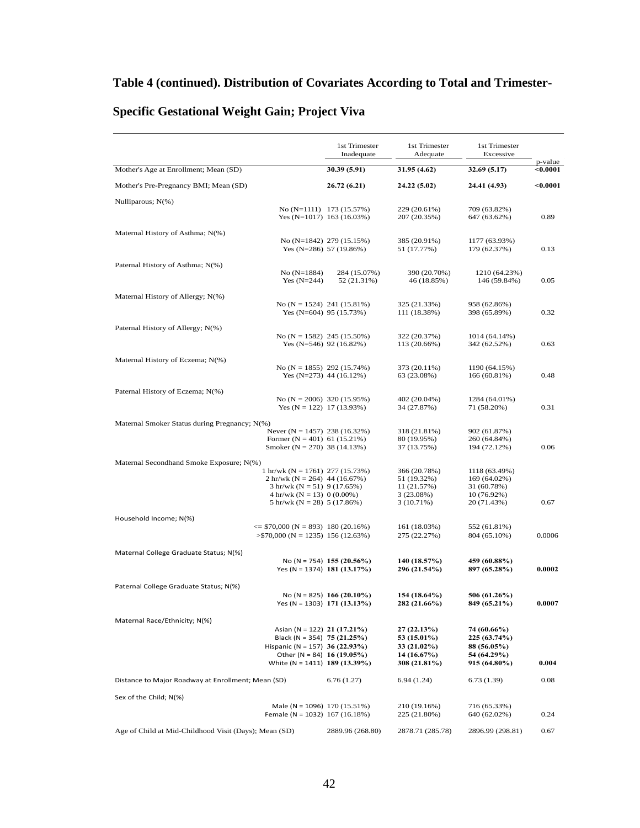|                                                                                        | 1st Trimester<br>Inadequate                               | 1st Trimester<br>Adequate    | 1st Trimester<br>Excessive    |                     |
|----------------------------------------------------------------------------------------|-----------------------------------------------------------|------------------------------|-------------------------------|---------------------|
| Mother's Age at Enrollment; Mean (SD)                                                  | 30.39 (5.91)                                              | 31.95(4.62)                  | 32.69(5.17)                   | p-value<br>< 0.0001 |
| Mother's Pre-Pregnancy BMI; Mean (SD)                                                  | 26.72 (6.21)                                              | 24.22 (5.02)                 | 24.41 (4.93)                  | $0.0001$            |
| Nulliparous; N(%)                                                                      |                                                           |                              |                               |                     |
|                                                                                        | No $(N=1111)$ 173 (15.57%)<br>Yes (N=1017) $163(16.03%)$  | 229 (20.61%)<br>207 (20.35%) | 709 (63.82%)<br>647 (63.62%)  | 0.89                |
| Maternal History of Asthma; N(%)                                                       |                                                           |                              |                               |                     |
|                                                                                        | No $(N=1842)$ 279 (15.15%)<br>Yes (N=286) 57 (19.86%)     | 385 (20.91%)<br>51 (17.77%)  | 1177 (63.93%)<br>179 (62.37%) | 0.13                |
| Paternal History of Asthma; N(%)                                                       |                                                           |                              |                               |                     |
| No $(N=1884)$<br>Yes $(N=244)$                                                         | 284 (15.07%)<br>52 (21.31%)                               | 390 (20.70%)<br>46 (18.85%)  | 1210 (64.23%)<br>146 (59.84%) | 0.05                |
| Maternal History of Allergy; N(%)                                                      |                                                           |                              |                               |                     |
|                                                                                        | No (N = 1524) 241 (15.81%)<br>Yes (N=604) 95 (15.73%)     | 325 (21.33%)<br>111 (18.38%) | 958 (62.86%)<br>398 (65.89%)  | 0.32                |
| Paternal History of Allergy; N(%)                                                      |                                                           |                              |                               |                     |
|                                                                                        | No (N = 1582) 245 (15.50%)<br>Yes (N=546) 92 (16.82%)     | 322 (20.37%)<br>113 (20.66%) | 1014 (64.14%)<br>342 (62.52%) | 0.63                |
| Maternal History of Eczema; N(%)                                                       |                                                           |                              |                               |                     |
|                                                                                        | No (N = 1855) 292 (15.74%)<br>Yes $(N=273)$ 44 (16.12%)   | 373 (20.11%)<br>63 (23.08%)  | 1190 (64.15%)<br>166(60.81%)  | 0.48                |
| Paternal History of Eczema; N(%)                                                       |                                                           |                              |                               |                     |
|                                                                                        | No (N = 2006) 320 (15.95%)<br>Yes $(N = 122)$ 17 (13.93%) | 402 (20.04%)<br>34 (27.87%)  | 1284 (64.01%)<br>71 (58.20%)  | 0.31                |
| Maternal Smoker Status during Pregnancy; N(%)                                          |                                                           |                              |                               |                     |
| Never (N = 1457) 238 (16.32%)<br>Former $(N = 401)$ 61 (15.21%)                        |                                                           | 318 (21.81%)<br>80 (19.95%)  | 902 (61.87%)<br>260 (64.84%)  |                     |
| Smoker ( $N = 270$ ) 38 (14.13%)                                                       |                                                           | 37 (13.75%)                  | 194 (72.12%)                  | 0.06                |
| Maternal Secondhand Smoke Exposure; N(%)                                               |                                                           |                              |                               |                     |
| $1 \text{ hr}/\text{wk}$ (N = 1761) 277 (15.73%)<br>2 hr/wk ( $N = 264$ ) 44 (16.67%)  |                                                           | 366 (20.78%)<br>51 (19.32%)  | 1118 (63.49%)<br>169 (64.02%) |                     |
| $3 \text{ hr/wk}$ (N = 51) 9 (17.65%)                                                  |                                                           | 11 (21.57%)                  | 31 (60.78%)                   |                     |
| $4 \text{ hr/wk}$ (N = 13) 0 (0.00%)<br>$5 \text{ hr}/\text{wk}$ (N = 28) $5 (17.86%)$ |                                                           | 3(23.08%)<br>3 (10.71%)      | $10(76.92\%)$<br>20 (71.43%)  | 0.67                |
| Household Income; N(%)                                                                 |                                                           |                              |                               |                     |
| $\le$ \$70,000 (N = 893) 180 (20.16%)                                                  |                                                           | 161 (18.03%)                 | 552 (61.81%)                  | 0.0006              |
| $>$ \$70,000 (N = 1235) 156 (12.63%)                                                   |                                                           | 275 (22.27%)                 | 804 (65.10%)                  |                     |
| Maternal College Graduate Status; N(%)                                                 | No (N = 754) 155 (20.56%)                                 | 140 (18.57%)                 | 459 (60.88%)                  |                     |
|                                                                                        | Yes (N = 1374) 181 (13.17%)                               | 296 (21.54%)                 | 897 (65.28%)                  | 0.0002              |
| Paternal College Graduate Status; N(%)                                                 |                                                           |                              |                               |                     |
|                                                                                        | No (N = 825) 166 (20.10%)<br>Yes (N = 1303) 171 (13.13%)  | 154 (18.64%)<br>282 (21.66%) | 506 (61.26%)<br>849 (65.21%)  | 0.0007              |
| Maternal Race/Ethnicity; N(%)                                                          |                                                           |                              |                               |                     |
| Asian (N = 122) 21 (17.21%)                                                            |                                                           | 27(22.13%)                   | 74 (60.66%)                   |                     |
| Black (N = 354) 75 (21.25%)<br>Hispanic (N = 157) 36 (22.93%)                          |                                                           | 53 (15.01%)<br>33 (21.02%)   | 225 (63.74%)<br>88 (56.05%)   |                     |
|                                                                                        | Other (N = 84) 16 (19.05%)                                | 14(16.67%)                   | 54 (64.29%)                   |                     |
| White (N = 1411) 189 (13.39%)                                                          |                                                           | 308 (21.81%)                 | 915 (64.80%)                  | 0.004               |
| Distance to Major Roadway at Enrollment; Mean (SD)                                     | 6.76(1.27)                                                | 6.94(1.24)                   | 6.73(1.39)                    | 0.08                |
| Sex of the Child; N(%)                                                                 |                                                           |                              |                               |                     |
| Male (N = 1096) $170(15.51%)$<br>Female (N = 1032) $167(16.18%)$                       |                                                           | 210 (19.16%)<br>225 (21.80%) | 716 (65.33%)<br>640 (62.02%)  | 0.24                |
| Age of Child at Mid-Childhood Visit (Days); Mean (SD)                                  | 2889.96 (268.80)                                          | 2878.71 (285.78)             | 2896.99 (298.81)              | 0.67                |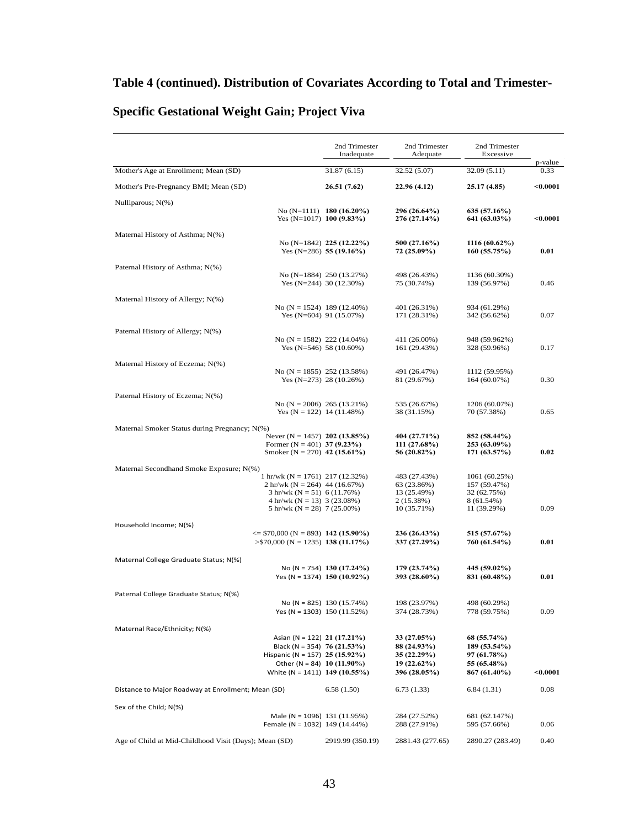|                                                                          | 2nd Trimester<br>Inadequate                           | 2nd Trimester<br>Adequate    | 2nd Trimester<br>Excessive    |                 |
|--------------------------------------------------------------------------|-------------------------------------------------------|------------------------------|-------------------------------|-----------------|
| Mother's Age at Enrollment; Mean (SD)                                    | 31.87(6.15)                                           | 32.52 (5.07)                 | 32.09 (5.11)                  | p-value<br>0.33 |
| Mother's Pre-Pregnancy BMI; Mean (SD)                                    | 26.51 (7.62)                                          | 22.96 (4.12)                 | 25.17 (4.85)                  | $0.0001$        |
| Nulliparous; N(%)                                                        |                                                       |                              |                               |                 |
| Yes (N=1017) 100 $(9.83\%)$                                              | No (N=1111) 180 (16.20%)                              | 296 (26.64%)<br>276 (27.14%) | 635 (57.16%)<br>641 (63.03%)  | < 0.0001        |
| Maternal History of Asthma; N(%)                                         |                                                       |                              |                               |                 |
|                                                                          | No (N=1842) 225 (12.22%)<br>Yes $(N=286)$ 55 (19.16%) | 500 (27.16%)<br>72 (25.09%)  | 1116 (60.62%)<br>160(55.75%)  | 0.01            |
| Paternal History of Asthma; N(%)                                         |                                                       |                              |                               |                 |
|                                                                          | No (N=1884) 250 (13.27%)<br>Yes $(N=244)$ 30 (12.30%) | 498 (26.43%)<br>75 (30.74%)  | 1136 (60.30%)<br>139 (56.97%) | 0.46            |
| Maternal History of Allergy; N(%)                                        |                                                       |                              |                               |                 |
| No (N = 1524) 189 (12.40%)                                               | Yes $(N=604)$ 91 (15.07%)                             | 401 (26.31%)<br>171 (28.31%) | 934 (61.29%)<br>342 (56.62%)  | 0.07            |
| Paternal History of Allergy; N(%)                                        |                                                       |                              |                               |                 |
| No $(N = 1582)$ 222 (14.04%)                                             | Yes $(N=546)$ 58 (10.60%)                             | 411 (26.00%)<br>161 (29.43%) | 948 (59.962%)<br>328 (59.96%) | 0.17            |
| Maternal History of Eczema; N(%)                                         |                                                       |                              |                               |                 |
| No (N = 1855) 252 (13.58%)                                               | Yes $(N=273)$ 28 $(10.26%)$                           | 491 (26.47%)<br>81 (29.67%)  | 1112 (59.95%)<br>164(60.07%)  | 0.30            |
| Paternal History of Eczema; N(%)                                         |                                                       |                              |                               |                 |
| No $(N = 2006)$ 265 (13.21%)<br>Yes $(N = 122)$ 14 (11.48%)              |                                                       | 535 (26.67%)<br>38 (31.15%)  | 1206 (60.07%)<br>70 (57.38%)  | 0.65            |
| Maternal Smoker Status during Pregnancy; N(%)                            |                                                       |                              |                               |                 |
| Never (N = 1457) 202 (13.85%)<br>Former $(N = 401)$ 37 (9.23%)           |                                                       | 404 (27.71%)<br>111 (27.68%) | 852 (58.44%)<br>253 (63.09%)  |                 |
| Smoker (N = 270) 42 (15.61%)                                             |                                                       | 56 (20.82%)                  | 171(63.57%)                   | 0.02            |
| Maternal Secondhand Smoke Exposure; N(%)                                 |                                                       |                              |                               |                 |
| 1 hr/wk ( $N = 1761$ ) 217 (12.32%)<br>2 hr/wk ( $N = 264$ ) 44 (16.67%) |                                                       | 483 (27.43%)<br>63 (23.86%)  | 1061 (60.25%)<br>157 (59.47%) |                 |
| $3 \text{ hr}/\text{wk}$ (N = 51) 6 (11.76%)                             |                                                       | 13 (25.49%)                  | 32 (62.75%)                   |                 |
| 4 hr/wk ( $N = 13$ ) 3 (23.08%)<br>5 hr/wk ( $N = 28$ ) 7 (25.00%)       |                                                       | 2 (15.38%)<br>10 (35.71%)    | 8 (61.54%)<br>11 (39.29%)     | 0.09            |
| Household Income; N(%)                                                   |                                                       |                              |                               |                 |
| $\le$ \$70,000 (N = 893) 142 (15.90%)                                    |                                                       | 236 (26.43%)                 | 515 (57.67%)                  |                 |
| $>$ \$70,000 (N = 1235) <b>138 (11.17%)</b>                              |                                                       | 337 (27.29%)                 | 760 (61.54%)                  | 0.01            |
| Maternal College Graduate Status; N(%)                                   | No (N = 754) 130 (17.24%)                             | 179 (23.74%)                 | 445 (59.02%)                  |                 |
|                                                                          | Yes (N = 1374) 150 (10.92%)                           | 393 (28.60%)                 | 831 (60.48%)                  | 0.01            |
| Paternal College Graduate Status; N(%)                                   |                                                       |                              |                               |                 |
| Yes (N = 1303) $150(11.52%)$                                             | No (N = 825) $130(15.74%)$                            | 198 (23.97%)<br>374 (28.73%) | 498 (60.29%)<br>778 (59.75%)  | 0.09            |
| Maternal Race/Ethnicity; N(%)                                            |                                                       |                              |                               |                 |
| Asian (N = 122) 21 (17.21%)                                              |                                                       | 33 (27.05%)                  | 68 (55.74%)                   |                 |
| Black (N = 354) 76 (21.53%)<br>Hispanic (N = 157) 25 (15.92%)            |                                                       | 88 (24.93%)<br>35 (22.29%)   | 189 (53.54%)<br>97 (61.78%)   |                 |
| Other (N = 84) 10 (11.90%)                                               |                                                       | 19(22.62%)                   | 55 (65.48%)                   |                 |
| White (N = 1411) 149 (10.55%)                                            |                                                       | 396 (28.05%)                 | 867 (61.40%)                  | $<$ 0.0001      |
| Distance to Major Roadway at Enrollment; Mean (SD)                       | 6.58(1.50)                                            | 6.73(1.33)                   | 6.84(1.31)                    | 0.08            |
| Sex of the Child; N(%)                                                   |                                                       |                              |                               |                 |
| Male (N = 1096) 131 $(11.95%)$<br>Female (N = 1032) 149 (14.44%)         |                                                       | 284 (27.52%)<br>288 (27.91%) | 681 (62.147%)<br>595 (57.66%) | 0.06            |
| Age of Child at Mid-Childhood Visit (Days); Mean (SD)                    | 2919.99 (350.19)                                      | 2881.43 (277.65)             | 2890.27 (283.49)              | 0.40            |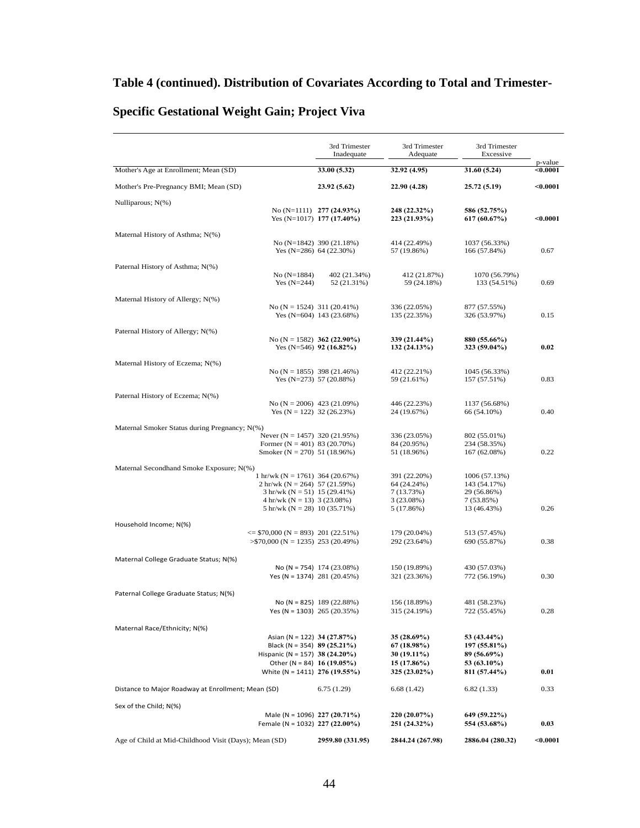|                                                                                          | 3rd Trimester<br>Inadequate                           | 3rd Trimester<br>Adequate     | 3rd Trimester<br>Excessive    |                     |
|------------------------------------------------------------------------------------------|-------------------------------------------------------|-------------------------------|-------------------------------|---------------------|
| Mother's Age at Enrollment; Mean (SD)                                                    | 33.00 (5.32)                                          | 32.92 (4.95)                  | 31.60 (5.24)                  | p-value<br>$0.0001$ |
| Mother's Pre-Pregnancy BMI; Mean (SD)                                                    | 23.92 (5.62)                                          | 22.90 (4.28)                  | 25.72 (5.19)                  | $0.0001$            |
| Nulliparous; N(%)                                                                        | No (N=1111) $277(24.93\%)$                            | 248 (22.32%)                  | 586 (52.75%)                  |                     |
|                                                                                          | Yes (N=1017) 177 (17.40%)                             | 223 (21.93%)                  | 617 (60.67%)                  | < 0.0001            |
| Maternal History of Asthma; N(%)                                                         |                                                       |                               |                               |                     |
|                                                                                          | No (N=1842) 390 (21.18%)<br>Yes $(N=286)$ 64 (22.30%) | 414 (22.49%)<br>57 (19.86%)   | 1037 (56.33%)<br>166 (57.84%) | 0.67                |
| Paternal History of Asthma; N(%)                                                         |                                                       |                               |                               |                     |
| $No (N=1884)$<br>Yes $(N=244)$                                                           | 402 (21.34%)<br>52 (21.31%)                           | 412 (21.87%)<br>59 (24.18%)   | 1070 (56.79%)<br>133 (54.51%) | 0.69                |
| Maternal History of Allergy; N(%)                                                        |                                                       |                               |                               |                     |
| No (N = 1524) 311 (20.41%)                                                               | Yes $(N=604)$ 143 (23.68%)                            | 336 (22.05%)<br>135 (22.35%)  | 877 (57.55%)<br>326 (53.97%)  | 0.15                |
| Paternal History of Allergy; N(%)                                                        |                                                       |                               |                               |                     |
| No (N = 1582) 362 (22.90%)                                                               | Yes (N=546) 92 (16.82%)                               | 339 (21.44%)<br>132(24.13%)   | 880 (55.66%)<br>323 (59.04%)  | 0.02                |
| Maternal History of Eczema; N(%)                                                         |                                                       |                               |                               |                     |
| No (N = 1855) 398 (21.46%)                                                               | Yes $(N=273)$ 57 (20.88%)                             | 412 (22.21%)<br>59 (21.61%)   | 1045 (56.33%)<br>157 (57.51%) | 0.83                |
| Paternal History of Eczema; N(%)                                                         |                                                       |                               |                               |                     |
| No (N = 2006) 423 (21.09%)<br>Yes $(N = 122)$ 32 (26.23%)                                |                                                       | 446 (22.23%)<br>24 (19.67%)   | 1137 (56.68%)<br>66 (54.10%)  | 0.40                |
| Maternal Smoker Status during Pregnancy; N(%)                                            |                                                       |                               |                               |                     |
| Never ( $N = 1457$ ) 320 (21.95%)<br>Former $(N = 401)$ 83 (20.70%)                      |                                                       | 336 (23.05%)<br>84 (20.95%)   | 802 (55.01%)<br>234 (58.35%)  |                     |
| Smoker ( $N = 270$ ) 51 (18.96%)                                                         |                                                       | 51 (18.96%)                   | 167 (62.08%)                  | 0.22                |
| Maternal Secondhand Smoke Exposure; N(%)                                                 |                                                       |                               |                               |                     |
| 1 hr/wk ( $N = 1761$ ) 364 (20.67%)                                                      |                                                       | 391 (22.20%)                  | 1006 (57.13%)                 |                     |
| $2 \text{ hr/wk}$ (N = 264) 57 (21.59%)<br>$3 \text{ hr}/\text{wk}$ (N = 51) 15 (29.41%) |                                                       | 64 (24.24%)<br>7(13.73%)      | 143 (54.17%)<br>29 (56.86%)   |                     |
| $4 \text{ hr/wk}$ (N = 13) 3 (23.08%)                                                    |                                                       | 3(23.08%)                     | 7 (53.85%)                    |                     |
| 5 hr/wk $(N = 28)$ 10 (35.71%)                                                           |                                                       | 5 (17.86%)                    | 13 (46.43%)                   | 0.26                |
| Household Income; N(%)                                                                   |                                                       |                               |                               |                     |
| $\le$ \$70,000 (N = 893) 201 (22.51%)<br>$>$ \$70,000 (N = 1235) 253 (20.49%)            |                                                       | 179 (20.04%)<br>292 (23.64%)  | 513 (57.45%)<br>690 (55.87%)  | 0.38                |
|                                                                                          |                                                       |                               |                               |                     |
| Maternal College Graduate Status; N(%)                                                   | No (N = 754) $174$ (23.08%)                           | 150 (19.89%)                  | 430 (57.03%)                  |                     |
| Yes (N = 1374) 281 (20.45%)                                                              |                                                       | 321 (23.36%)                  | 772 (56.19%)                  | 0.30                |
| Paternal College Graduate Status; N(%)                                                   |                                                       |                               |                               |                     |
|                                                                                          | No (N = 825) $189 (22.88%)$                           | 156 (18.89%)                  | 481 (58.23%)                  |                     |
| Yes (N = 1303) $265 (20.35%)$                                                            |                                                       | 315 (24.19%)                  | 722 (55.45%)                  | 0.28                |
| Maternal Race/Ethnicity; N(%)                                                            |                                                       |                               |                               |                     |
| Asian (N = 122) 34 (27.87%)<br>Black (N = 354) 89 (25.21%)                               |                                                       | 35 (28.69%)<br>67 (18.98%)    | 53 (43.44%)<br>197 (55.81%)   |                     |
| Hispanic (N = 157) 38 (24.20%)                                                           |                                                       | 30 (19.11%)                   | 89 (56.69%)                   |                     |
| Other (N = 84) 16 (19.05%)<br>White (N = 1411) 276 (19.55%)                              |                                                       | $15(17.86\%)$<br>325 (23.02%) | 53 (63.10%)<br>811 (57.44%)   | 0.01                |
| Distance to Major Roadway at Enrollment; Mean (SD)                                       | 6.75(1.29)                                            | 6.68(1.42)                    | 6.82(1.33)                    | 0.33                |
|                                                                                          |                                                       |                               |                               |                     |
| Sex of the Child; N(%)<br>Male (N = 1096) 227 (20.71%)                                   |                                                       |                               |                               |                     |
| Female (N = 1032) 227 (22.00%)                                                           |                                                       | 220(20.07%)<br>251 (24.32%)   | 649 (59.22%)<br>554 (53.68%)  | 0.03                |
| Age of Child at Mid-Childhood Visit (Days); Mean (SD)                                    | 2959.80 (331.95)                                      | 2844.24 (267.98)              | 2886.04 (280.32)              | $0.0001$            |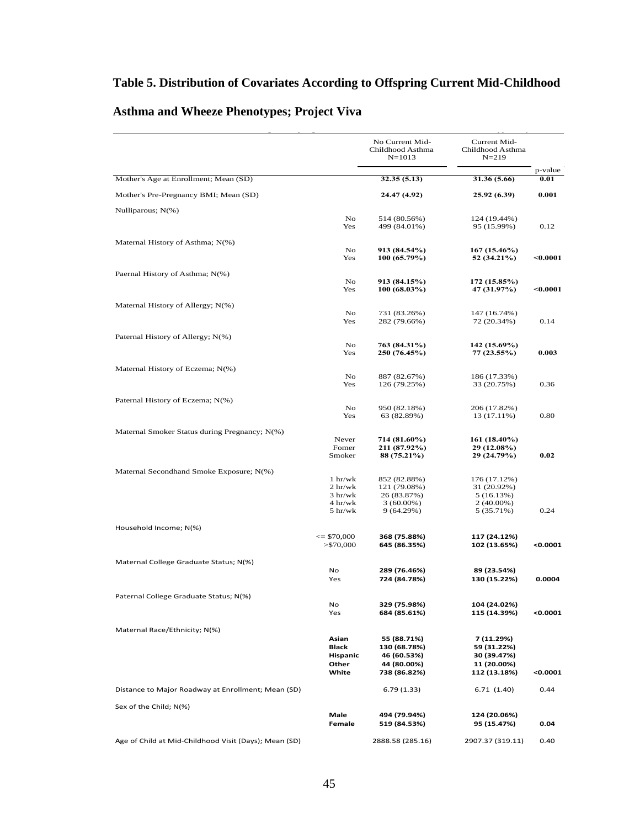### **Table 5. Distribution of Covariates According to Offspring Current Mid-Childhood**

Table 5. Distribution of Covariates According to Offspring Current Mid-Childhood Asthma and Wheeze Phenotype; Project Viva

|                                                       |                                     | No Current Mid-<br>Childhood Asthma<br>$N = 1013$ | Current Mid-<br>Childhood Asthma<br>$N = 219$ |                 |
|-------------------------------------------------------|-------------------------------------|---------------------------------------------------|-----------------------------------------------|-----------------|
| Mother's Age at Enrollment; Mean (SD)                 |                                     | 32.35 (5.13)                                      | 31.36 (5.66)                                  | p-value<br>0.01 |
|                                                       |                                     |                                                   |                                               |                 |
| Mother's Pre-Pregnancy BMI; Mean (SD)                 |                                     | 24.47 (4.92)                                      | 25.92 (6.39)                                  | 0.001           |
| Nulliparous; N(%)                                     | No<br>Yes                           | 514 (80.56%)<br>499 (84.01%)                      | 124 (19.44%)<br>95 (15.99%)                   | 0.12            |
| Maternal History of Asthma; N(%)                      |                                     |                                                   |                                               |                 |
|                                                       | No<br>Yes                           | 913 (84.54%)<br>100 (65.79%)                      | 167 (15.46%)<br>52 (34.21%)                   | < 0.0001        |
| Paernal History of Asthma; N(%)                       |                                     |                                                   |                                               |                 |
|                                                       | No<br>Yes                           | 913 (84.15%)<br>100(68.03%)                       | 172 (15.85%)<br>47 (31.97%)                   | $0.0001$        |
| Maternal History of Allergy; N(%)                     |                                     |                                                   |                                               |                 |
|                                                       | No<br>Yes                           | 731 (83.26%)<br>282 (79.66%)                      | 147 (16.74%)<br>72 (20.34%)                   | 0.14            |
|                                                       |                                     |                                                   |                                               |                 |
| Paternal History of Allergy; N(%)                     | No                                  | 763 (84.31%)                                      | 142 (15.69%)                                  |                 |
|                                                       | Yes                                 | 250 (76.45%)                                      | 77 (23.55%)                                   | 0.003           |
| Maternal History of Eczema; N(%)                      |                                     |                                                   |                                               |                 |
|                                                       | No                                  | 887 (82.67%)                                      | 186 (17.33%)                                  |                 |
|                                                       | Yes                                 | 126 (79.25%)                                      | 33 (20.75%)                                   | 0.36            |
| Paternal History of Eczema; N(%)                      |                                     |                                                   |                                               |                 |
|                                                       | No<br>Yes                           | 950 (82.18%)<br>63 (82.89%)                       | 206 (17.82%)<br>13 (17.11%)                   | 0.80            |
|                                                       |                                     |                                                   |                                               |                 |
| Maternal Smoker Status during Pregnancy; N(%)         | Never                               | 714 (81.60%)                                      | 161 (18.40%)                                  |                 |
|                                                       | Fomer<br>Smoker                     | 211 (87.92%)                                      | 29 (12.08%)                                   | 0.02            |
|                                                       |                                     | 88 (75.21%)                                       | 29 (24.79%)                                   |                 |
| Maternal Secondhand Smoke Exposure; N(%)              | $1 \text{ hr}/\text{wk}$            |                                                   |                                               |                 |
|                                                       | 2 hr/wk                             | 852 (82.88%)<br>121 (79.08%)                      | 176 (17.12%)<br>31 (20.92%)                   |                 |
|                                                       | 3 hr/wk                             | 26 (83.87%)                                       | 5 (16.13%)                                    |                 |
|                                                       | 4 hr/wk<br>$5 \text{ hr}/\text{wk}$ | $3(60.00\%)$<br>9 (64.29%)                        | 2 (40.00%)<br>5 (35.71%)                      | 0.24            |
|                                                       |                                     |                                                   |                                               |                 |
| Household Income; N(%)                                | $\leq$ \$70,000                     | 368 (75.88%)                                      | 117 (24.12%)                                  |                 |
|                                                       | $>$ \$70,000                        | 645 (86.35%)                                      | 102 (13.65%)                                  | 0.0001          |
| Maternal College Graduate Status; N(%)                |                                     |                                                   |                                               |                 |
|                                                       | No                                  | 289 (76.46%)                                      | 89 (23.54%)                                   |                 |
|                                                       | Yes                                 | 724 (84.78%)                                      | 130 (15.22%)                                  | 0.0004          |
| Paternal College Graduate Status; N(%)                |                                     |                                                   |                                               |                 |
|                                                       | No                                  | 329 (75.98%)                                      | 104 (24.02%)                                  |                 |
|                                                       | Yes                                 | 684 (85.61%)                                      | 115 (14.39%)                                  | < 0.0001        |
| Maternal Race/Ethnicity; N(%)                         |                                     |                                                   |                                               |                 |
|                                                       | Asian                               | 55 (88.71%)                                       | 7 (11.29%)                                    |                 |
|                                                       | <b>Black</b><br>Hispanic            | 130 (68.78%)<br>46 (60.53%)                       | 59 (31.22%)<br>30 (39.47%)                    |                 |
|                                                       | Other                               | 44 (80.00%)                                       | 11 (20.00%)                                   |                 |
|                                                       | White                               | 738 (86.82%)                                      | 112 (13.18%)                                  | < 0.0001        |
| Distance to Major Roadway at Enrollment; Mean (SD)    |                                     | 6.79(1.33)                                        | 6.71(1.40)                                    | 0.44            |
| Sex of the Child; N(%)                                |                                     |                                                   |                                               |                 |
|                                                       | Male<br>Female                      | 494 (79.94%)<br>519 (84.53%)                      | 124 (20.06%)<br>95 (15.47%)                   | 0.04            |
| Age of Child at Mid-Childhood Visit (Days); Mean (SD) |                                     | 2888.58 (285.16)                                  | 2907.37 (319.11)                              | 0.40            |

### **Asthma and Wheeze Phenotypes; Project Viva**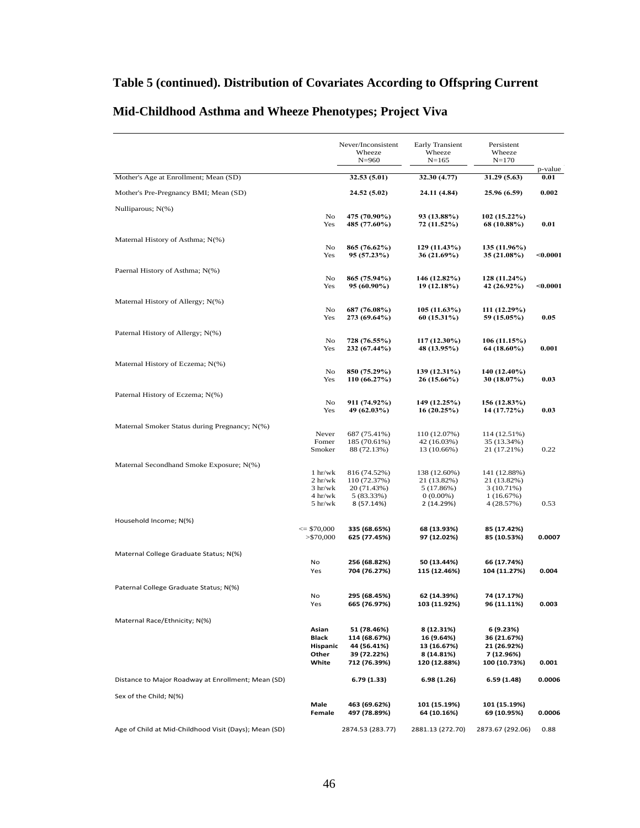### **Table 5 (continued). Distribution of Covariates According to Offspring Current**

|                                                       |                                 | Never/Inconsistent<br>Wheeze<br>$N = 960$ | <b>Early Transient</b><br>Wheeze<br>$N = 165$ | Persistent<br>Wheeze<br>$N = 170$ |                 |
|-------------------------------------------------------|---------------------------------|-------------------------------------------|-----------------------------------------------|-----------------------------------|-----------------|
| Mother's Age at Enrollment; Mean (SD)                 |                                 | 32.53 (5.01)                              | 32.30 (4.77)                                  | 31.29 (5.63)                      | p-value<br>0.01 |
|                                                       |                                 |                                           |                                               |                                   |                 |
| Mother's Pre-Pregnancy BMI; Mean (SD)                 |                                 | 24.52 (5.02)                              | 24.11 (4.84)                                  | 25.96 (6.59)                      | 0.002           |
| Nulliparous; N(%)                                     | No<br>Yes                       | 475 (70.90%)<br>485 (77.60%)              | 93 (13.88%)<br>72 (11.52%)                    | 102 (15.22%)<br>68 (10.88%)       | 0.01            |
| Maternal History of Asthma; N(%)                      |                                 |                                           |                                               |                                   |                 |
|                                                       | No<br>Yes                       | 865 (76.62%)<br>95 (57.23%)               | 129 (11.43%)<br>36 (21.69%)                   | 135 (11.96%)<br>35 (21.08%)       | $0.0001$        |
| Paernal History of Asthma; N(%)                       |                                 |                                           |                                               |                                   |                 |
|                                                       | No<br>Yes                       | 865 (75.94%)<br>95 (60.90%)               | 146 (12.82%)<br>19 (12.18%)                   | 128 (11.24%)<br>42 (26.92%)       | $0.0001$        |
| Maternal History of Allergy; N(%)                     |                                 |                                           |                                               |                                   |                 |
|                                                       | No<br>Yes                       | 687 (76.08%)<br>273 (69.64%)              | 105 (11.63%)<br>60 (15.31%)                   | 111 (12.29%)<br>59 (15.05%)       | 0.05            |
| Paternal History of Allergy; N(%)                     |                                 |                                           |                                               |                                   |                 |
|                                                       | No                              | 728 (76.55%)                              | 117 (12.30%)                                  | 106 (11.15%)                      |                 |
|                                                       | Yes                             | 232 (67.44%)                              | 48 (13.95%)                                   | 64 (18.60%)                       | 0.001           |
| Maternal History of Eczema; N(%)                      | No                              | 850 (75.29%)                              | 139 (12.31%)                                  | 140 (12.40%)                      |                 |
|                                                       | Yes                             | 110 (66.27%)                              | 26 (15.66%)                                   | 30 (18.07%)                       | 0.03            |
| Paternal History of Eczema; N(%)                      |                                 |                                           |                                               |                                   |                 |
|                                                       | No                              | 911 (74.92%)                              | 149 (12.25%)                                  | 156 (12.83%)                      |                 |
|                                                       | Yes                             | 49 (62.03%)                               | 16(20.25%)                                    | 14 (17.72%)                       | 0.03            |
| Maternal Smoker Status during Pregnancy; N(%)         | Never                           | 687 (75.41%)                              | 110 (12.07%)                                  | 114 (12.51%)                      |                 |
|                                                       | Fomer                           | 185 (70.61%)                              | 42 (16.03%)                                   | 35 (13.34%)                       |                 |
|                                                       | Smoker                          | 88 (72.13%)                               | 13 (10.66%)                                   | 21 (17.21%)                       | 0.22            |
| Maternal Secondhand Smoke Exposure; N(%)              |                                 |                                           |                                               |                                   |                 |
|                                                       | $1 \frac{hr}{wk}$<br>2 hr/wk    | 816 (74.52%)<br>110 (72.37%)              | 138 (12.60%)<br>21 (13.82%)                   | 141 (12.88%)<br>21 (13.82%)       |                 |
|                                                       | 3 hr/wk                         | 20 (71.43%)                               | 5 (17.86%)                                    | 3 (10.71%)                        |                 |
|                                                       | 4 hr/wk                         | 5 (83.33%)                                | $0(0.00\%)$                                   | 1(16.67%)                         |                 |
|                                                       | $5 \text{ hr}/\text{wk}$        | 8 (57.14%)                                | 2 (14.29%)                                    | 4 (28.57%)                        | 0.53            |
| Household Income; N(%)                                |                                 |                                           |                                               |                                   |                 |
|                                                       | $\leq$ \$70,000<br>$>$ \$70,000 | 335 (68.65%)<br>625 (77.45%)              | 68 (13.93%)<br>97 (12.02%)                    | 85 (17.42%)<br>85 (10.53%)        | 0.0007          |
|                                                       |                                 |                                           |                                               |                                   |                 |
| Maternal College Graduate Status; N(%)                | No                              | 256 (68.82%)                              | 50 (13.44%)                                   | 66 (17.74%)                       |                 |
|                                                       | Yes                             | 704 (76.27%)                              | 115 (12.46%)                                  | 104 (11.27%)                      | 0.004           |
| Paternal College Graduate Status; N(%)                |                                 |                                           |                                               |                                   |                 |
|                                                       | No                              | 295 (68.45%)                              | 62 (14.39%)                                   | 74 (17.17%)                       |                 |
|                                                       | Yes                             | 665 (76.97%)                              | 103 (11.92%)                                  | 96 (11.11%)                       | 0.003           |
| Maternal Race/Ethnicity; N(%)                         |                                 |                                           |                                               |                                   |                 |
|                                                       | Asian                           | 51 (78.46%)                               | 8 (12.31%)                                    | 6 (9.23%)                         |                 |
|                                                       | Black<br>Hispanic               | 114 (68.67%)<br>44 (56.41%)               | 16 (9.64%)<br>13 (16.67%)                     | 36 (21.67%)<br>21 (26.92%)        |                 |
|                                                       | Other                           | 39 (72.22%)                               | 8 (14.81%)                                    | 7 (12.96%)                        |                 |
|                                                       | White                           | 712 (76.39%)                              | 120 (12.88%)                                  | 100 (10.73%)                      | 0.001           |
| Distance to Major Roadway at Enrollment; Mean (SD)    |                                 | 6.79 (1.33)                               | 6.98(1.26)                                    | 6.59 (1.48)                       | 0.0006          |
| Sex of the Child; N(%)                                |                                 |                                           |                                               |                                   |                 |
|                                                       | Male<br>Female                  | 463 (69.62%)<br>497 (78.89%)              | 101 (15.19%)<br>64 (10.16%)                   | 101 (15.19%)<br>69 (10.95%)       | 0.0006          |
| Age of Child at Mid-Childhood Visit (Days); Mean (SD) |                                 | 2874.53 (283.77)                          | 2881.13 (272.70)                              | 2873.67 (292.06)                  | 0.88            |

### **Mid-Childhood Asthma and Wheeze Phenotypes; Project Viva**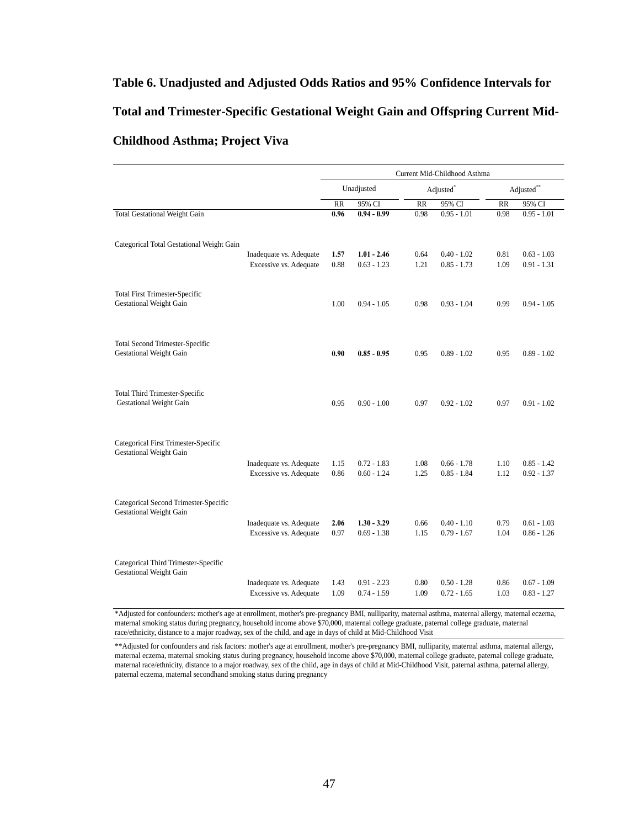## **Table 6. Unadjusted and Adjusted Odds Ratios and 95% Confidence Intervals for Total and Trimester-Specific Gestational Weight Gain and Offspring Current Mid-Childhood Asthma; Project Viva**  $\mathcal{L}$  and 95% Confidence Intervals for Gestational Weight Gain and Current Mid-Childhood Asthma; Projectional Weight Gain and Current Mid-Childhood Asthma; Projectional Mid-Childhood Asthma; Projectional Mid-Childhood

|                                                   | Current Mid-Childhood Asthma                                         |                                |                       |                                |                 |                                |
|---------------------------------------------------|----------------------------------------------------------------------|--------------------------------|-----------------------|--------------------------------|-----------------|--------------------------------|
|                                                   | Unadjusted                                                           |                                | Adjusted <sup>*</sup> |                                |                 | Adjusted**                     |
|                                                   | $\overline{RR}$                                                      | 95% CI                         | $\overline{RR}$       | 95% CI                         | $\overline{RR}$ | 95% CI                         |
|                                                   | 0.96                                                                 | $0.94 - 0.99$                  | 0.98                  | $0.95 - 1.01$                  | 0.98            | $0.95 - 1.01$                  |
|                                                   |                                                                      |                                |                       |                                |                 |                                |
| Excessive vs. Adequate                            | 0.88                                                                 | $0.63 - 1.23$                  | 1.21                  | $0.85 - 1.73$                  | 1.09            | $0.63 - 1.03$<br>0.91 - 1.31   |
|                                                   | 1.00                                                                 | $0.94 - 1.05$                  | 0.98                  | $0.93 - 1.04$                  | 0.99            | $0.94 - 1.05$                  |
|                                                   | 0.90                                                                 | $0.85 - 0.95$                  | 0.95                  | $0.89 - 1.02$                  | 0.95            | $0.89 - 1.02$                  |
|                                                   | 0.95                                                                 | $0.90 - 1.00$                  | 0.97                  | $0.92 - 1.02$                  | 0.97            | $0.91 - 1.02$                  |
| Inadequate vs. Adequate<br>Excessive vs. Adequate | 1.15<br>0.86                                                         | $0.72 - 1.83$<br>$0.60 - 1.24$ | 1.08<br>1.25          | $0.66 - 1.78$<br>$0.85 - 1.84$ | 1.10<br>1.12    | $0.85 - 1.42$<br>0.92 - 1.37   |
| Inadequate vs. Adequate<br>Excessive vs. Adequate | 2.06<br>0.97                                                         | $1.30 - 3.29$<br>$0.69 - 1.38$ | 0.66<br>1.15          | $0.40 - 1.10$<br>$0.79 - 1.67$ | 0.79<br>1.04    | $0.61 - 1.03$<br>$0.86 - 1.26$ |
| Inadequate vs. Adequate<br>Excessive vs. Adequate | 1.43<br>1.09                                                         | $0.91 - 2.23$<br>$0.74 - 1.59$ | 0.80<br>1.09          | $0.50 - 1.28$<br>$0.72 - 1.65$ | 0.86<br>1.03    | $0.67 - 1.09$<br>$0.83 - 1.27$ |
|                                                   | Categorical Total Gestational Weight Gain<br>Inadequate vs. Adequate | 1.57                           | $1.01 - 2.46$         | 0.64                           | $0.40 - 1.02$   | 0.81                           |

\*Adjusted for confounders: mother's age at enrollment, mother's pre-pregnancy BMI, nulliparity, maternal asthma, maternal allergy, maternal eczema, maternal smoking status during pregnancy, household income above \$70,000, maternal college graduate, paternal college graduate, maternal college graduate, maternal college graduate, maternal college graduate, maternal coll race/ethnicity, distance to a major roadway, sex of the child, and age in days of child at Mid-Childhood Visit

\*\*Adjusted for confounders and risk factors: mother's age at enrollment, mother's pre-pregnancy BMI, nulliparity, maternal asthma, maternal allergy, maternal eczema, maternal smoking status during pregnancy, household income above \$70,000, maternal college graduate, paternal college graduate, maternal race/ethnicity, distance to a major roadway, sex of the child, age in days of child at Mid-Childhood Visit, paternal asthma, paternal allergy, paternal eczema, maternal secondhand smoking status during pregnancy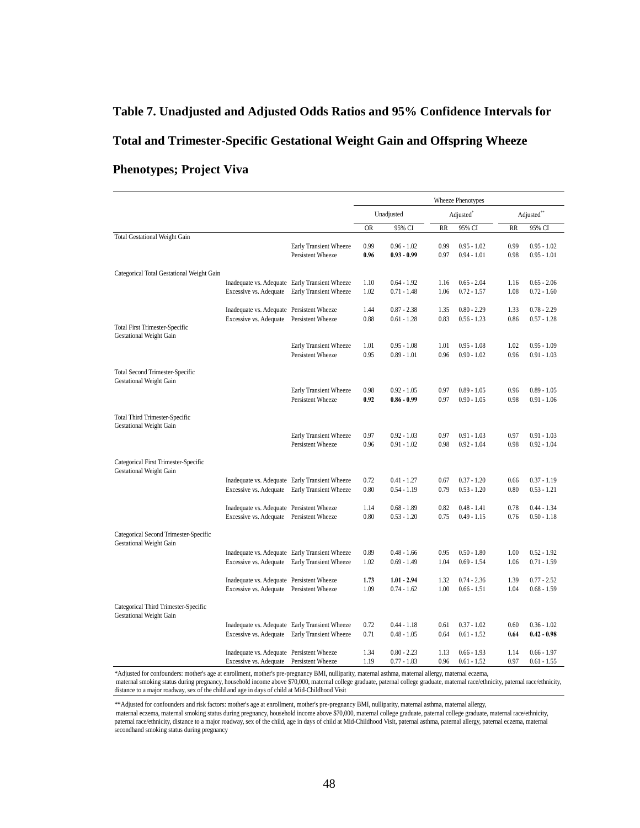# **Table 7. Unadjusted and Adjusted Odds Ratios and 95% Confidence Intervals for Total and Trimester-Specific Gestational Weight Gain and Offspring Wheeze Phenotypes; Project Viva**

|                                                                         |                                                                                                              |                                                | Wheeze Phenotypes |                                              |              |                                |              |                                |
|-------------------------------------------------------------------------|--------------------------------------------------------------------------------------------------------------|------------------------------------------------|-------------------|----------------------------------------------|--------------|--------------------------------|--------------|--------------------------------|
|                                                                         |                                                                                                              |                                                | Unadjusted        |                                              | Adjusted*    |                                |              | Adjusted**                     |
|                                                                         |                                                                                                              |                                                | <b>OR</b>         | 95% CI                                       | <b>RR</b>    | 95% CI                         | <b>RR</b>    | 95% CI                         |
| <b>Total Gestational Weight Gain</b>                                    |                                                                                                              | Early Transient Wheeze                         | 0.99              | $0.96 - 1.02$                                | 0.99         | $0.95 - 1.02$                  | 0.99         | $0.95 - 1.02$                  |
|                                                                         |                                                                                                              | Persistent Wheeze                              | 0.96              | $0.93 - 0.99$                                | 0.97         | $0.94 - 1.01$                  | 0.98         | $0.95 - 1.01$                  |
|                                                                         |                                                                                                              |                                                |                   |                                              |              |                                |              |                                |
| Categorical Total Gestational Weight Gain                               |                                                                                                              |                                                |                   |                                              |              |                                |              |                                |
|                                                                         |                                                                                                              | Inadequate vs. Adequate Early Transient Wheeze | 1.10              | $0.64 - 1.92$                                | 1.16         | $0.65 - 2.04$                  | 1.16         | $0.65 - 2.06$                  |
|                                                                         |                                                                                                              | Excessive vs. Adequate Early Transient Wheeze  | 1.02              | $0.71 - 1.48$                                | 1.06         | $0.72 - 1.57$                  | 1.08         | $0.72 - 1.60$                  |
|                                                                         | Inadequate vs. Adequate Persistent Wheeze                                                                    |                                                | 1.44              | $0.87 - 2.38$                                | 1.35         | $0.80 - 2.29$                  | 1.33         | $0.78 - 2.29$                  |
|                                                                         | Excessive vs. Adequate Persistent Wheeze                                                                     |                                                | 0.88              | $0.61 - 1.28$                                | 0.83         | $0.56 - 1.23$                  | 0.86         | $0.57 - 1.28$                  |
| <b>Total First Trimester-Specific</b>                                   |                                                                                                              |                                                |                   |                                              |              |                                |              |                                |
| Gestational Weight Gain                                                 |                                                                                                              |                                                |                   |                                              |              |                                |              |                                |
|                                                                         |                                                                                                              | Early Transient Wheeze<br>Persistent Wheeze    | 1.01<br>0.95      | $0.95 - 1.08$<br>$0.89 - 1.01$               | 1.01<br>0.96 | $0.95 - 1.08$<br>$0.90 - 1.02$ | 1.02<br>0.96 | $0.95 - 1.09$<br>$0.91 - 1.03$ |
|                                                                         |                                                                                                              |                                                |                   |                                              |              |                                |              |                                |
| <b>Total Second Trimester-Specific</b>                                  |                                                                                                              |                                                |                   |                                              |              |                                |              |                                |
| <b>Gestational Weight Gain</b>                                          |                                                                                                              |                                                |                   |                                              |              |                                |              |                                |
|                                                                         |                                                                                                              | Early Transient Wheeze                         | 0.98              | $0.92 - 1.05$                                | 0.97         | $0.89 - 1.05$                  | 0.96         | $0.89 - 1.05$                  |
|                                                                         |                                                                                                              | Persistent Wheeze                              | 0.92              | $0.86 - 0.99$                                | 0.97         | $0.90 - 1.05$                  | 0.98         | $0.91 - 1.06$                  |
| Total Third Trimester-Specific                                          |                                                                                                              |                                                |                   |                                              |              |                                |              |                                |
| Gestational Weight Gain                                                 |                                                                                                              |                                                |                   |                                              |              |                                |              |                                |
|                                                                         |                                                                                                              | Early Transient Wheeze                         | 0.97              | $0.92 - 1.03$                                | 0.97         | $0.91 - 1.03$                  | 0.97         | $0.91 - 1.03$                  |
|                                                                         |                                                                                                              | Persistent Wheeze                              | 0.96              | $0.91 - 1.02$                                | 0.98         | $0.92 - 1.04$                  | 0.98         | $0.92 - 1.04$                  |
| Categorical First Trimester-Specific                                    |                                                                                                              |                                                |                   |                                              |              |                                |              |                                |
| <b>Gestational Weight Gain</b>                                          |                                                                                                              |                                                |                   |                                              |              |                                |              |                                |
|                                                                         |                                                                                                              | Inadequate vs. Adequate Early Transient Wheeze | 0.72              | $0.41 - 1.27$                                | 0.67         | $0.37 - 1.20$                  | 0.66         | $0.37 - 1.19$                  |
|                                                                         |                                                                                                              | Excessive vs. Adequate Early Transient Wheeze  | 0.80              | $0.54 - 1.19$                                | 0.79         | $0.53 - 1.20$                  | 0.80         | $0.53 - 1.21$                  |
|                                                                         |                                                                                                              |                                                |                   |                                              |              |                                |              |                                |
|                                                                         | Inadequate vs. Adequate Persistent Wheeze                                                                    |                                                | 1.14<br>0.80      | $0.68 - 1.89$                                | 0.82<br>0.75 | $0.48 - 1.41$<br>$0.49 - 1.15$ | 0.78<br>0.76 | $0.44 - 1.34$<br>$0.50 - 1.18$ |
|                                                                         | Excessive vs. Adequate Persistent Wheeze                                                                     |                                                |                   | $0.53 - 1.20$                                |              |                                |              |                                |
| Categorical Second Trimester-Specific<br><b>Gestational Weight Gain</b> |                                                                                                              |                                                |                   |                                              |              |                                |              |                                |
|                                                                         |                                                                                                              | Inadequate vs. Adequate Early Transient Wheeze | 0.89              | $0.48 - 1.66$                                | 0.95         | $0.50 - 1.80$                  | 1.00         | $0.52 - 1.92$                  |
|                                                                         |                                                                                                              | Excessive vs. Adequate Early Transient Wheeze  | 1.02              | $0.69 - 1.49$                                | 1.04         | $0.69 - 1.54$                  | 1.06         | $0.71 - 1.59$                  |
|                                                                         |                                                                                                              |                                                |                   |                                              |              |                                |              |                                |
|                                                                         | Inadequate vs. Adequate Persistent Wheeze                                                                    |                                                | 1.73              | $1.01 - 2.94$                                | 1.32         | $0.74 - 2.36$                  | 1.39         | $0.77 - 2.52$                  |
|                                                                         | Excessive vs. Adequate Persistent Wheeze                                                                     |                                                | 1.09              | $0.74 - 1.62$                                | 1.00         | $0.66 - 1.51$                  | 1.04         | $0.68 - 1.59$                  |
| Categorical Third Trimester-Specific<br><b>Gestational Weight Gain</b>  |                                                                                                              |                                                |                   |                                              |              |                                |              |                                |
|                                                                         |                                                                                                              | Inadequate vs. Adequate Early Transient Wheeze | 0.72              | 0.44 - 1.18                                  | 0.61         | $0.37 - 1.02$                  | 0.60         | $0.36 - 1.02$                  |
|                                                                         |                                                                                                              | Excessive vs. Adequate Early Transient Wheeze  | 0.71              | $0.48 - 1.05$                                | 0.64         | $0.61 - 1.52$                  | 0.64         | $0.42 - 0.98$                  |
|                                                                         |                                                                                                              |                                                |                   |                                              |              |                                |              |                                |
|                                                                         | Inadequate vs. Adequate Persistent Wheeze                                                                    |                                                | 1.34              | $0.80 - 2.23$                                | 1.13         | $0.66 - 1.93$                  | 1.14<br>0.97 | $0.66 - 1.97$                  |
| $*$ A. $1!$ $*$ . $1!$ $1!$ $1!$ $1!$ $1!$<br>بالمستلف                  | Excessive vs. Adequate Persistent Wheeze<br>constitutional constitution of the constitution DMT continued to |                                                | 1.19              | $0.77 - 1.83$<br>$-1$ $-11$ $-$<br>$-1 - -1$ | 0.96         | $0.61 - 1.52$                  |              | $0.61 - 1.55$                  |

\*Adjusted for confounders: mother's age at enrollment, mother's pre-pregnancy BMI, nulliparity, maternal asthma, maternal allergy, maternal eczema,

 maternal smoking status during pregnancy, household income above \$70,000, maternal college graduate, paternal college graduate, maternal race/ethnicity, paternal race/ethnicity, distance to a major roadway, sex of the child and age in days of child at Mid-Childhood Visit

\*\*Adjusted for confounders and risk factors: mother's age at enrollment, mother's pre-pregnancy BMI, nulliparity, maternal asthma, maternal allergy,

 maternal eczema, maternal smoking status during pregnancy, household income above \$70,000, maternal college graduate, paternal college graduate, maternal race/ethnicity, paternal race/ethnicity, distance to a major roadway, sex of the child, age in days of child at Mid-Childhood Visit, paternal asthma, paternal allergy, paternal eczema, maternal secondhand smoking status during pregnancy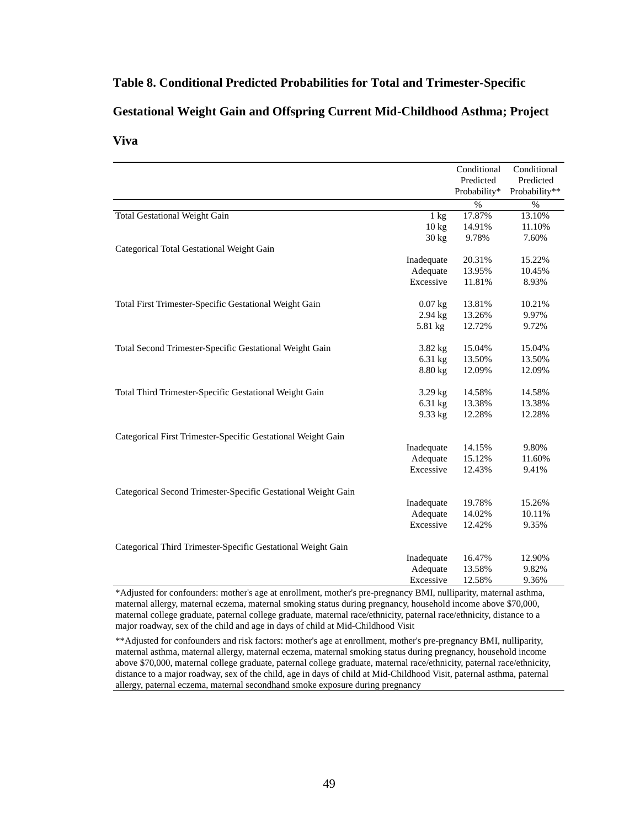### **Table 8. Conditional Predicted Probabilities for Total and Trimester-Specific**

#### **Gestational Weight Gain and Offspring Current Mid-Childhood Asthma; Project**

#### **Viva**  $T_{\rm N1V2}$

|                                                               |                 | Conditional<br>Predicted | Conditional<br>Predicted<br>Probability** |
|---------------------------------------------------------------|-----------------|--------------------------|-------------------------------------------|
|                                                               |                 | Probability*             |                                           |
|                                                               |                 | $\%$                     | $\%$                                      |
| <b>Total Gestational Weight Gain</b>                          | $1 \text{ kg}$  | 17.87%                   | 13.10%<br>11.10%                          |
|                                                               | $10 \text{ kg}$ | 14.91%                   |                                           |
|                                                               | $30 \text{ kg}$ | 9.78%                    | 7.60%                                     |
| Categorical Total Gestational Weight Gain                     |                 |                          |                                           |
|                                                               | Inadequate      | 20.31%                   | 15.22%                                    |
|                                                               | Adequate        | 13.95%                   | 10.45%                                    |
|                                                               | Excessive       | 11.81%                   | 8.93%                                     |
| Total First Trimester-Specific Gestational Weight Gain        | $0.07$ kg       | 13.81%                   | 10.21%                                    |
|                                                               | $2.94$ kg       | 13.26%                   | 9.97%                                     |
|                                                               | 5.81 kg         | 12.72%                   | 9.72%                                     |
|                                                               |                 |                          |                                           |
| Total Second Trimester-Specific Gestational Weight Gain       | $3.82$ kg       | 15.04%                   | 15.04%                                    |
|                                                               | $6.31$ kg       | 13.50%                   | 13.50%                                    |
|                                                               | $8.80$ kg       | 12.09%                   | 12.09%                                    |
|                                                               |                 |                          |                                           |
| Total Third Trimester-Specific Gestational Weight Gain        | $3.29$ kg       | 14.58%                   | 14.58%                                    |
|                                                               | $6.31$ kg       | 13.38%                   | 13.38%                                    |
|                                                               | 9.33 kg         | 12.28%                   | 12.28%                                    |
|                                                               |                 |                          |                                           |
| Categorical First Trimester-Specific Gestational Weight Gain  |                 |                          |                                           |
|                                                               | Inadequate      | 14.15%                   | 9.80%                                     |
|                                                               | Adequate        | 15.12%                   | 11.60%                                    |
|                                                               | Excessive       | 12.43%                   | 9.41%                                     |
|                                                               |                 |                          |                                           |
| Categorical Second Trimester-Specific Gestational Weight Gain |                 |                          |                                           |
|                                                               | Inadequate      | 19.78%                   | 15.26%                                    |
|                                                               | Adequate        | 14.02%                   | 10.11%                                    |
|                                                               | Excessive       | 12.42%                   | 9.35%                                     |
|                                                               |                 |                          |                                           |
| Categorical Third Trimester-Specific Gestational Weight Gain  | Inadequate      | 16.47%                   | 12.90%                                    |
|                                                               | Adequate        | 13.58%                   | 9.82%                                     |
|                                                               | Excessive       | 12.58%                   |                                           |
|                                                               |                 |                          | 9.36%                                     |

\*Adjusted for confounders: mother's age at enrollment, mother's pre-pregnancy BMI, nulliparity, maternal asthma, maternal allergy, maternal eczema, maternal smoking status during pregnancy, household income above \$70,000, maternal college graduate, paternal college graduate, maternal race/ethnicity, paternal race/ethnicity, distance to a major roadway, sex of the child and age in days of child at Mid-Childhood Visit

\*\*Adjusted for confounders and risk factors: mother's age at enrollment, mother's pre-pregnancy BMI, nulliparity, maternal asthma, maternal allergy, maternal eczema, maternal smoking status during pregnancy, household income above \$70,000, maternal college graduate, paternal college graduate, maternal race/ethnicity, paternal race/ethnicity, distance to a major roadway, sex of the child, age in days of child at Mid-Childhood Visit, paternal asthma, paternal allergy, paternal eczema, maternal secondhand smoke exposure during pregnancy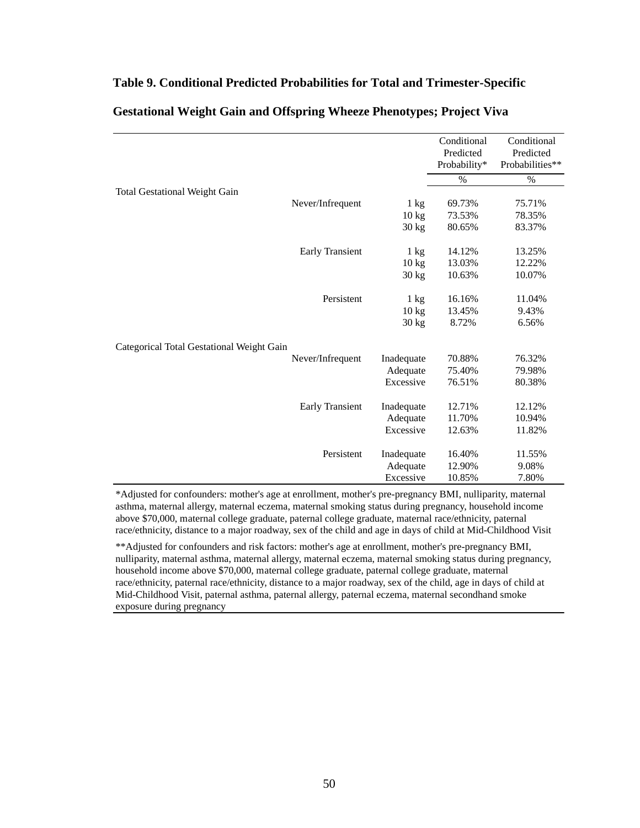#### **Table 9. Conditional Predicted Probabilities for Total and Trimester-Specific**

|                                           |                 | Conditional<br>Predicted<br>Probability* | Conditional<br>Predicted<br>Probabilities** |
|-------------------------------------------|-----------------|------------------------------------------|---------------------------------------------|
|                                           |                 | $\%$                                     | $\%$                                        |
| <b>Total Gestational Weight Gain</b>      |                 |                                          |                                             |
| Never/Infrequent                          | $1 \text{ kg}$  | 69.73%                                   | 75.71%                                      |
|                                           | $10 \text{ kg}$ | 73.53%                                   | 78.35%                                      |
|                                           | $30 \text{ kg}$ | 80.65%                                   | 83.37%                                      |
| <b>Early Transient</b>                    | $1 \text{ kg}$  | 14.12%                                   | 13.25%                                      |
|                                           | $10 \text{ kg}$ | 13.03%                                   | 12.22%                                      |
|                                           | $30 \text{ kg}$ | 10.63%                                   | 10.07%                                      |
| Persistent                                | $1 \text{ kg}$  | 16.16%                                   | 11.04%                                      |
|                                           | $10 \text{ kg}$ | 13.45%                                   | 9.43%                                       |
|                                           | $30 \text{ kg}$ | 8.72%                                    | 6.56%                                       |
| Categorical Total Gestational Weight Gain |                 |                                          |                                             |
| Never/Infrequent                          | Inadequate      | 70.88%                                   | 76.32%                                      |
|                                           | Adequate        | 75.40%                                   | 79.98%                                      |
|                                           | Excessive       | 76.51%                                   | 80.38%                                      |
| <b>Early Transient</b>                    | Inadequate      | 12.71%                                   | 12.12%                                      |
|                                           | Adequate        | 11.70%                                   | 10.94%                                      |
|                                           | Excessive       | 12.63%                                   | 11.82%                                      |
| Persistent                                | Inadequate      | 16.40%                                   | 11.55%                                      |
|                                           | Adequate        | 12.90%                                   | 9.08%                                       |
|                                           | Excessive       | 10.85%                                   | 7.80%                                       |

### **Gestational Weight Gain and Offspring Wheeze Phenotypes; Project Viva**

\*Adjusted for confounders: mother's age at enrollment, mother's pre-pregnancy BMI, nulliparity, maternal asthma, maternal allergy, maternal eczema, maternal smoking status during pregnancy, household income above \$70,000, maternal college graduate, paternal college graduate, maternal race/ethnicity, paternal race/ethnicity, distance to a major roadway, sex of the child and age in days of child at Mid-Childhood Visit

\*\*Adjusted for confounders and risk factors: mother's age at enrollment, mother's pre-pregnancy BMI, nulliparity, maternal asthma, maternal allergy, maternal eczema, maternal smoking status during pregnancy, household income above \$70,000, maternal college graduate, paternal college graduate, maternal race/ethnicity, paternal race/ethnicity, distance to a major roadway, sex of the child, age in days of child at Mid-Childhood Visit, paternal asthma, paternal allergy, paternal eczema, maternal secondhand smoke exposure during pregnancy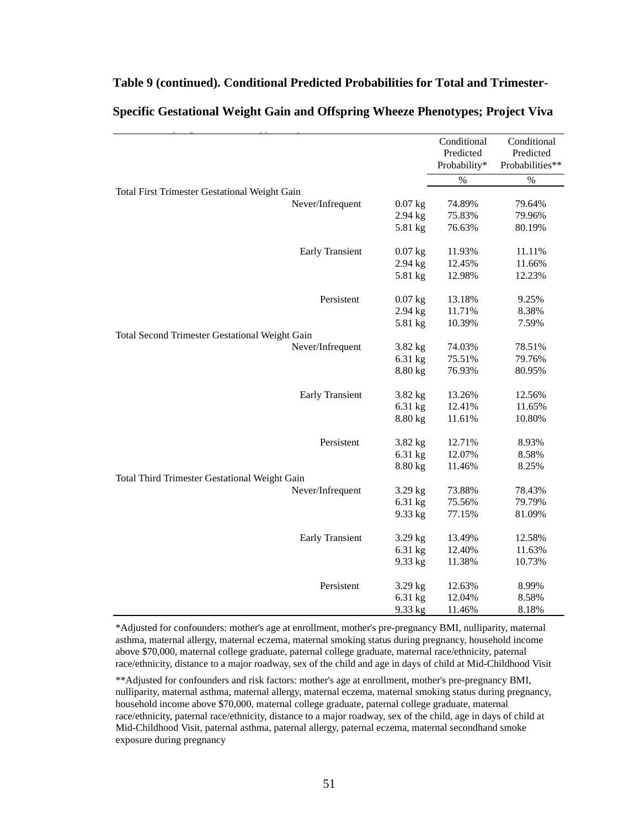|                                                      |           | Conditional<br>Predicted<br>Probability* | Conditional<br>Predicted<br>Probabilities** |
|------------------------------------------------------|-----------|------------------------------------------|---------------------------------------------|
|                                                      |           | $\%$                                     | $\%$                                        |
| <b>Total First Trimester Gestational Weight Gain</b> |           |                                          |                                             |
| Never/Infrequent                                     | $0.07$ kg | 74.89%                                   | 79.64%                                      |
|                                                      | $2.94$ kg | 75.83%                                   | 79.96%                                      |
|                                                      | 5.81 kg   | 76.63%                                   | 80.19%                                      |
| <b>Early Transient</b>                               | $0.07$ kg | 11.93%                                   | 11.11%                                      |
|                                                      | $2.94$ kg | 12.45%                                   | 11.66%                                      |
|                                                      | 5.81 kg   | 12.98%                                   | 12.23%                                      |
| Persistent                                           | $0.07$ kg | 13.18%                                   | 9.25%                                       |
|                                                      | 2.94 kg   | 11.71%                                   | 8.38%                                       |
|                                                      | 5.81 kg   | 10.39%                                   | 7.59%                                       |
| Total Second Trimester Gestational Weight Gain       |           |                                          |                                             |
| Never/Infrequent                                     | 3.82 kg   | 74.03%                                   | 78.51%                                      |
|                                                      | 6.31 kg   | 75.51%                                   | 79.76%                                      |
|                                                      | 8.80 kg   | 76.93%                                   | 80.95%                                      |
| <b>Early Transient</b>                               | 3.82 kg   | 13.26%                                   | 12.56%                                      |
|                                                      | 6.31 kg   | 12.41%                                   | 11.65%                                      |
|                                                      | 8.80 kg   | 11.61%                                   | 10.80%                                      |
| Persistent                                           | 3.82 kg   | 12.71%                                   | 8.93%                                       |
|                                                      | 6.31 kg   | 12.07%                                   | 8.58%                                       |
|                                                      | 8.80 kg   | 11.46%                                   | 8.25%                                       |
| Total Third Trimester Gestational Weight Gain        |           |                                          |                                             |
| Never/Infrequent                                     | $3.29$ kg | 73.88%                                   | 78.43%                                      |
|                                                      | 6.31 kg   | 75.56%                                   | 79.79%                                      |
|                                                      | 9.33 kg   | 77.15%                                   | 81.09%                                      |
| <b>Early Transient</b>                               | 3.29 kg   | 13.49%                                   | 12.58%                                      |
|                                                      | 6.31 kg   | 12.40%                                   | 11.63%                                      |
|                                                      | 9.33 kg   | 11.38%                                   | 10.73%                                      |
| Persistent                                           | $3.29$ kg | 12.63%                                   | 8.99%                                       |
|                                                      | 6.31 kg   | 12.04%                                   | 8.58%                                       |
|                                                      | 9.33 kg   | 11.46%                                   | 8.18%                                       |

### **Table 9 (continued). Conditional Predicted Probabilities for Total and Trimester-**

Specific Gestational Weight Gain and Offspring Wheeze Phenotypes; Project Viva

\*Adjusted for confounders: mother's age at enrollment, mother's pre-pregnancy BMI, nulliparity, maternal asthma, maternal allergy, maternal eczema, maternal smoking status during pregnancy, household income above \$70,000, maternal college graduate, paternal college graduate, maternal race/ethnicity, paternal race/ethnicity, distance to a major roadway, sex of the child and age in days of child at Mid-Childhood Visit

\*\*Adjusted for confounders and risk factors: mother's age at enrollment, mother's pre-pregnancy BMI, nulliparity, maternal asthma, maternal allergy, maternal eczema, maternal smoking status during pregnancy, household income above \$70,000, maternal college graduate, paternal college graduate, maternal race/ethnicity, paternal race/ethnicity, distance to a major roadway, sex of the child, age in days of child at Mid-Childhood Visit, paternal asthma, paternal allergy, paternal eczema, maternal secondhand smoke exposure during pregnancy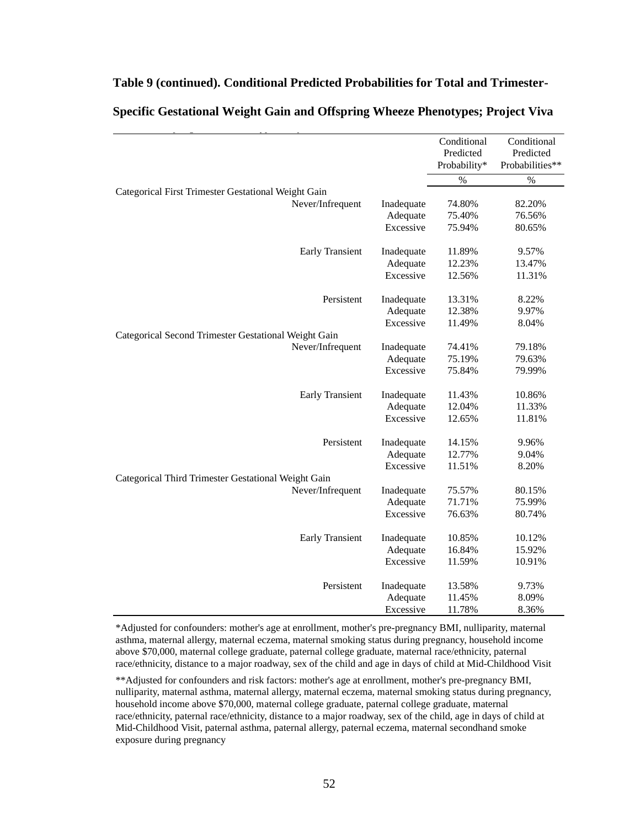#### **Table 9 (continued). Conditional Predicted Probabilities for Total and Trimester-**

|                                                      |            | Conditional<br>Predicted | Conditional<br>Predicted |
|------------------------------------------------------|------------|--------------------------|--------------------------|
|                                                      |            | Probability*             | Probabilities**          |
|                                                      |            | $\%$                     | $\%$                     |
| Categorical First Trimester Gestational Weight Gain  |            |                          |                          |
| Never/Infrequent                                     | Inadequate | 74.80%                   | 82.20%                   |
|                                                      | Adequate   | 75.40%                   | 76.56%                   |
|                                                      | Excessive  | 75.94%                   | 80.65%                   |
| <b>Early Transient</b>                               | Inadequate | 11.89%                   | 9.57%                    |
|                                                      | Adequate   | 12.23%                   | 13.47%                   |
|                                                      | Excessive  | 12.56%                   | 11.31%                   |
| Persistent                                           | Inadequate | 13.31%                   | 8.22%                    |
|                                                      | Adequate   | 12.38%                   | 9.97%                    |
|                                                      | Excessive  | 11.49%                   | 8.04%                    |
| Categorical Second Trimester Gestational Weight Gain |            |                          |                          |
| Never/Infrequent                                     | Inadequate | 74.41%                   | 79.18%                   |
|                                                      | Adequate   | 75.19%                   | 79.63%                   |
|                                                      | Excessive  | 75.84%                   | 79.99%                   |
| <b>Early Transient</b>                               | Inadequate | 11.43%                   | 10.86%                   |
|                                                      | Adequate   | 12.04%                   | 11.33%                   |
|                                                      | Excessive  | 12.65%                   | 11.81%                   |
| Persistent                                           | Inadequate | 14.15%                   | 9.96%                    |
|                                                      | Adequate   | 12.77%                   | 9.04%                    |
|                                                      | Excessive  | 11.51%                   | 8.20%                    |
| Categorical Third Trimester Gestational Weight Gain  |            |                          |                          |
| Never/Infrequent                                     | Inadequate | 75.57%                   | 80.15%                   |
|                                                      | Adequate   | 71.71%                   | 75.99%                   |
|                                                      | Excessive  | 76.63%                   | 80.74%                   |
| <b>Early Transient</b>                               | Inadequate | 10.85%                   | 10.12%                   |
|                                                      | Adequate   | 16.84%                   | 15.92%                   |
|                                                      | Excessive  | 11.59%                   | 10.91%                   |
| Persistent                                           | Inadequate | 13.58%                   | 9.73%                    |
|                                                      | Adequate   | 11.45%                   | 8.09%                    |
|                                                      | Excessive  | 11.78%                   | 8.36%                    |

### Specific Gestational Weight Gain and Offspring Wheeze Phenotypes; Project Viva

\*Adjusted for confounders: mother's age at enrollment, mother's pre-pregnancy BMI, nulliparity, maternal asthma, maternal allergy, maternal eczema, maternal smoking status during pregnancy, household income above \$70,000, maternal college graduate, paternal college graduate, maternal race/ethnicity, paternal race/ethnicity, distance to a major roadway, sex of the child and age in days of child at Mid-Childhood Visit

\*\*Adjusted for confounders and risk factors: mother's age at enrollment, mother's pre-pregnancy BMI, nulliparity, maternal asthma, maternal allergy, maternal eczema, maternal smoking status during pregnancy, household income above \$70,000, maternal college graduate, paternal college graduate, maternal race/ethnicity, paternal race/ethnicity, distance to a major roadway, sex of the child, age in days of child at Mid-Childhood Visit, paternal asthma, paternal allergy, paternal eczema, maternal secondhand smoke exposure during pregnancy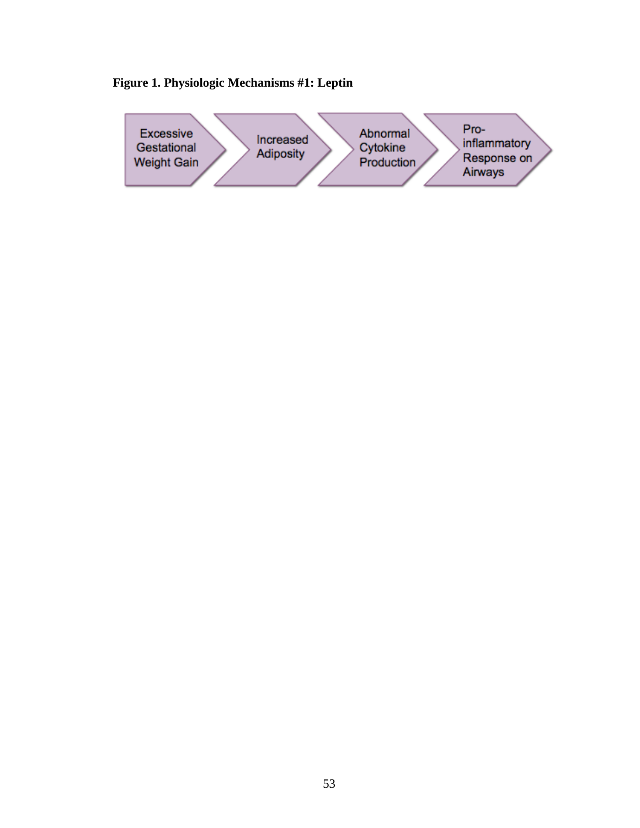

### **Figure 1. Physiologic Mechanisms #1: Leptin**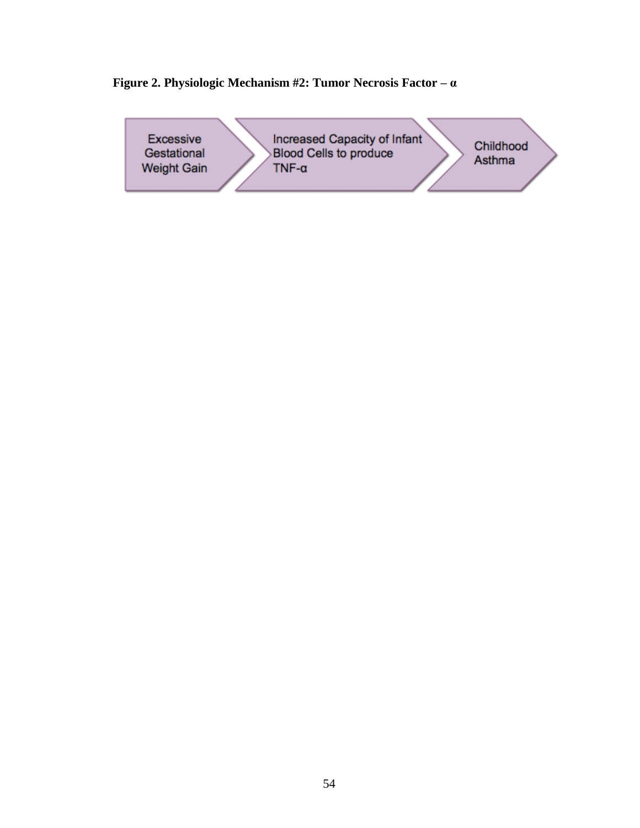### **Figure 2. Physiologic Mechanism #2: Tumor Necrosis Factor – α**

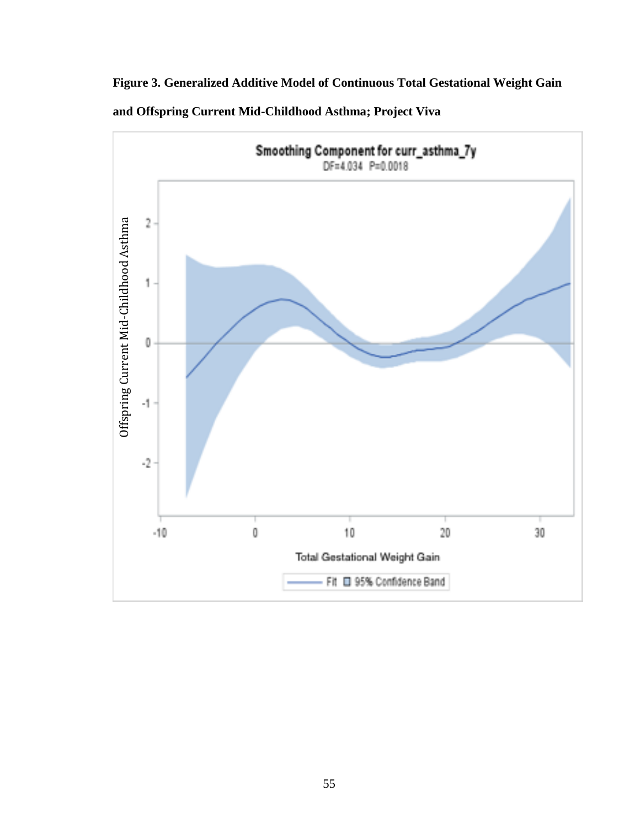**Figure 3. Generalized Additive Model of Continuous Total Gestational Weight Gain and Offspring Current Mid-Childhood Asthma; Project Viva**

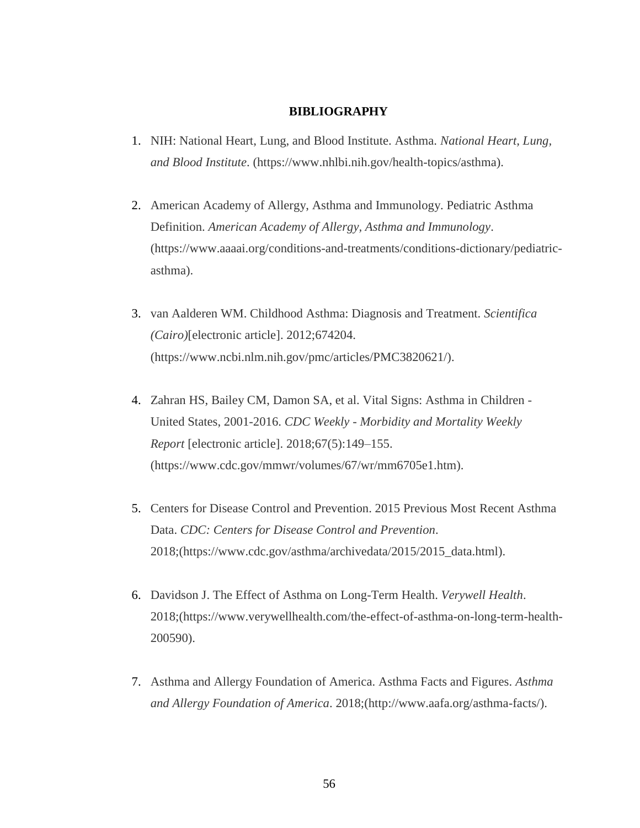#### **BIBLIOGRAPHY**

- 1. NIH: National Heart, Lung, and Blood Institute. Asthma. *National Heart, Lung, and Blood Institute*. (https://www.nhlbi.nih.gov/health-topics/asthma).
- 2. American Academy of Allergy, Asthma and Immunology. Pediatric Asthma Definition. *American Academy of Allergy, Asthma and Immunology*. (https://www.aaaai.org/conditions-and-treatments/conditions-dictionary/pediatricasthma).
- 3. van Aalderen WM. Childhood Asthma: Diagnosis and Treatment. *Scientifica (Cairo)*[electronic article]. 2012;674204. (https://www.ncbi.nlm.nih.gov/pmc/articles/PMC3820621/).
- 4. Zahran HS, Bailey CM, Damon SA, et al. Vital Signs: Asthma in Children United States, 2001-2016. *CDC Weekly - Morbidity and Mortality Weekly Report* [electronic article]. 2018;67(5):149–155. (https://www.cdc.gov/mmwr/volumes/67/wr/mm6705e1.htm).
- 5. Centers for Disease Control and Prevention. 2015 Previous Most Recent Asthma Data. *CDC: Centers for Disease Control and Prevention*. 2018;(https://www.cdc.gov/asthma/archivedata/2015/2015\_data.html).
- 6. Davidson J. The Effect of Asthma on Long-Term Health. *Verywell Health*. 2018;(https://www.verywellhealth.com/the-effect-of-asthma-on-long-term-health-200590).
- 7. Asthma and Allergy Foundation of America. Asthma Facts and Figures. *Asthma and Allergy Foundation of America*. 2018;(http://www.aafa.org/asthma-facts/).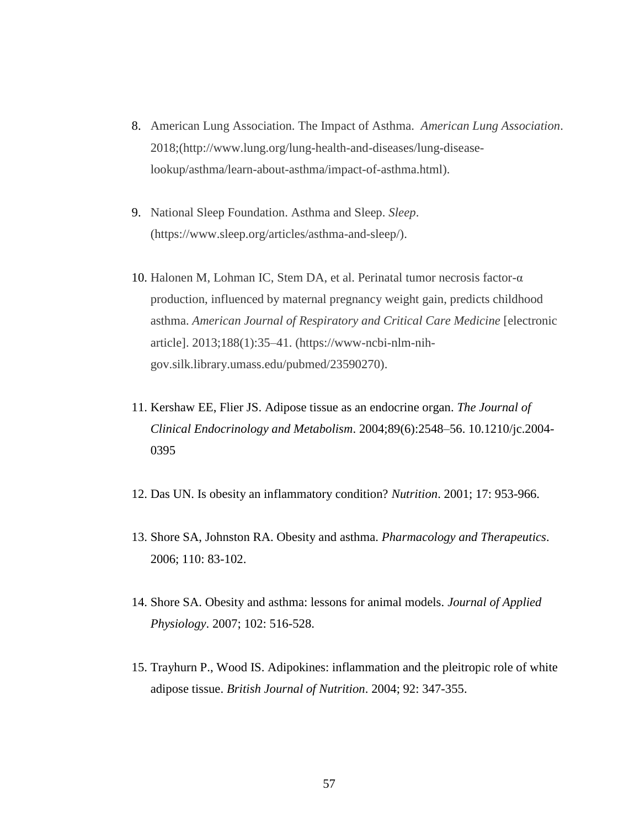- 8. American Lung Association. The Impact of Asthma. *American Lung Association*. 2018;(http://www.lung.org/lung-health-and-diseases/lung-diseaselookup/asthma/learn-about-asthma/impact-of-asthma.html).
- 9. National Sleep Foundation. Asthma and Sleep. *Sleep*. (https://www.sleep.org/articles/asthma-and-sleep/).
- 10. Halonen M, Lohman IC, Stem DA, et al. Perinatal tumor necrosis factor-α production, influenced by maternal pregnancy weight gain, predicts childhood asthma. *American Journal of Respiratory and Critical Care Medicine* [electronic article]. 2013;188(1):35–41. (https://www-ncbi-nlm-nihgov.silk.library.umass.edu/pubmed/23590270).
- 11. Kershaw EE, Flier JS. Adipose tissue as an endocrine organ. *The Journal of Clinical Endocrinology and Metabolism*. 2004;89(6):2548–56. 10.1210/jc.2004- 0395
- 12. Das UN. Is obesity an inflammatory condition? *Nutrition*. 2001; 17: 953-966.
- 13. Shore SA, Johnston RA. Obesity and asthma. *Pharmacology and Therapeutics*. 2006; 110: 83-102.
- 14. Shore SA. Obesity and asthma: lessons for animal models. *Journal of Applied Physiology*. 2007; 102: 516-528.
- 15. Trayhurn P., Wood IS. Adipokines: inflammation and the pleitropic role of white adipose tissue. *British Journal of Nutrition*. 2004; 92: 347-355.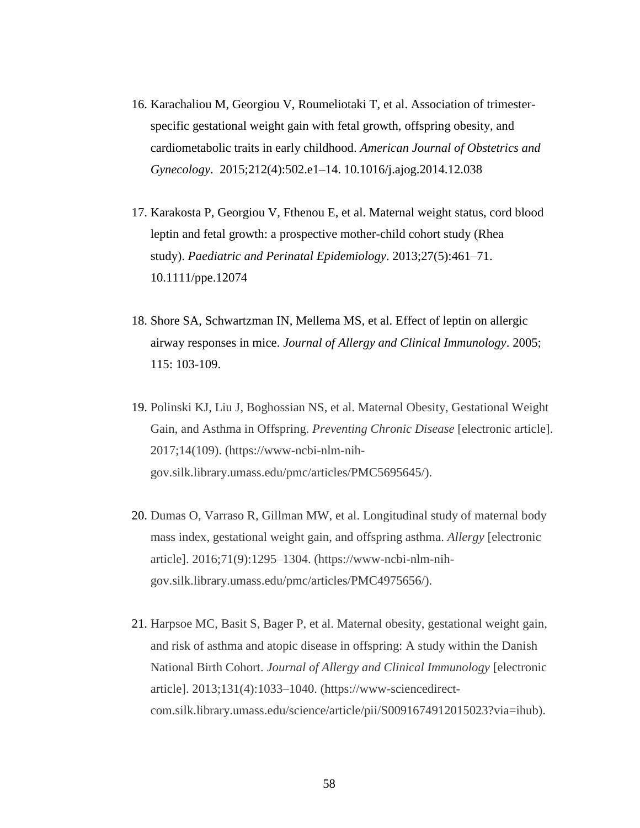- 16. Karachaliou M, Georgiou V, Roumeliotaki T, et al. Association of trimesterspecific gestational weight gain with fetal growth, offspring obesity, and cardiometabolic traits in early childhood. *American Journal of Obstetrics and Gynecology*. 2015;212(4):502.e1–14. 10.1016/j.ajog.2014.12.038
- 17. Karakosta P, Georgiou V, Fthenou E, et al. Maternal weight status, cord blood leptin and fetal growth: a prospective mother-child cohort study (Rhea study). *Paediatric and Perinatal Epidemiology*. 2013;27(5):461–71. 10.1111/ppe.12074
- 18. Shore SA, Schwartzman IN, Mellema MS, et al. Effect of leptin on allergic airway responses in mice. *Journal of Allergy and Clinical Immunology*. 2005; 115: 103-109.
- 19. Polinski KJ, Liu J, Boghossian NS, et al. Maternal Obesity, Gestational Weight Gain, and Asthma in Offspring. *Preventing Chronic Disease* [electronic article]. 2017;14(109). (https://www-ncbi-nlm-nihgov.silk.library.umass.edu/pmc/articles/PMC5695645/).
- 20. Dumas O, Varraso R, Gillman MW, et al. Longitudinal study of maternal body mass index, gestational weight gain, and offspring asthma. *Allergy* [electronic article]. 2016;71(9):1295–1304. (https://www-ncbi-nlm-nihgov.silk.library.umass.edu/pmc/articles/PMC4975656/).
- 21. Harpsoe MC, Basit S, Bager P, et al. Maternal obesity, gestational weight gain, and risk of asthma and atopic disease in offspring: A study within the Danish National Birth Cohort. *Journal of Allergy and Clinical Immunology* [electronic article]. 2013;131(4):1033–1040. (https://www-sciencedirectcom.silk.library.umass.edu/science/article/pii/S0091674912015023?via=ihub).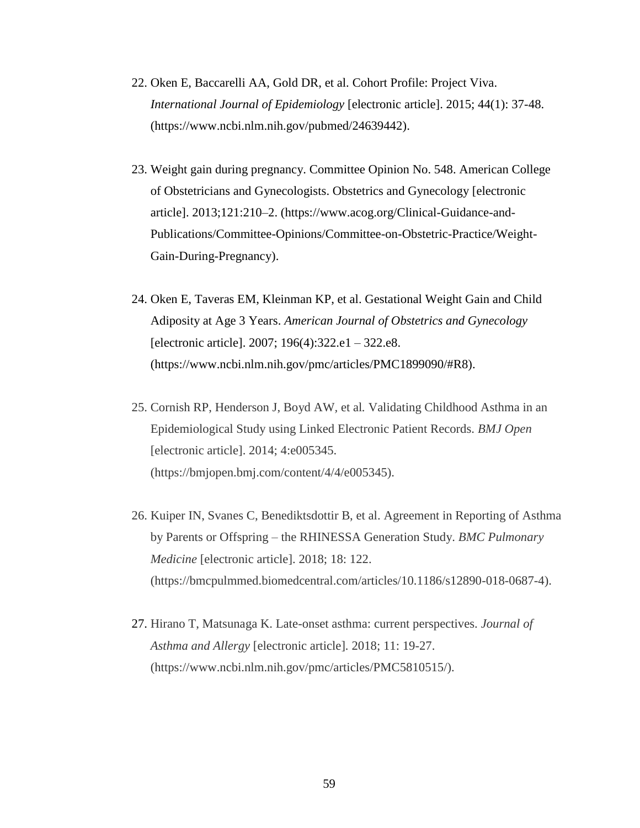- 22. Oken E, Baccarelli AA, Gold DR, et al. Cohort Profile: Project Viva. *International Journal of Epidemiology* [electronic article]. 2015; 44(1): 37-48. (https://www.ncbi.nlm.nih.gov/pubmed/24639442).
- 23. Weight gain during pregnancy. Committee Opinion No. 548. American College of Obstetricians and Gynecologists. Obstetrics and Gynecology [electronic article]. 2013;121:210–2. (https://www.acog.org/Clinical-Guidance-and-Publications/Committee-Opinions/Committee-on-Obstetric-Practice/Weight-Gain-During-Pregnancy).
- 24. Oken E, Taveras EM, Kleinman KP, et al. Gestational Weight Gain and Child Adiposity at Age 3 Years. *American Journal of Obstetrics and Gynecology*  [electronic article]. 2007; 196(4):322.e1 – 322.e8. (https://www.ncbi.nlm.nih.gov/pmc/articles/PMC1899090/#R8).
- 25. Cornish RP, Henderson J, Boyd AW*,* et al*.* Validating Childhood Asthma in an Epidemiological Study using Linked Electronic Patient Records. *BMJ Open*  [electronic article]. 2014; 4:e005345. (https://bmjopen.bmj.com/content/4/4/e005345).
- 26. Kuiper IN, Svanes C, Benediktsdottir B, et al. Agreement in Reporting of Asthma by Parents or Offspring – the RHINESSA Generation Study. *BMC Pulmonary Medicine* [electronic article]. 2018; 18: 122. (https://bmcpulmmed.biomedcentral.com/articles/10.1186/s12890-018-0687-4).
- 27. Hirano T, Matsunaga K. Late-onset asthma: current perspectives. *Journal of Asthma and Allergy* [electronic article]*.* 2018; 11: 19-27. (https://www.ncbi.nlm.nih.gov/pmc/articles/PMC5810515/).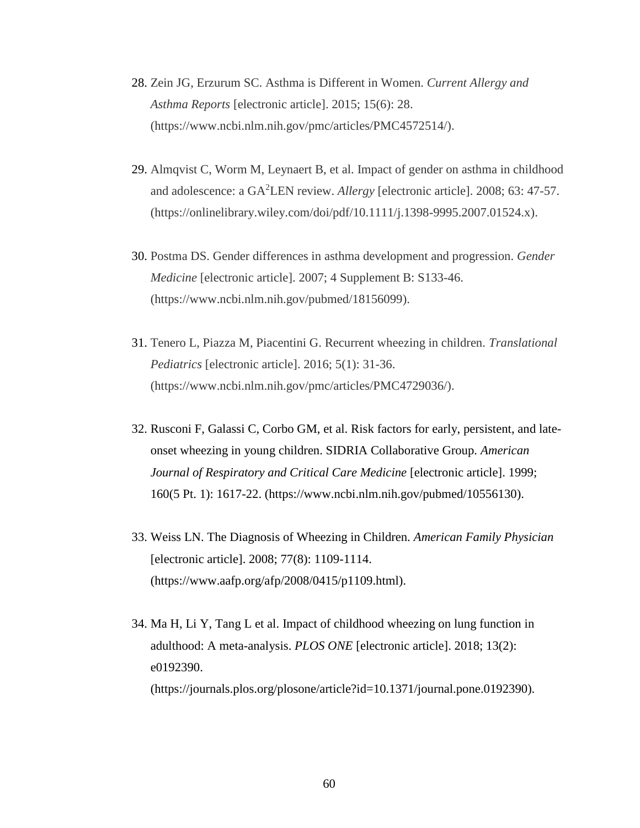- 28. Zein JG, Erzurum SC. Asthma is Different in Women. *Current Allergy and Asthma Reports* [electronic article]. 2015; 15(6): 28. (https://www.ncbi.nlm.nih.gov/pmc/articles/PMC4572514/).
- 29. Almqvist C, Worm M, Leynaert B, et al. Impact of gender on asthma in childhood and adolescence: a GA<sup>2</sup>LEN review. *Allergy* [electronic article]. 2008; 63: 47-57. (https://onlinelibrary.wiley.com/doi/pdf/10.1111/j.1398-9995.2007.01524.x).
- 30. Postma DS. Gender differences in asthma development and progression. *Gender Medicine* [electronic article]. 2007; 4 Supplement B: S133-46. (https://www.ncbi.nlm.nih.gov/pubmed/18156099).
- 31. Tenero L, Piazza M, Piacentini G. Recurrent wheezing in children. *Translational Pediatrics* [electronic article]. 2016; 5(1): 31-36. (https://www.ncbi.nlm.nih.gov/pmc/articles/PMC4729036/).
- 32. Rusconi F, Galassi C, Corbo GM, et al. Risk factors for early, persistent, and lateonset wheezing in young children. SIDRIA Collaborative Group. *American Journal of Respiratory and Critical Care Medicine* [electronic article]. 1999; 160(5 Pt. 1): 1617-22. (https://www.ncbi.nlm.nih.gov/pubmed/10556130).
- 33. Weiss LN. The Diagnosis of Wheezing in Children. *American Family Physician*  [electronic article]. 2008; 77(8): 1109-1114. (https://www.aafp.org/afp/2008/0415/p1109.html).
- 34. Ma H, Li Y, Tang L et al. Impact of childhood wheezing on lung function in adulthood: A meta-analysis. *PLOS ONE* [electronic article]. 2018; 13(2): e0192390. (https://journals.plos.org/plosone/article?id=10.1371/journal.pone.0192390).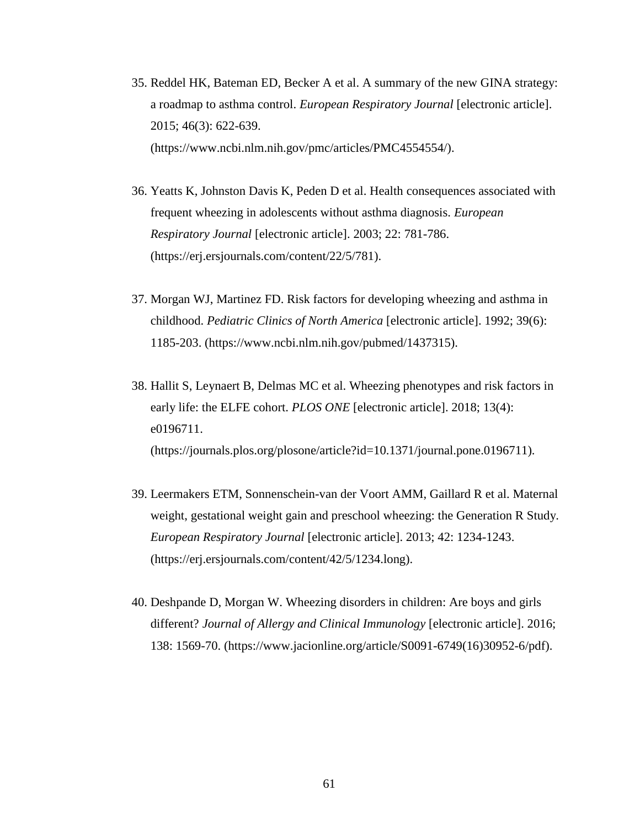- 35. Reddel HK, Bateman ED, Becker A et al. A summary of the new GINA strategy: a roadmap to asthma control. *European Respiratory Journal* [electronic article]. 2015; 46(3): 622-639. (https://www.ncbi.nlm.nih.gov/pmc/articles/PMC4554554/).
- 36. Yeatts K, Johnston Davis K, Peden D et al. Health consequences associated with frequent wheezing in adolescents without asthma diagnosis. *European Respiratory Journal* [electronic article]. 2003; 22: 781-786. (https://erj.ersjournals.com/content/22/5/781).
- 37. Morgan WJ, Martinez FD. Risk factors for developing wheezing and asthma in childhood. *Pediatric Clinics of North America* [electronic article]. 1992; 39(6): 1185-203. (https://www.ncbi.nlm.nih.gov/pubmed/1437315).
- 38. Hallit S, Leynaert B, Delmas MC et al. Wheezing phenotypes and risk factors in early life: the ELFE cohort. *PLOS ONE* [electronic article]. 2018; 13(4): e0196711. (https://journals.plos.org/plosone/article?id=10.1371/journal.pone.0196711).
- 39. Leermakers ETM, Sonnenschein-van der Voort AMM, Gaillard R et al. Maternal weight, gestational weight gain and preschool wheezing: the Generation R Study. *European Respiratory Journal* [electronic article]. 2013; 42: 1234-1243. (https://erj.ersjournals.com/content/42/5/1234.long).
- 40. Deshpande D, Morgan W. Wheezing disorders in children: Are boys and girls different? *Journal of Allergy and Clinical Immunology* [electronic article]. 2016; 138: 1569-70. (https://www.jacionline.org/article/S0091-6749(16)30952-6/pdf).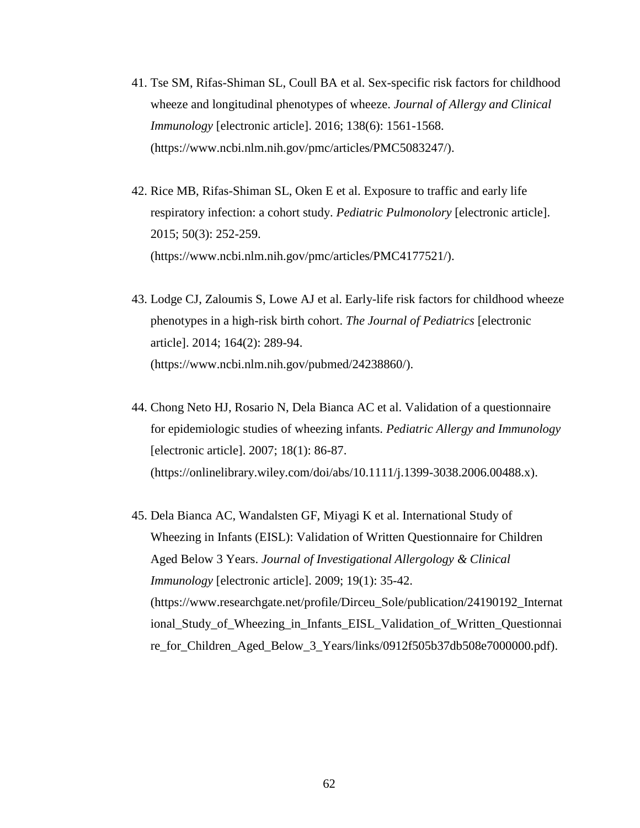- 41. Tse SM, Rifas-Shiman SL, Coull BA et al. Sex-specific risk factors for childhood wheeze and longitudinal phenotypes of wheeze. *Journal of Allergy and Clinical Immunology* [electronic article]. 2016; 138(6): 1561-1568. (https://www.ncbi.nlm.nih.gov/pmc/articles/PMC5083247/).
- 42. Rice MB, Rifas-Shiman SL, Oken E et al. Exposure to traffic and early life respiratory infection: a cohort study. *Pediatric Pulmonolory* [electronic article]. 2015; 50(3): 252-259. (https://www.ncbi.nlm.nih.gov/pmc/articles/PMC4177521/).
- 43. Lodge CJ, Zaloumis S, Lowe AJ et al. Early-life risk factors for childhood wheeze phenotypes in a high-risk birth cohort. *The Journal of Pediatrics* [electronic article]. 2014; 164(2): 289-94. (https://www.ncbi.nlm.nih.gov/pubmed/24238860/).
- 44. Chong Neto HJ, Rosario N, Dela Bianca AC et al. Validation of a questionnaire for epidemiologic studies of wheezing infants. *Pediatric Allergy and Immunology*  [electronic article]. 2007; 18(1): 86-87. (https://onlinelibrary.wiley.com/doi/abs/10.1111/j.1399-3038.2006.00488.x).
- 45. Dela Bianca AC, Wandalsten GF, Miyagi K et al. International Study of Wheezing in Infants (EISL): Validation of Written Questionnaire for Children Aged Below 3 Years. *Journal of Investigational Allergology & Clinical Immunology* [electronic article]. 2009; 19(1): 35-42. (https://www.researchgate.net/profile/Dirceu\_Sole/publication/24190192\_Internat ional\_Study\_of\_Wheezing\_in\_Infants\_EISL\_Validation\_of\_Written\_Questionnai re\_for\_Children\_Aged\_Below\_3\_Years/links/0912f505b37db508e7000000.pdf).